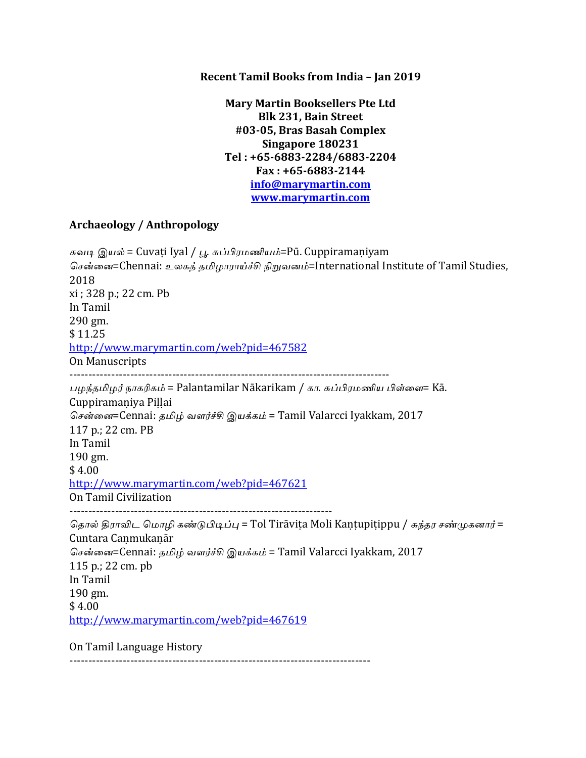**Recent Tamil Books from India - Jan 2019** 

**Mary Martin Booksellers Pte Ltd Blk 231, Bain Street #03-05, Bras Basah Complex Singapore 180231 Tel : +65-6883-2284/6883-2204 Fax : +65-6883-2144 info@marymartin.com www.marymartin.com**

## **Archaeology / Anthropology**

சுவடி இயல் = Cuvaṭi Iyal / பூ. சுப்பிரமணியம்=Pū. Cuppiramaṇiyam சென்னை=Chennai: உலகத் தமிழாராய்ச்சி நிறுவனம்=International Institute of Tamil Studies, 2018 xi ; 328 p.; 22 cm. Pb In Tamil 290 gm. \$ 11.25 http://www.marymartin.com/web?pid=467582 On Manuscripts ------------------------------------------------------------------------------------ பழந்தமிழர் நாகரிகம் = Palantamilar Nākarikam / கா. சுப்பிரமணிய பிள்ளை= Kā. Cuppiramaṇiya Piḷḷai சென்னை=Cennai: தமிழ் வளர்ச்சி இயக்கம் = Tamil Valarcci Iyakkam, 2017 117 p.; 22 cm. PB In Tamil 190 gm.  $$4.00$ http://www.marymartin.com/web?pid=467621 On Tamil Civilization --------------------------------------------------------------------- தொல் திராவிட மொழி கண்டுபிடிப்பு = Tol Tirāviṭa Moli Kantupiṭippu / சுந்தர சண்முகனார் = Cuntara Caṇmukaṇār சென்னை=Cennai: தமிழ் வளர்ச்சி இயக்கம் = Tamil Valarcci Iyakkam, 2017 115 p.; 22 cm. pb In Tamil 190 gm.  $$4.00$ http://www.marymartin.com/web?pid=467619

On Tamil Language History

-------------------------------------------------------------------------------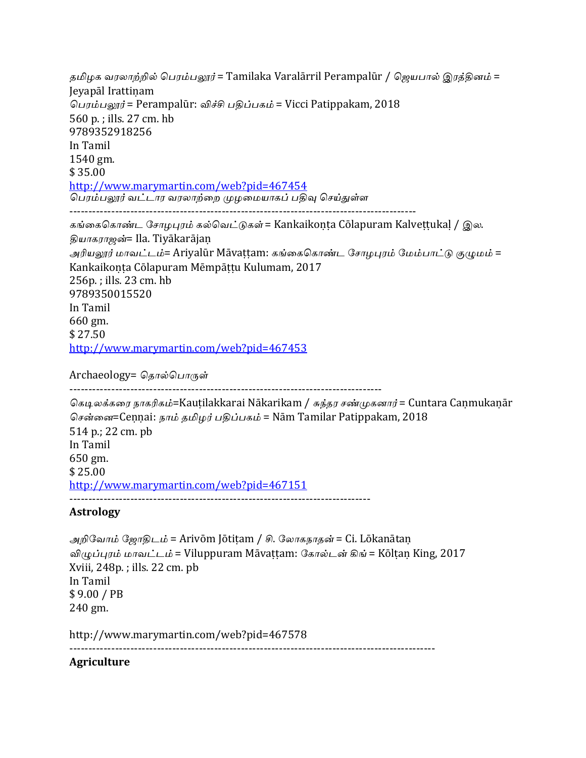தமிழக வரலாற்றில் பெரம்பலூர் = Tamilaka Varalārril Perampalūr / ஜெயபால் இரத்தினம் = Jeyapāl Irattiṇam பெரம்பலூர் = Perampalūr: விச்சி பதிப்பகம் = Vicci Patippakam, 2018 560 p.; ills. 27 cm. hb 9789352918256 In Tamil 1540 gm. \$ 35.00 http://www.marymartin.com/web?pid=467454 .<br>பெரம்பலூர் வட்டார வரலாற்றை முழமையாகப் பதிவு செய்துள்ள ------------------------------------------------------------------------------------------- கங்கைகொண்ட சோழபுரம் கல்வெட்டுகள் = Kankaikoṇṭa Cōlapuram Kalveṭṭukaḷ / இல. தியாகராஜன்= Ila. Tiyākarājan அரியலூர் மாவட்டம்= Ariyalūr Māvattam: கங்கைகொண்ட சோழபுரம் மேம்பாட்டு குழுமம் = Kankaikonta Cōlapuram Mēmpāttu Kulumam, 2017 256p.; ills. 23 cm. hb 9789350015520 In Tamil 660 gm. \$ 27.50 http://www.marymartin.com/web?pid=467453

Archaeology= தொல்பொருள்

----------------------------------------------------------------------------------

கெடிலக்கரை நாகரிகம்=Kauṭilakkarai Nākarikam / சுந்தர சண்முகனார் = Cuntara Caṇmukaṇār சென்னை=Cennai: நாம் தமிழர் பதிப்பகம் = Nām Tamilar Patippakam, 2018 514 p.; 22 cm. pb In Tamil 650 gm. \$ 25.00 http://www.marymartin.com/web?pid=467151 -------------------------------------------------------------------------------

# **Astrology**

அறிவோம் ஜோதிடம் = Arivōm Jōtiṭam / சி. லோகநாதன் = Ci. Lōkanātaṇ விழுப்புரம் மாவட்டம் = Viluppuram Māvattam: கோல்டன் கிங் = Kōltan King, 2017 Xviii,  $248p.$ ; ills.  $22 \text{ cm. pb}$ In Tamil \$ 9.00 / PB 240 gm.

http://www.marymartin.com/web?pid=467578

------------------------------------------------------------------------------------------------

**Agriculture**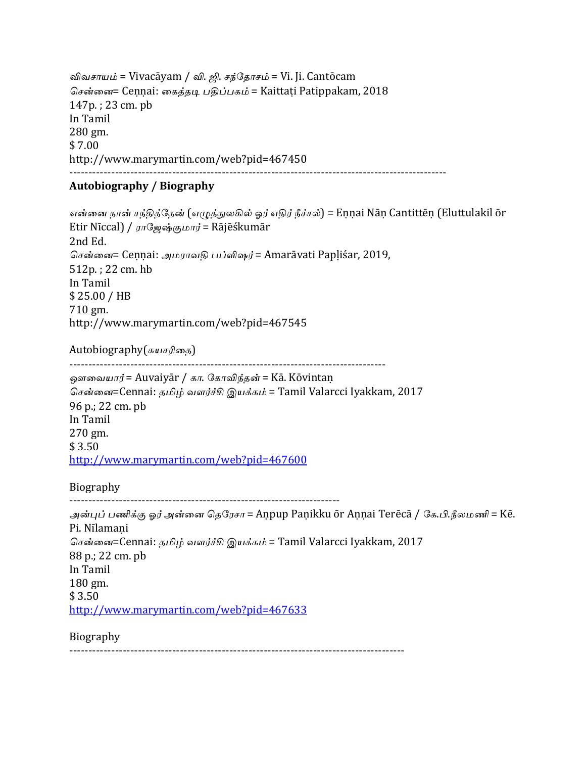விவசாயம் = Vivacāyam / வி. ஜி. சந்தோசம் = Vi. Ji. Cantōcam சென்னை= Cennai: கைத்தடி பதிப்பகம் = Kaittaṭi Patippakam, 2018  $147p.$ ; 23 cm. pb In Tamil 280 gm. \$ 7.00 http://www.marymartin.com/web?pid=467450 ---------------------------------------------------------------------------------------------------

### **Autobiography / Biography**

என்னை நான் சந்தித்தேன் (எழுத்துலகில் ஓர் எதிர் நீச்சல்) = Eṇṇai Nāṇ Cantittēṇ (Eluttulakil ōr Etir Nīccal) /  $\pi\mathbb{G}$ ஜவு்குமார் = Rājēśkumār 2nd Ed. சென்னை= Cennai: அமராவதி பப்ளிஷர் = Amarāvati Papliśar, 2019, 512p.; 22 cm. hb In Tamil \$ 25.00 / HB 710 gm. http://www.marymartin.com/web?pid=467545 

Autobiography(சுயசரிதை)

-----------------------------------------------------------------------------------

ஔவையார் = Auvaiyār / கா. கோவிந்தன் = Kā. Kōvintan

சென்னை=Cennai: தமிழ் வளர்ச்சி இயக்கம் = Tamil Valarcci Iyakkam, 2017 96 p.; 22 cm. pb In Tamil 270 gm. \$ 3.50 http://www.marymartin.com/web?pid=467600

Biography

-----------------------------------------------------------------------

அன்புப் பணிக்கு ஓர் அன்னை தெரேசா = Aṇpup Paṇikku ōr Aṇṇai Terēcā / கே.பி.நீலமணி = Kē. Pi. Nīlamani சென்னை=Cennai: தமிழ் வளர்ச்சி இயக்கம் = Tamil Valarcci Iyakkam, 2017 88 p.; 22 cm. pb In Tamil 180 gm.  $$3.50$ http://www.marymartin.com/web?pid=467633

Biography

----------------------------------------------------------------------------------------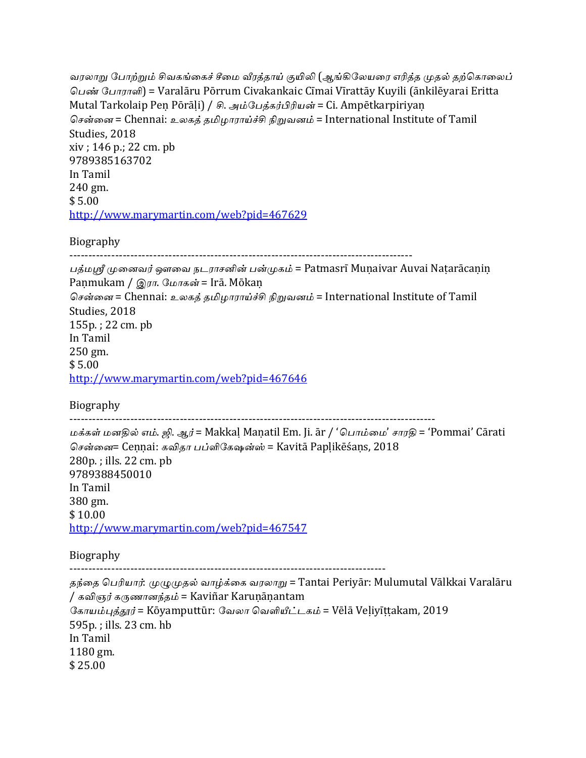```
வரலாறு போற்றும் சிவகங்கைச் சீமை வீரத்தாய் குயிலி (ஆங்கிலேயரை எரித்த முதல் தற்கொலைப்
பெண் போராளி) = Varalāru Pōrrum Civakankaic Cīmai Vīrattāy Kuyili (ānkilēyarai Eritta
Mutal Tarkolaip Pen Pōrāḷi) / சி. அம்பேத்கர்பிரியன் = Ci. Ampētkarpiriyan
சென்னை = Chennai: உலகத் தமிழாராய்ச்சி நிறுவனம் = International Institute of Tamil
Studies, 2018
xiv; 146 p.; 22 cm. pb
9789385163702
In	Tamil
240	gm.
$	5.00
http://www.marymartin.com/web?pid=467629
```

```
Biography
```
------------------------------------------------------------------------------------------

பத்மஸ்ரீ முனைவர் ஔவை நடராசனின் பன்முகம் = Patmasrī Muṇaivar Auvai Natarācanin Paṇmukam / இரா. மோகன் = Irā. Mōkaṇ சென்னை = Chennai: உலகத் தமிழாராய்ச்சி நிறுவனம் = International Institute of Tamil Studies, 2018  $155p.$ ; 22 cm. pb In Tamil  $250 \text{ gm}$ .  $$5.00$ http://www.marymartin.com/web?pid=467646

Biography

------------------------------------------------------------------------------------------------

மக்கள் மனதில் எம். ஜி. ஆர் = Makkal Manatil Em. Ji. ār / 'பொம்மை' சாரதி = 'Pommai' Cārati சென்னை= Cennai: கவிதா பப்ளிகேஷன்ஸ் = Kavitā Paplikēśans, 2018 280p.; ills. 22 cm. pb 9789388450010 In Tamil 380 gm. \$ 10.00 http://www.marymartin.com/web?pid=467547

Biography

-----------------------------------------------------------------------------------

தந்தை பெரியார்: முழுமுதல் வாழ்க்கை வரலாறு = Tantai Periyār: Mulumutal Vālkkai Varalāru / கவிஞர் கருணானந்தம் = Kaviñar Karuṇāṇantam சோயம்புத்தூர் = Kōyamputtūr: வேலா வெளியீட்டகம் = Vēlā Veḷiyīṭṭakam, 2019 595p.; ills. 23 cm. hb In Tamil 1180 gm. \$ 25.00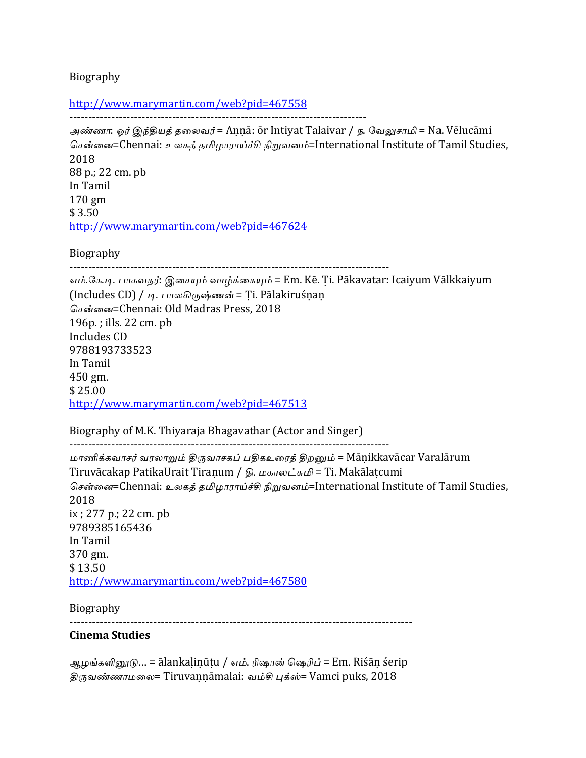Biography

http://www.marymartin.com/web?pid=467558 ------------------------------------------------------------------------------

அண்ணா: ஓர் இந்தியத் தலைவர் = Aṇṇā: ōr Intiyat Talaivar / ந. வேலுசாமி = Na. Vēlucāmi சென்னை=Chennai: உலகத் தமிழாராய்ச்சி நிறுவனம்=International Institute of Tamil Studies, 2018 88 p.; 22 cm. pb In Tamil 170 gm \$ 3.50 http://www.marymartin.com/web?pid=467624

Biography

------------------------------------------------------------------------------------

எம்.கே.டி. பாகவதர்: இசையும் வாழ்க்கையும் = Em. Kē. Ti. Pākavatar: Icaiyum Vālkkaiyum (Includes CD) / டி. பாலகிருஷ்ணன் = Ti. Pālakiruśnan சென்னை=Chennai: Old Madras Press, 2018  $196p.$ ; ills.  $22 \text{ cm. pb}$ Includes CD 9788193733523 In Tamil 450 gm. \$ 25.00 http://www.marymartin.com/web?pid=467513

Biography of M.K. Thiyaraja Bhagavathar (Actor and Singer)

------------------------------------------------------------------------------------

மாணிக்கவாசர் வரலாறும் திருவாசகப் பதிகஉரைத் திறனும் = Māṇikkavācar Varalārum Tiruvācakap PatikaUrait Tiraṇum / தி. மகாலட்சுமி = Ti. Makālatcumi சென்னை=Chennai: உலகத் தமிழாராய்ச்சி நிறுவனம்=International Institute of Tamil Studies, 2018 ix ; 277 p.; 22 cm. pb 9789385165436 In Tamil 370 gm. \$13.50 http://www.marymartin.com/web?pid=467580

Biography

------------------------------------------------------------------------------------------

## **Cinema Studies**

ஆழங்களினூடு… = ālankalinūtu / எம். ரிஷான் ஷெரிப் = Em. Riśān śerip திருவண்ணாமலை= Tiruvannāmalai: வம்சி புக்ஸ்= Vamci puks, 2018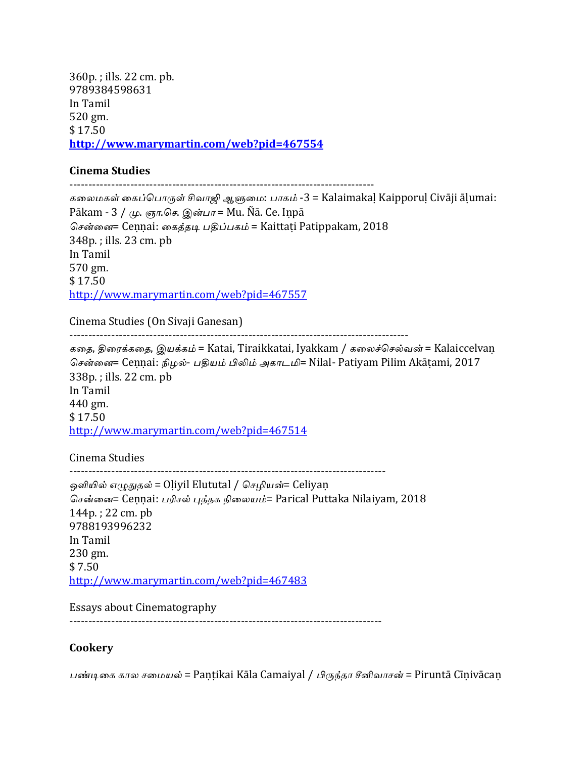360p.; ills. 22 cm. pb. 9789384598631 In Tamil 520 gm. \$ 17.50 **http://www.marymartin.com/web?pid=467554**

### **Cinema Studies**

--------------------------------------------------------------------------------

கலைமகள் கைப்பொருள் சிவாஜி ஆளுமை: பாகம் -3 = Kalaimakaḷ Kaipporuḷ Civāji āḷumai: Pākam - 3 / மு. ஞா.செ. இன்பா = Mu. Ñā. Ce. Inpā சென்னை= Cennai: கைத்தடி பதிப்பகம் = Kaittati Patippakam, 2018 348p.; ills. 23 cm. pb In Tamil 570 gm.  $$17.50$ http://www.marymartin.com/web?pid=467557

Cinema Studies (On Sivaji Ganesan)

-----------------------------------------------------------------------------------------

கதை, திரைக்கதை, இயக்கம் = Katai, Tiraikkatai, Iyakkam / கலைச்செல்வன் = Kalaiccelvan சென்னை= Cennai: நிழல்- பதியம் பிலிம் அகாடமி= Nilal- Patiyam Pilim Akāṭami, 2017 338p.; ills. 22 cm. pb In Tamil 440 gm. \$ 17.50 http://www.marymartin.com/web?pid=467514

Cinema Studies

----------------------------------------------------------------------------------- ஒளியில் எழுதுதல் = Oliyil Elututal / செழியன்= Celiyaṇ சென்னை= Ceṇṇai: பரிசல் புத்தக நிலையம்= Parical Puttaka Nilaiyam, 2018  $144p$ .; 22 cm. pb 9788193996232 In Tamil 230 gm.  $$7.50$ http://www.marymartin.com/web?pid=467483

Essays about Cinematography

----------------------------------------------------------------------------------

# **Cookery**

பண்டிகை கால சமையல் = Paṇṭikai Kāla Camaiyal / பிருந்தா சீனிவாசன் = Piruntā Cīṇivācaṇ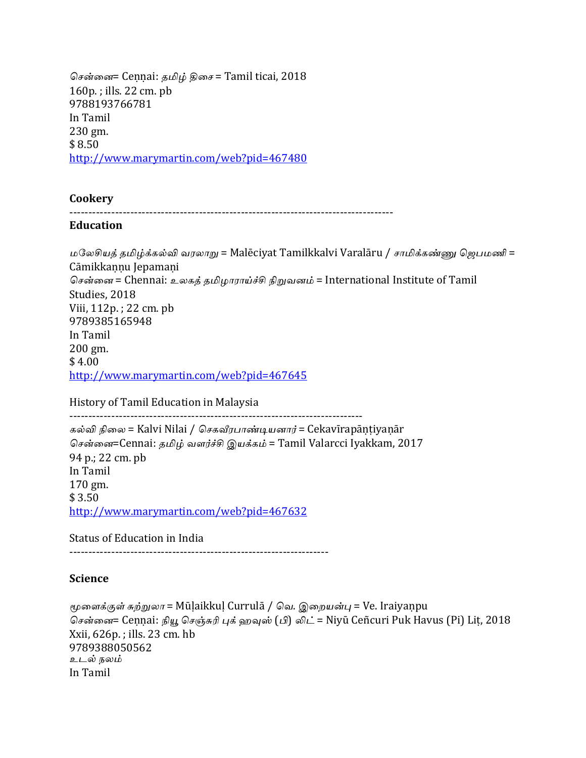சென்னை= Cennai: தமிழ் திசை = Tamil ticai, 2018  $160p.$ ; ills.  $22 \text{ cm.}$  pb 9788193766781 In Tamil 230 gm. \$ 8.50 http://www.marymartin.com/web?pid=467480

#### **Cookery**

-------------------------------------------------------------------------------------

#### **Education**

மலேசியத் தமிழ்க்கல்வி வரலாறு = Malēciyat Tamilkkalvi Varalāru / சாமிக்கண்ணு ஜெபமணி = Cāmikkannu Jepamani சென்னை = Chennai: உலகத் தமிழாராய்ச்சி நிறுவனம் = International Institute of Tamil Studies, 2018 Viii, 112p.; 22 cm. pb 9789385165948 In Tamil 200 gm.  $$4.00$ http://www.marymartin.com/web?pid=467645

History of Tamil Education in Malaysia

-----------------------------------------------------------------------------

கல்வி நிலை = Kalvi Nilai / செகவீரபாண்டியனார் = Cekavīrapāṇṭiyaṇār சென்னை=Cennai: தமிழ் வளர்ச்சி இயக்கம் = Tamil Valarcci Iyakkam, 2017 94 p.; 22 cm. pb In Tamil 170 gm.  $$3.50$ http://www.marymartin.com/web?pid=467632

Status of Education in India

--------------------------------------------------------------------

### **Science**

மூளைக்குள் சுற்றுலா = Mūḷaikkuḷ Currulā / வெ. இறையன்பு = Ve. Iraiyaṇpu சென்னை= Ceṇṇai: நியூ செஞ்சுரி புக் ஹவுஸ் (பி) லிட் = Niyū Ceñcuri Puk Havus (Pi) Lit, 2018 Xxii, 626p.; ills. 23 cm. hb 9789388050562 உடல் நலம் In Tamil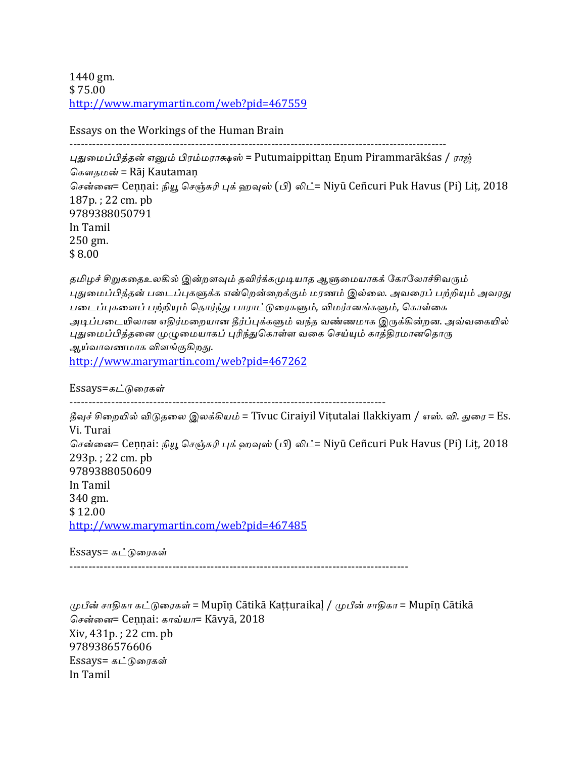1440 gm. \$ 75.00 http://www.marymartin.com/web?pid=467559

Essays on the Workings of the Human Brain

--------------------------------------------------------------------------------------------------- புதுமைப்பித்தன் எனும் பிரம்மராக்ஷஸ் = Putumaippittan Enum Pirammarākśas / ராஜ் கௌதமன் = Rāj Kautaman சென்னை= Cennai: நியூ செஞ்சுரி புக் ஹவுஸ் (பி) லிட்= Niyū Ceñcuri Puk Havus (Pi) Lit, 2018 187p.; 22 cm. pb 9789388050791 In Tamil 250 gm. \$ 8.00

தமிழச் சிறுகதைஉலகில் இன்றளவும் தவிர்க்கமுடியாத ஆளுமையாகக் கோலோச்சிவரும் புதுமைப்பித்தன் படைப்புகளுக்க என்றென்றைக்கும் மரணம் இல்லை. அவரைப் பற்றியும் அவரது படைப்புகளைப் பற்றியும் தொர்ந்து பாராட்டுரைகளும், விமர்சனங்களும், கொள்கை அடிப்படையிலான எதிர்மறையான தீர்ப்புக்களும் வந்த வண்ணமாக இருக்கின்றன. அவ்வகையில் புதுமைப்பித்தனை முழுமையாகப் புரிந்துகொள்ள வகை செய்யும் காத்திரமானதொரு ஆய்வாவணமாக விளங்குகி<u>றத</u>ு. http://www.marymartin.com/web?pid=467262

 $Essays=$ கட்டுரைகள்

-----------------------------------------------------------------------------------

தீவுச் சிறையில் விடுதலை இலக்கியம் = Tīvuc Ciraiyil Vitutalai Ilakkiyam / எஸ். வி. துரை = Es. Vi. Turai சென்னை= Ceṇṇai: நியூ செஞ்சுரி புக் ஹவுஸ் (பி) லிட்= Niyū Ceñcuri Puk Havus (Pi) Lit, 2018 293p.; 22 cm. pb 9789388050609 In Tamil 340 gm. \$ 12.00 http://www.marymartin.com/web?pid=467485

Essays= கட்டுரைகள்

-----------------------------------------------------------------------------------------

முபீன் சாதிகா கட்டுரைகள் = Mupīṇ Cātikā Kaṭṭuraikaḷ / முபீன் சாதிகா = Mupīṇ Cātikā சென்னை= Cennai: காவ்யா= Kāvyā, 2018  $Xiv, 431p.$ ; 22 cm. pb 9789386576606 Essays= கட்டுரைகள் In Tamil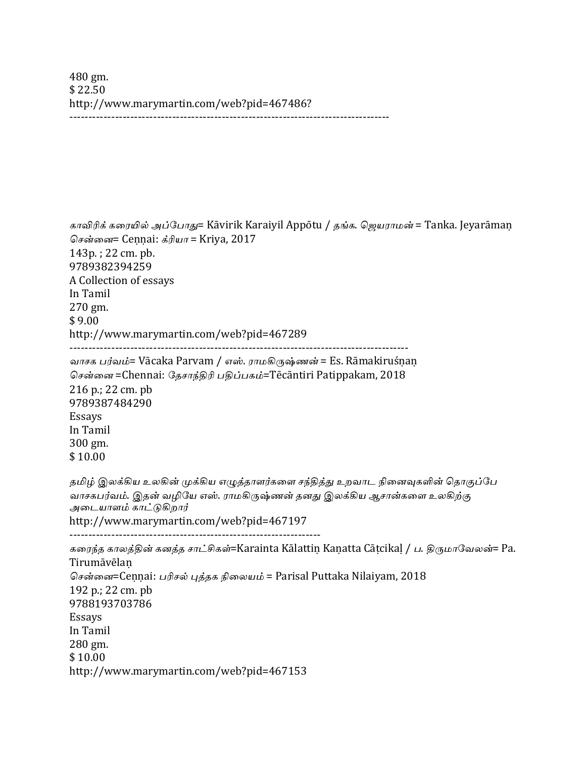480 gm. \$ 22.50 http://www.marymartin.com/web?pid=467486? ------------------------------------------------------------------------------------

காவிரிக் கரையில் அப்போது= Kāvirik Karaiyil Appōtu / தங்க. ஜெயராமன் = Tanka. Jeyarāmaṇ சென்னை= Cennai: க்ரியா = Kriya, 2017 143p.; 22 cm. pb. 9789382394259 A Collection of essays In Tamil 270 gm.  $$9.00$ http://www.marymartin.com/web?pid=467289 ----------------------------------------------------------------------------------------- வாசக பர்வம்= Vācaka Parvam / எஸ். ராமகிருஷ்ணன் = Es. Rāmakiruśṇaṇ சென்னை =Chennai: சேசாந்திரி பதிப்பகம்=Tēcāntiri Patippakam, 2018 216 p.; 22 cm. pb 9789387484290 Essays In Tamil 300 gm. \$ 10.00 தமிழ் இலக்கிய உலகின் முக்கிய எழுத்தாளர்களை சந்தித்து உறவாட நினைவுகளின் தொகுப்பே வாசகபர்வம். இதன் வழியே எஸ். ராமகிருஷ்ணன் தனது இலக்கிய ஆசான்களை உலகிற்கு அடையாளம் காட்டுகிறார் http://www.marymartin.com/web?pid=467197 ------------------------------------------------------------------ கரைந்த காலத்தின் கனத்த சாட்சிகள்=Karainta Kālattiṇ Kaṇatta Cāṭcikaḷ / ப. திருமாவேலன்= Pa. **Tirumāvēlan** சென்னை=Cennai: பரிசல் புத்தக நிலையம் = Parisal Puttaka Nilaiyam, 2018 192 p.; 22 cm. pb

9788193703786 Essays In Tamil 280 gm. \$ 10.00 http://www.marymartin.com/web?pid=467153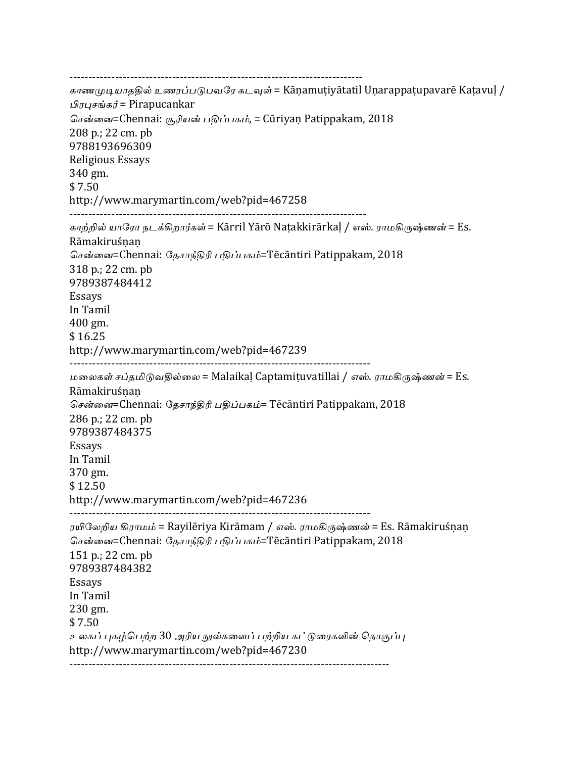----------------------------------------------------------------------------- காணமுடியாததில் உணரப்படுபவரே கடவுள் = Kānamutiyātatil Unarappatupavarē Katavul / பிரபுசங்கர் = Pirapucankar சென்னை=Chennai: சூரியன் பகிப்பகம், = Cūriyan Patippakam, 2018 208 p.; 22 cm. pb 9788193696309 Religious Essays 340 gm.  $$7.50$ http://www.marymartin.com/web?pid=467258 ------------------------------------------------------------------------------ காற்றில் யாரோ நடக்கிறார்கள் = Kārril Yārō Natakkirārkal / எஸ். ராமகிருஷ்ணன் = Es. Rāmakiruśṇaṇ சென்னை=Chennai: சேசாந்திரி பதிப்பகம்=Tēcāntiri Patippakam, 2018 318 p.; 22 cm. pb 9789387484412 Essays In Tamil 400 gm. \$ 16.25 http://www.marymartin.com/web?pid=467239 ------------------------------------------------------------------------------- மலைகள் சப்தமிடுவதில்லை = Malaikaḷ Captamiṭuvatillai / எஸ். ராமகிருஷ்ணன் = Es. Rāmakiruśṇaṇ சென்னை=Chennai: தேசாந்திரி பதிப்பகம்= Tēcāntiri Patippakam, 2018 286 p.; 22 cm. pb 9789387484375 Essays In Tamil 370 gm. \$ 12.50 http://www.marymartin.com/web?pid=467236 ------------------------------------------------------------------------------- ரயிலேறிய கிராமம் = Rayilēriya Kirāmam / எஸ். ராமகிருஷ்ணன் = Es. Rāmakiruśnan சென்னை=Chennai: தேசாந்திரி பதிப்பகம்=Tēcāntiri Patippakam, 2018 151 p.; 22 cm. pb 9789387484382 Essays In Tamil 230 gm. \$ 7.50 உலகப் புகழ்பெற்ற 30 அரிய நூல்களைப் பற்றிய கட்டுரைகளின் தொகுப்பு http://www.marymartin.com/web?pid=467230 ------------------------------------------------------------------------------------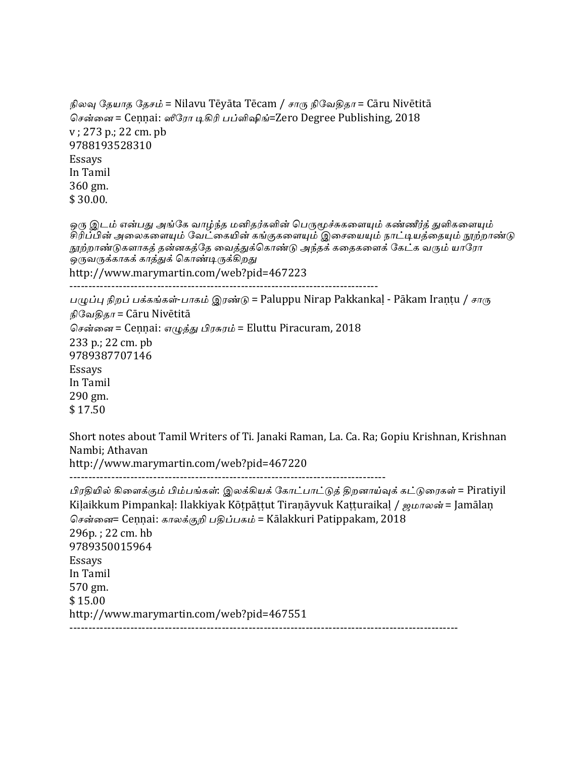```
நிலவு தேயாத தேசம் = Nilavu Tēyāta Tēcam / சாரு நிவேதிதா = Cāru Nivētitā
சென்னை = Cennai: ஸீரோ டிகிரி பப்ளிஷிங்=Zero Degree Publishing, 2018
v: 273 p.; 22 cm. pb
9788193528310
Essays
In	Tamil
360	gm.
$	30.00.
ஒரு இடம் என்பது அங்கே வாழ்ந்த மனிதர்களின் பெருமூச்சுகளையும் கண்ணீர்த் துளிகளையும்
சிரிப்பின் அலைகளையும் வேட்கையின் கங்குகளையும் இசையையும் நாட்டியத்தையும் நூற்றாண்டு
<u>நூற்றாண்டுகளாகத் த</u>ன்னகத்தே வைத்துக்கொண்டு அந்தக் கதைகளைக் கேட்க வரும் யாரோ
ு.<br>ஒருவருக்காகக் காத்துக் கொண்டிருக்கிறது
http://www.marymartin.com/web?pid=467223
---------------------------------------------------------------------------------
பழுப்பு நிறப் பக்கங்கள்-பாகம் இரண்டு = Paluppu Nirap Pakkankaḷ - Pākam Iraṇṭu / சாரு
\mathbf{F}வேதிகா = Cāru Nivētitā
சென்னை = Cennai: எழுத்து பிரசுரம் = Eluttu Piracuram, 2018
233 p.; 22 cm. pb
9789387707146
Essays
In	Tamil
290	gm.
$	17.50
Short notes about Tamil Writers of Ti. Janaki Raman, La. Ca. Ra; Gopiu Krishnan, Krishnan
Nambi: Athavan
http://www.marymartin.com/web?pid=467220
-----------------------------------------------------------------------------------
பிரதியில் கிளைக்கும் பிம்பங்கள்: இலக்கியக் கோட்பாட்டுத் திறனாய்வுக் கட்டுரைகள் = Piratiyil
Kilaikkum Pimpankal: Ilakkiyak Kōtpāttut Tiraṇāyvuk Katturaikal / ஜமாலன் = Jamālan
சென்னை= Cennai: காலக்குறி பதிப்பகம் = Kālakkuri Patippakam, 2018
296p.: 22 \text{ cm.} \text{hb}9789350015964
Essays
In	Tamil
570	gm.
$	15.00
http://www.marymartin.com/web?pid=467551
   ------------------------------------------------------------------------------------------------------
```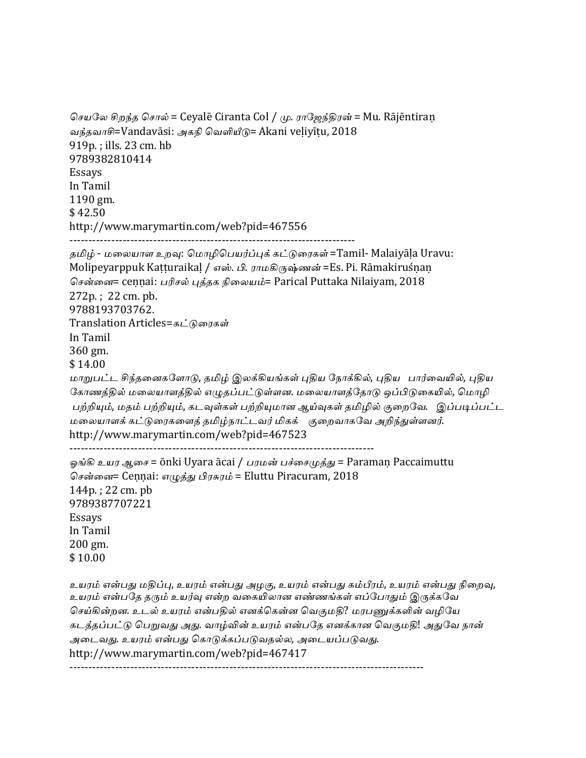```
செயலே சிறந்த சொல் = Ceyalē Ciranta Col / மு. ராஜேந்திரன் = Mu. Rājēntiraṇ
வந்தவாசி=Vandavāsi: அகநி வெளியீடு= Akani veḷiyīṭu, 2018
919p.; ills. 23 cm. hb
9789382810414
Essays
In	Tamil
1190	gm.
$	42.50
http://www.marymartin.com/web?pid=467556
---------------------------------------------------------------------------
தமிழ் - மலையாள உறவு: மொழிபெயர்ப்புக் கட்டுரைகள் =Tamil- Malaiyāla Uravu:
Molipeyarppuk Kaṭṭuraikaḷ / எஸ். பி. ராமகிருஷ்ணன் =Es. Pi. Rāmakiruśṇaṇ
சென்னை= cennai: பரிசல் புத்தக நிலையம்= Parical Puttaka Nilaiyam, 2018
272p.; 22 \text{ cm. pb.}9788193703762.
Translation Articles=கட்டுரைகள்
In	Tamil
360	gm.
$	14.00
மாறுபட்ட சிந்தனைகளோடு, தமிழ் இலக்கியங்கள் புதிய நோக்கில், புதிய   பார்வையில், புகிய
கோணத்தில் மலையாளத்தில் எழுதப்பட்டுள்ளன. மலையாளத்தோடு ஒப்பிடுகையில், மொழி
பற்றியும், மதம் பற்றியும், கடவுள்கள் பற்றியுமான ஆய்வுகள் தமிழில் குறைவே.   இப்படிப்பட்ட
மலையாளக் கட்டுரைகளைத் தமிழ்நாட்டவர் மிகக் குறைவாகவே அறிந்துள்ளனர்.
http://www.marymartin.com/web?pid=467523
--------------------------------------------------------------------------------
ஓங்கி உயர ஆசை = ōnki Uyara ācai / பரமன் பச்சைமுத்து = Paraman Paccaimuttu
சென்னை= Cennai: எமுத்து பிரசுரம் = Eluttu Piracuram, 2018
144p.; 22 cm. pb
9789387707221
Essays
In	Tamil
200	gm.
$	10.00
உயரம் என்பது மதிப்பு, உயரம் என்பது அழகு, உயரம் என்பது கம்பீரம், உயரம் என்பது நிறைவு,
உயரம் என்பதே தரும் உயர்வு என்ற வகையிலான எண்ணங்கள் எப்போதும் இருக்கவே
செய்கின்றன. உடல் உயரம் என்பதில் எனக்கென்ன வெகுமதி? மரபணுக்களின் வழியே
கடத்தப்பட்டு பெறுவது அது. வாழ்வின் உயரம் என்பதே எனக்கான வெகுமதி! அதுவே நான்
அடைவது. உயரம் என்பது கொடுக்கப்படுவதல்ல, அடையப்படுவது.
```
http://www.marymartin.com/web?pid=467417

---------------------------------------------------------------------------------------------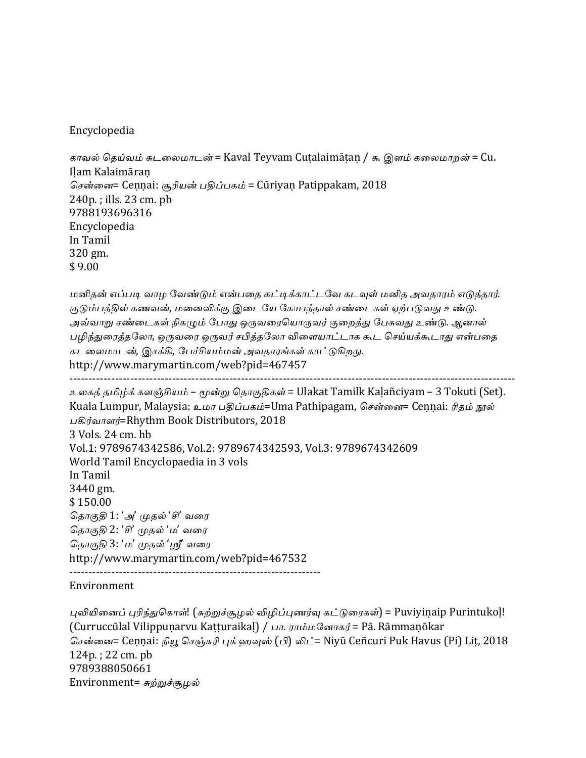### Encyclopedia

காவல் தெய்வம் சுடலைமாடன் = Kaval Teyvam Cutalaimāṭan / சு. இளம் கலைமாறன் = Cu. Iḷam Kalaimāraṇ சென்னை= Cennai: சூரியன் பதிப்பகம் = Cūriyan Patippakam, 2018  $240p$ .; ills.  $23$  cm.  $pb$ 9788193696316 Encyclopedia In Tamil 320 gm. \$ 9.00

மனிதன் எப்படி வாழ வேண்டும் என்பதை சுட்டிக்காட்டவே கடவுள் மனித அவதாரம் எடுத்தார். குடும்பத்தில் கணவன், மனைவிக்கு இடையே கோபத்தால் சண்டைகள் ஏற்படுவது உண்டு. அவ்வாறு சண்டைகள் நிகழும் போது ஒருவரையொருவர் குறைத்து பேசுவது உண்டு. ஆனால் பழிந்துரைத்தலோ, ஒருவரை ஒருவர் சபித்தலோ விளையாட்டாக கூட செய்யக்கூடாது என்பதை சுடலைமாடன், இசக்கி, பேச்சியம்மன் அவதாரங்கள் காட்டுகிறது. http://www.marymartin.com/web?pid=467457 ---------------------------------------------------------------------------------------------------------------------

```
உலகத் தமிழ்க் களஞ்சியம் – மூன்று தொகுதிகள் = Ulakat Tamilk Kaḷañciyam – 3 Tokuti (Set).
Kuala Lumpur, Malaysia: உமா பதிப்பகம்=Uma Pathipagam, சென்னை= Cennai: ரிதம் நூல்
பகிர்வாளர்=Rhythm Book Distributors, 2018
3	Vols.	24	cm.	hb
Vol.1: 9789674342586, Vol.2: 9789674342593, Vol.3: 9789674342609
World Tamil Encyclopaedia in 3 vols
In	Tamil
3440	gm.
$	150.00
தொகுதி1: 'அ' முதல் 'சி' வரை
தொகுதி 2: 'சி' முதல் 'ம' வரை
தொகுதி 3: 'ம' முதல் 'ஸ்ரீ வரை
http://www.marymartin.com/web?pid=467532
------------------------------------------------------------------
```
#### Environment

புவியினைப் புரிந்துகொள்! (சுற்றுச்சூழல் விழிப்புணர்வு கட்டுரைகள்) = Puviyiṇaip Purintukoḷ! (Curruccūlal Vilippuṇarvu Kaṭṭuraikaḷ) / பா. ராம்மனோகர் = Pā. Rāmmaṇōkar சென்னை= Ceṇṇai: நியூ செஞ்சுரி புக் ஹவுஸ் (பி) லிட்= Niyū Ceñcuri Puk Havus (Pi) Lit, 2018  $124p$ .;  $22 \text{ cm}$ .  $pb$ 9789388050661 Environment=  $\vec{a}$ ற்றுச்சூழல்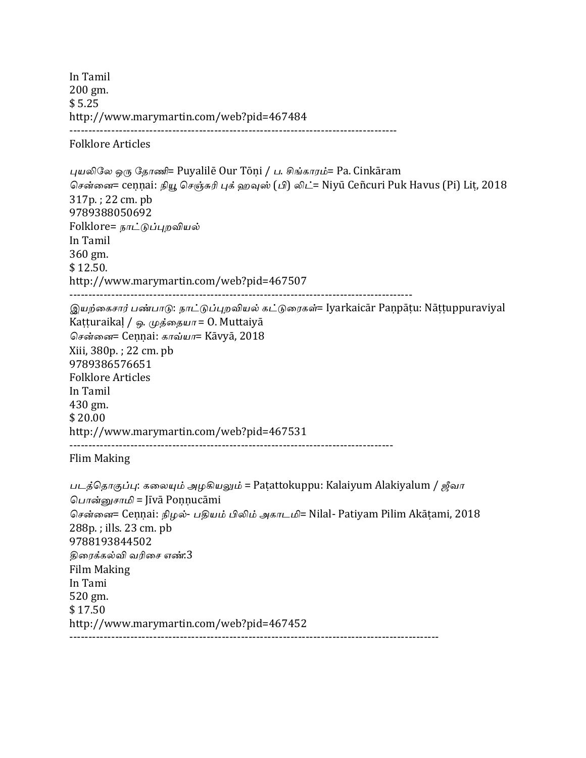In Tamil 200 gm. \$ 5.25 http://www.marymartin.com/web?pid=467484 -------------------------------------------------------------------------------------- Folklore Articles புயலிலே ஒரு தோணி= Puyalilē Our Tōṇi / ப. சிங்காரம்= Pa. Cinkāram சென்னை= ceṇṇai: நியூ செஞ்சுரி புக் ஹவுஸ் (பி) லிட்= Niyū Ceñcuri Puk Havus (Pi) Lit, 2018 317p.; 22 cm. pb 9789388050692 Folklore= நாட்டுப்புறவியல் In Tamil 360 gm. \$ 12.50. http://www.marymartin.com/web?pid=467507 ------------------------------------------------------------------------------------------ இயற்கைசார் பண்பாடு: நாட்டுப்புறவியல் கட்டுரைகள்= Iyarkaicār Paṇpāṭu: Nāṭṭuppuraviyal Katturaikal / ஓ. முத்தையா = 0. Muttaiyā சென்னை= Cennai: காவ்யா= Kāvyā, 2018 Xiii, 380p. ; 22 cm. pb 9789386576651 Folklore Articles In Tamil 430 gm. \$ 20.00 http://www.marymartin.com/web?pid=467531 ------------------------------------------------------------------------------------- Flim Making படத்தொகுப்பு: கலையும் அழகியலும் = Patattokuppu: Kalaiyum Alakiyalum / ஜீவா பொன்னுசாமி = Jīvā Ponnucāmi சென்னை= Cennai: நிழல்- பதியம் பிலிம் அகாடமி= Nilal- Patiyam Pilim Akāṭami, 2018 288p.; ills. 23 cm. pb 9788193844502 கிரைக்கல்வி வரிசை எண்<del>.</del>3 Film Making In Tami 520 gm. \$ 17.50 http://www.marymartin.com/web?pid=467452 -------------------------------------------------------------------------------------------------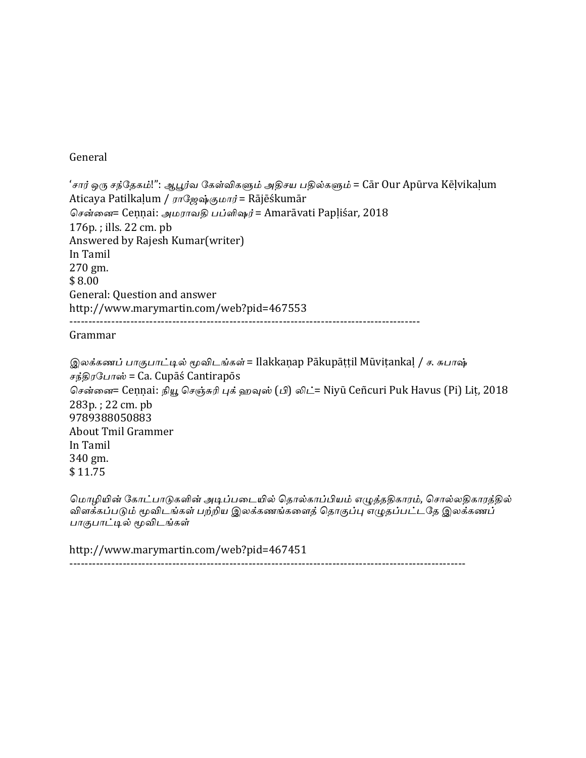### General

'சார் ஒரு சந்தேகம்!'': ஆபூர்வ கேள்விகளும் அதிசய பதில்களும் = Cār Our Apūrva Kēḷvikaḷum Aticaya Patilkaļum / ராஜேஷ்குமார் = Rājēśkumār சென்னை= Cennai: அமராவதி பப்ளிஷர் = Amarāvati Papliśar, 2018  $176p.$ ; ills.  $22 \text{ cm.}$  pb Answered by Rajesh Kumar(writer) In Tamil 270 gm. \$ 8.00 General: Question and answer http://www.marymartin.com/web?pid=467553 --------------------------------------------------------------------------------------------

Grammar

இலக்கணப் பாகுபாட்டில் மூவிடங்கள் = Ilakkaṇap Pākupāttil Mūvitankal / ச. சுபாஷ் சந்திரபோஸ் = Ca. Cupāś Cantirapōs சென்னை= Ceṇṇai: நியூ செஞ்சுரி புக் ஹவுஸ் (பி) லிட்= Niyū Ceñcuri Puk Havus (Pi) Lit, 2018 283p.; 22 cm. pb 9789388050883 About Tmil Grammer In Tamil 340 gm. \$ 11.75

மொழியின் கோட்பாடுகளின் அடிப்படையில் தொல்காப்பியம் எழுத்ததிகாரம், சொல்லதிகாரத்தில் விளக்கப்படும் மூவிடங்கள் பற்றிய இலக்கணங்களைத் தொகுப்பு எழுதப்பட்டதே இலக்கணப் பாகுபாட்டில் மூவிடங்கள்

http://www.marymartin.com/web?pid=467451 --------------------------------------------------------------------------------------------------------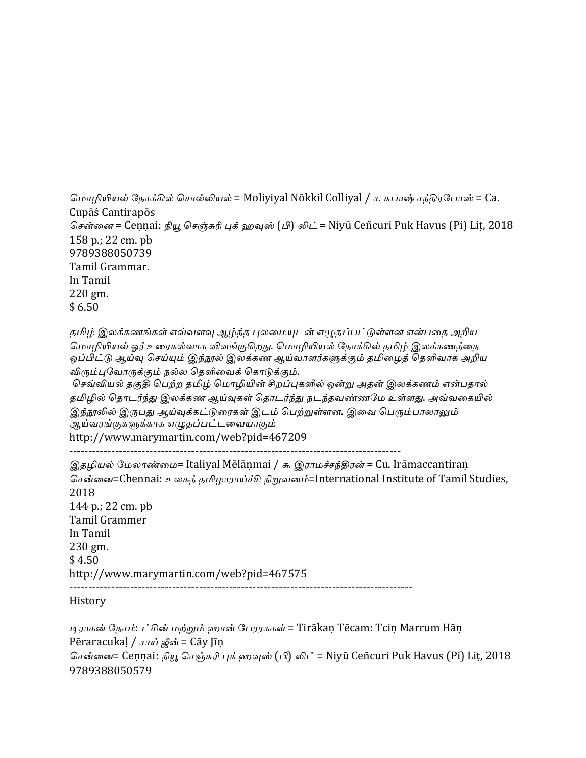```
மொழியியல் நோக்கில் சொல்லியல் = Moliyiyal Nōkkil Colliyal / ச. சுபாஷ் சந்திரபோஸ் = Ca.
CupāśCantirapōs
சென்னை = Ceṇṇai: நியூ செஞ்சுரி புக் ஹவுஸ் (பி) லிட் = Niyū Ceñcuri Puk Havus (Pi) Lit, 2018
158 p.; 22 cm. pb
9789388050739
Tamil	Grammar.
In Tamil
220	gm.
$6.50
```
தமிழ் இலக்கணங்கள் எவ்வளவு ஆழ்ந்த புலமையுடன் எழுதப்பட்டுள்ளன என்பதை அறிய மொழியியல் ஓர் உரைகல்லாக விளங்குகிறது. மொழியியல் நோக்கில் தமிழ் இலக்கணத்தை ஒப்பிட்டு ஆய்வு செய்யும் இந்நூல் இலக்கண ஆய்வாளர்களுக்கும் தமிழைத் தெளிவாக அறிய விரும்புவோருக்கும் நல்ல தெளிவைக் கொடுக்கும்.

செவ்வியல் தகுதி பெற்ற தமிழ் மொழியின் சிறப்புகளில் ஒன்று அதன் இலக்கணம் என்பதால் தமிழில் தொடர்ந்து இலக்கண ஆய்வுகள் தொடர்ந்து நடந்தவண்ணமே உள்ளது. அவ்வகையில் இந்நூலில் இருபது ஆய்வுக்கட்டுரைகள் இடம் பெற்றுள்ளன. இவை பெரும்பாலாலும் ஆய்வரங்குகளுக்காக எழுதப்பட்டவையாகும் http://www.marymartin.com/web?pid=467209 ---------------------------------------------------------------------------------------

இதழியல் மேலாண்மை= Italiyal Mēlāṇmai / சு. இராமச்சந்திரன் = Cu. Irāmaccantiraṇ சென்னை=Chennai: உலகத் தமிழாராய்ச்சி நிறுவனம்=International Institute of Tamil Studies, 2018 144 p.; 22 cm. pb Tamil Grammer In Tamil 230 gm.  $$4.50$ http://www.marymartin.com/web?pid=467575 ------------------------------------------------------------------------------------------

History

டிராகன் தேசம்: ட்சின் மற்றும் ஹான் பேரரசுகள் = Tirākan Tēcam: Tcin Marrum Hān Pēraracukal / சாய் ஜீன் = Cāy Jīn சென்னை= Ceṇṇai: நியூ செஞ்சுரி புக் ஹவுஸ் (பி) லிட் = Niyū Ceñcuri Puk Havus (Pi) Lit, 2018 9789388050579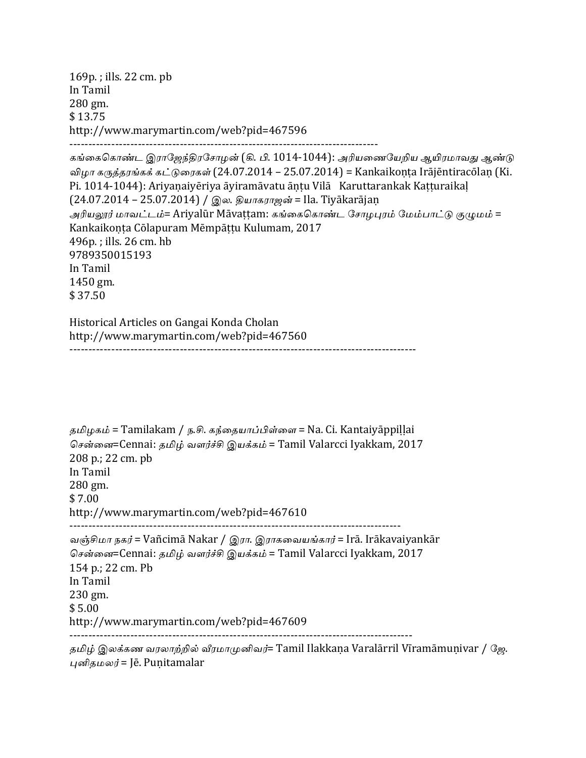169p.; ills. 22 cm. pb In Tamil 280 gm. \$ 13.75 http://www.marymartin.com/web?pid=467596 --------------------------------------------------------------------------------- கங்கைகொண்ட இராஜேந்திரசோழன் (கி. பி. 1014-1044): அரியணையேறிய ஆயிரமாவது ஆண்டு விழா கருத்தரங்கக் கட்டுரைகள் (24.07.2014 – 25.07.2014) = Kankaikonta Irājēntiracōlan (Ki. Pi. 1014-1044): Ariyanaiyēriya āyiramāvatu āntu Vilā Karuttarankak Katturaikal (24.07.2014 – 25.07.2014) / இல. தியாகராஜன் = Ila. Tiyākarājan அரியலூர் மாவட்டம்= Ariyalūr Māvattam: கங்கைகொண்ட சோழபுரம் மேம்பாட்டு குழுமம் = Kankaikonta Cōlapuram Mēmpāttu Kulumam, 2017 496p.; ills. 26 cm. hb 9789350015193 In Tamil 1450 gm. \$ 37.50

Historical Articles on Gangai Konda Cholan http://www.marymartin.com/web?pid=467560 -------------------------------------------------------------------------------------------

```
தமிழகம் = Tamilakam / ந.சி. கந்தையாப்பிள்ளை = Na. Ci. Kantaiyāppiḷḷai
சென்னை=Cennai: தமிழ் வளர்ச்சி இயக்கம் = Tamil Valarcci Iyakkam, 2017
208 p.; 22 cm. pb
In	Tamil
280	gm.
$	7.00
http://www.marymartin.com/web?pid=467610
---------------------------------------------------------------------------------------
வஞ்சிமா நகர் = Vañcimā Nakar / இரா. இராகவையங்கார் = Irā. Irākavaiyankār
சென்னை=Cennai: தமிழ் வளர்ச்சி இயக்கம் = Tamil Valarcci Iyakkam, 2017
154 p.; 22 cm. Pb
In	Tamil
230	gm.
$5.00http://www.marymartin.com/web?pid=467609
------------------------------------------------------------------------------------------
```
தமிழ் இலக்கண வரலாற்றில் வீரமாமுனிவர்= Tamil Ilakkana Varalārril Vīramāmunivar / ஜே. புனிதமலர் = Jē. Punitamalar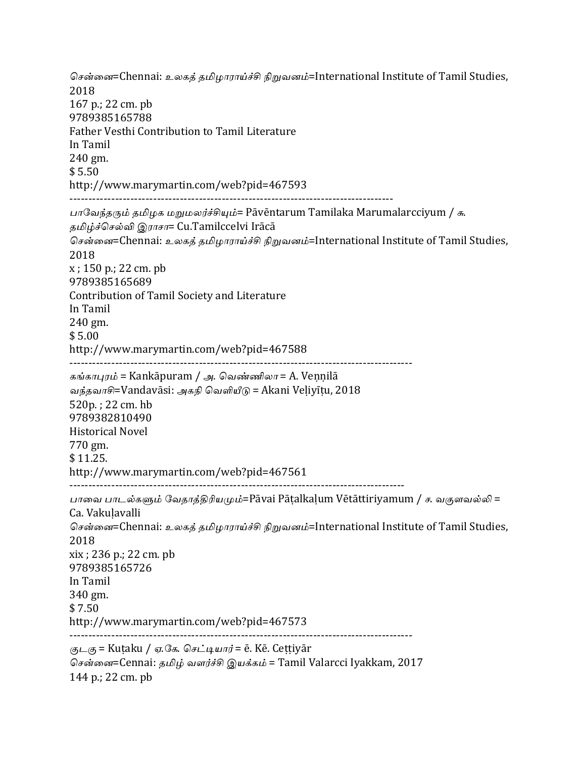சென்னை=Chennai: உலகத் தமிழாராய்ச்சி நிறுவனம்=International Institute of Tamil Studies, 2018 167 p.; 22 cm. pb 9789385165788 Father Vesthi Contribution to Tamil Literature In Tamil 240 gm. \$ 5.50 http://www.marymartin.com/web?pid=467593 ------------------------------------------------------------------------------------- பாவேந்தரும் தமிழக மறுமலர்ச்சியும்= Pāvēntarum Tamilaka Marumalarcciyum / சு. தமிழ்ச்செல்வி இராசா= Cu.Tamilccelvi Irācā சென்னை=Chennai: உலகத் தமிழாராய்ச்சி நிறுவனம்=International Institute of Tamil Studies, 2018  $x$ ; 150 p.; 22 cm. pb 9789385165689 Contribution of Tamil Society and Literature In Tamil 240 gm.  $$5.00$ http://www.marymartin.com/web?pid=467588 ------------------------------------------------------------------------------------------ கங்காபுரம் = Kankāpuram / அ. வெண்ணிலா = A. Vennilā வந்தவாசி=Vandavāsi: அகநி வெளியீடு = Akani Veliyītu, 2018 520p.; 22 cm. hb 9789382810490 Historical Novel 770 gm. \$ 11.25. http://www.marymartin.com/web?pid=467561 ---------------------------------------------------------------------------------------- பாவை பாடல்களும் வேதாத்திரியமும்=Pāvai Pāṭalkaḷum Vētāttiriyamum / ச. வகுளவல்லி = Ca. Vakuḷavalli சென்னை=Chennai: உலகத் தமிழாராய்ச்சி நிறுவனம்=International Institute of Tamil Studies, 2018  $xix$ ; 236 p.; 22 cm. pb 9789385165726 In Tamil 340 gm.  $$7.50$ http://www.marymartin.com/web?pid=467573 ------------------------------------------------------------------------------------------  $\mathcal{L}_\mathcal{B} =$  Kutaku / ஏ.கே. செட்டியார் = ē. Kē. Cettiyār சென்னை=Cennai: தமிழ் வளர்ச்சி இயக்கம் = Tamil Valarcci Iyakkam, 2017

144 p.; 22 cm. pb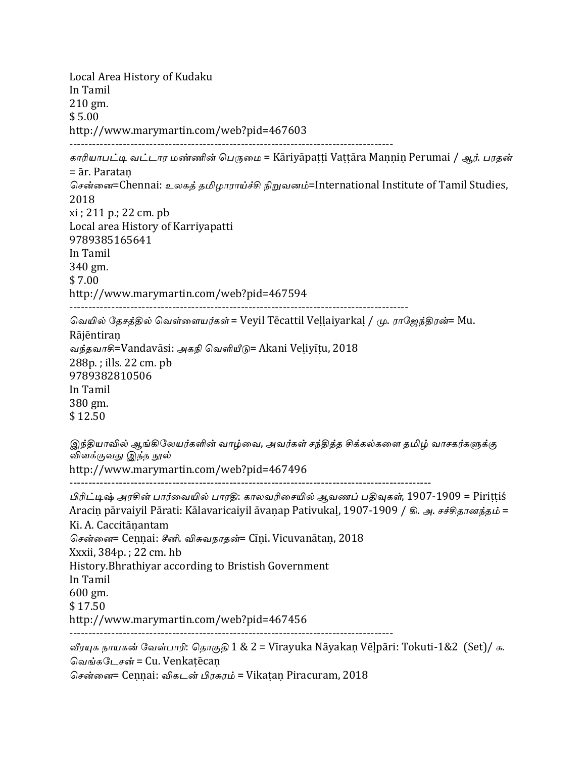Local Area History of Kudaku In Tamil 210 gm.  $$5.00$ http://www.marymartin.com/web?pid=467603 ------------------------------------------------------------------------------------- காரியாபட்டி வட்டார மண்ணின் பெருமை = Kāriyāpatti Vattāra Mannin Perumai / ஆர். பரதன் = ār. Parataṇ சென்னை=Chennai: உலகக் தமிழாராய்ச்சி நிறுவனம்=International Institute of Tamil Studies, 2018  $xi$ ; 211 p.; 22 cm. pb Local area History of Karriyapatti 9789385165641 In Tamil 340 gm. \$ 7.00 http://www.marymartin.com/web?pid=467594 ----------------------------------------------------------------------------------------- வெயில் தேசத்தில் வெள்ளையர்கள் = Veyil Tēcattil Veḷḷaiyarkaḷ / மு. ராஜேந்திரன்= Mu. Rājēntiraṇ வந்தவாசி=Vandavāsi: அகநி வெளியீடு= Akani Velivītu, 2018 288p.; ills. 22 cm. pb 9789382810506 In Tamil 380 gm. \$ 12.50 இந்தியாவில் ஆங்கிலேயர்களின் வாழ்வை, அவர்கள் சந்திக்க சிக்கல்களை தமிழ் வாசகர்களுக்கு விளக்குவது இந்த நூல் http://www.marymartin.com/web?pid=467496 ----------------------------------------------------------------------------------------------- பிரிட்டிஷ் அரசின் பார்வையில் பாரதி: காலவரிசையில் ஆவணப் பகிவுகள், 1907-1909 = Pirittiś Aracin pārvaiyil Pārati: Kālavaricaiyil āvanap Pativukal, 1907-1909 / இ. அ. சச்சிதானந்தம் = Ki. A. Caccitāṇantam சென்னை= Cennai: சீனி. விசுவநாதன்= Cīni. Vicuvanātan, 2018 Xxxii, 384p.; 22 cm. hb History. Bhrathiyar according to Bristish Government In Tamil 600 gm. \$ 17.50 http://www.marymartin.com/web?pid=467456 ------------------------------------------------------------------------------------- வீரயுக நாயகன் வேள்பாரி: தொகுதி 1 & 2 = Vīrayuka Nāyakaṇ Vēḷpāri: Tokuti-1&2 (Set)/ சு. வெங்கடேசன் = Cu. Venkatēcan

சென்னை= Cennai: விகடன் பிரசுரம் = Vikatan Piracuram, 2018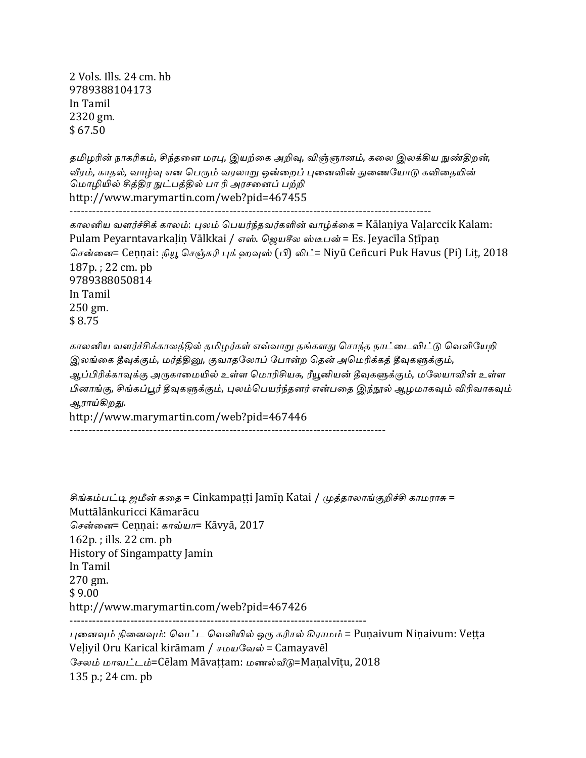2 Vols. Ills. 24 cm. hb 9789388104173 In Tamil 2320 gm. \$ 67.50

தமிழரின் நாகரிகம், சிந்தனை மரபு, இயற்கை அறிவு, விஞ்ஞானம், கலை இலக்கிய நுண்திறன், வீரம், காதல், வாம்வு என பெரும் வரலாறு ஒன்றைப் புனைவின் துணையோடு கவிதையின் மொழியில் சித்திர நுட்பத்தில் பா ரி அரசனைப் பற்றி http://www.marymartin.com/web?pid=467455 -----------------------------------------------------------------------------------------------

காலனிய வளர்ச்சிக் காலம்: புலம் பெயர்ந்தவர்களின் வாழ்க்கை = Kālaniya Vaḷarccik Kalam: Pulam Peyarntavarkaḷiṇ Vālkkai / எஸ். ஜெயசீல ஸ்டீபன் = Es. Jeyacīla Sṭīpaṇ சென்னை= Cennai: நியூ செஞ்சுரி புக் ஹவுஸ் (பி) லிட்= Niyū Ceñcuri Puk Havus (Pi) Lit, 2018 187p.; 22 cm. pb 9789388050814 In Tamil 250 gm. \$ 8.75

காலனிய வளர்ச்சிக்காலத்தில் தமிழர்கள் எவ்வாறு தங்களது சொந்த நாட்டைவிட்டு வெளியேறி இலங்கை தீவுக்கும், மர்த்தினு, குவாதலோப் போன்ற தென் அமெரிக்கத் தீவுகளுக்கும், ஆப்பிரிக்காவுக்கு அருகாமையில் உள்ள மொரிசியசு, ரீயூனியன் தீவுகளுக்கும், மலேயாவின் உள்ள பினாங்கு, சிங்கப்பூர் தீவுகளுக்கும், புலம்பெயர்ந்தனர் என்பதை இந்நூல் ஆழமாகவும் விரிவாகவும் ஆ*ரா*ய்கிறது. http://www.marymartin.com/web?pid=467446

-----------------------------------------------------------------------------------

சிங்கம்பட்டி ஜமீன் கதை = Cinkampaṭṭi Jamīṇ Katai / முத்தாலாங்குறிச்சி காமராசு = Muttālānkuricci Kāmarācu சென்னை= Cennai: காவ்யா= Kāvyā, 2017  $162p$ .; ills.  $22 \text{ cm}$ . pb History of Singampatty Jamin In Tamil 270 gm.  $$9.00$ http://www.marymartin.com/web?pid=467426 ------------------------------------------------------------------------------ புனைவும் நினைவும்: வெட்ட வெளியில் ஒரு கரிசல் கிராமம் = Puṇaivum Niṇaivum: Veṭṭa Veliyil Oru Karical kirāmam /  $\mu\omega\Omega$ வல் = Camayavēl சேலம் மாவட்டம்=Cēlam Māvattam: மணல்வீடு=Manalvītu, 2018  $135$  p.;  $24$  cm.  $pb$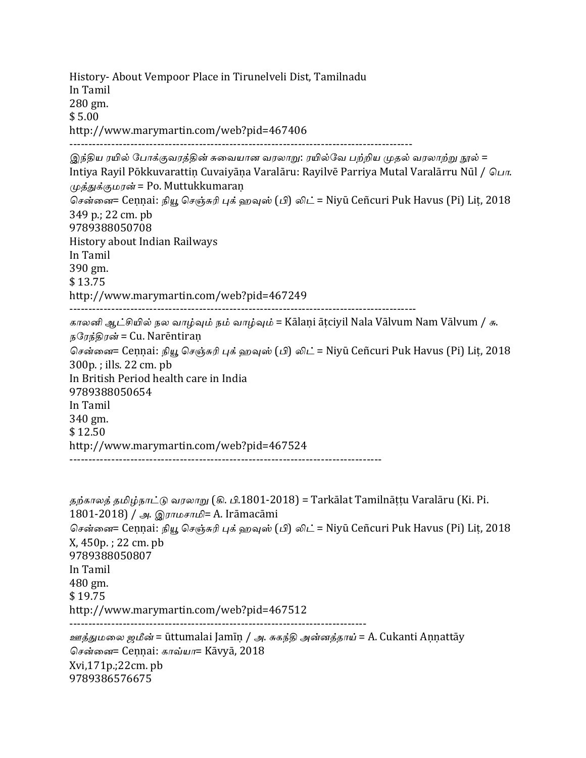History- About Vempoor Place in Tirunelveli Dist, Tamilnadu In Tamil 280 gm.  $$5.00$ http://www.marymartin.com/web?pid=467406 ------------------------------------------------------------------------------------------ இந்திய ரயில் போக்குவரத்தின் சுவையான வரலாறு: ரயில்வே பற்றிய முதல் வரலாற்று நூல் = Intiya Rayil Pōkkuvarattin Cuvaiyāna Varalāru: Rayilvē Parriya Mutal Varalārru Nūl /  $\Omega_{\text{L}}$ m. முத்துக்குமரன் = Po. Muttukkumaran சென்னை= Ceṇṇai: நியூ செஞ்சுரி புக் ஹவுஸ் (பி) லிட் = Niyū Ceñcuri Puk Havus (Pi) Liṭ, 2018 349 p.; 22 cm. pb 9789388050708 History about Indian Railways In Tamil 390 gm. \$ 13.75 http://www.marymartin.com/web?pid=467249 ------------------------------------------------------------------------------------------- காலனி ஆட்சியில் நல வாழ்வும் நம் வாழ்வும் = Kālani ātciyil Nala Vālvum Nam Vālvum / சு. நரேந்திரன் = Cu. Narēntiraṇ சென்னை= Ceṇṇai: நியூ செஞ்சுரி புக் ஹவுஸ் (பி) லிட் = Niyū Ceñcuri Puk Havus (Pi) Lit, 2018 300p.; ills. 22 cm. pb In British Period health care in India 9789388050654 In Tamil 340 gm. \$ 12.50 http://www.marymartin.com/web?pid=467524 ----------------------------------------------------------------------------------

```
தற்காலத் தமிழ்நாட்டு வரலாறு (கி. பி.1801-2018) = Tarkālat Tamilnāttu Varalāru (Ki. Pi.
1801-2018) / அ. இராமசாமி= A. Irāmacāmi
சென்னை= Ceṇṇai: நியூ செஞ்சுரி புக் ஹவுஸ் (பி) லிட் = Niyū Ceñcuri Puk Havus (Pi) Lit, 2018
X, 450p.; 22 cm. pb
9789388050807
In	Tamil
480	gm.
$	19.75
http://www.marymartin.com/web?pid=467512
------------------------------------------------------------------------------
ஊத்துமலை ஜமீன் = ūttumalai Jamīn / அ. சுகந்தி அன்னத்தாய் = A. Cukanti Annattāy
சென்னை= Cennai: காவ்யா= Kāvyā, 2018
Xvi,171p.;22cm.	pb
9789386576675
```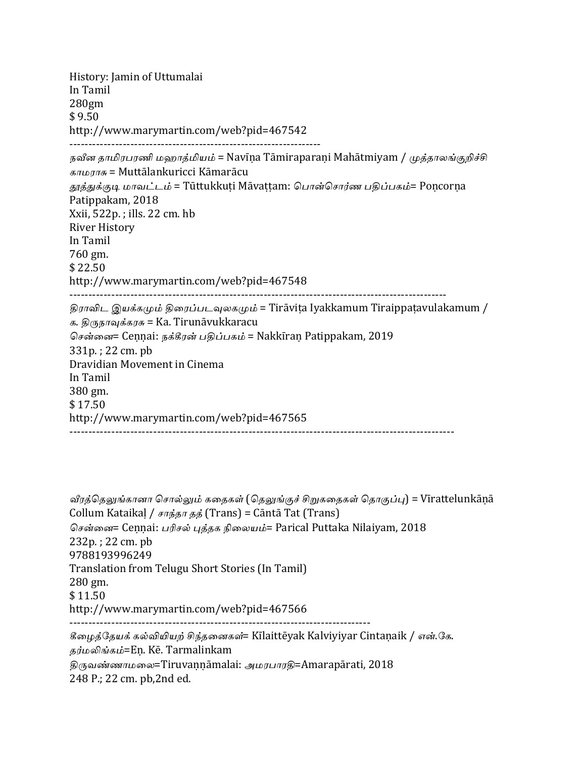History: Jamin of Uttumalai In Tamil 280gm  $$9.50$ http://www.marymartin.com/web?pid=467542 ------------------------------------------------------------------ நவீன தாமிரபரணி மஹாத்மியம் = Navīna Tāmiraparani Mahātmiyam / முத்தாலங்குறிச்சி காமராசு = Muttālankuricci Kāmarācu தூத்துக்குடி மாவட்டம் = Tūttukkuti Māvattam: பொன்சொர்ண பதிப்பகம்= Poncorna Patippakam, 2018 Xxii, 522p. ; ills. 22 cm. hb **River History** In Tamil 760 gm. \$ 22.50 http://www.marymartin.com/web?pid=467548 --------------------------------------------------------------------------------------------------- திராவிட இயக்கமும் திரைப்படவுலகமும் = Tirāviṭa Iyakkamum Tiraippaṭavulakamum / க. திருநாவுக்கரசு = Ka. Tirunāvukkaracu சென்னை= Cennai: நக்கீரன் பதிப்பகம் = Nakkiran Patippakam, 2019  $331p.$ ; 22 cm. pb Dravidian Movement in Cinema In Tamil 380 gm. \$ 17.50 http://www.marymartin.com/web?pid=467565 -----------------------------------------------------------------------------------------------------

வீரத்தெலுங்கானா சொல்லும் கதைகள் (தெலுங்குச் சிறுகதைகள் தொகுப்பு) = Vīrattelunkāṇā Collum Kataikaļ / சாந்தா தத் (Trans) = Cāntā Tat (Trans) சென்னை= Cennai: பரிசல் புத்தக நிலையம்= Parical Puttaka Nilaiyam, 2018  $232p.$ ;  $22 \text{ cm. } pb$ 9788193996249 Translation from Telugu Short Stories (In Tamil) 280 gm. \$ 11.50 http://www.marymartin.com/web?pid=467566 ------------------------------------------------------------------------------- கீழைத்தேயக் கல்வியியற் சிந்தனைகள்= Kīlaittēyak Kalviyiyar Cintaṇaik / என்.கே. தர்மலிங்கம்=En. Kē. Tarmalinkam திருவண்ணாமலை=Tiruvannāmalai: அமரபாரதி=Amarapārati, 2018 248 P.; 22 cm. pb,2nd ed.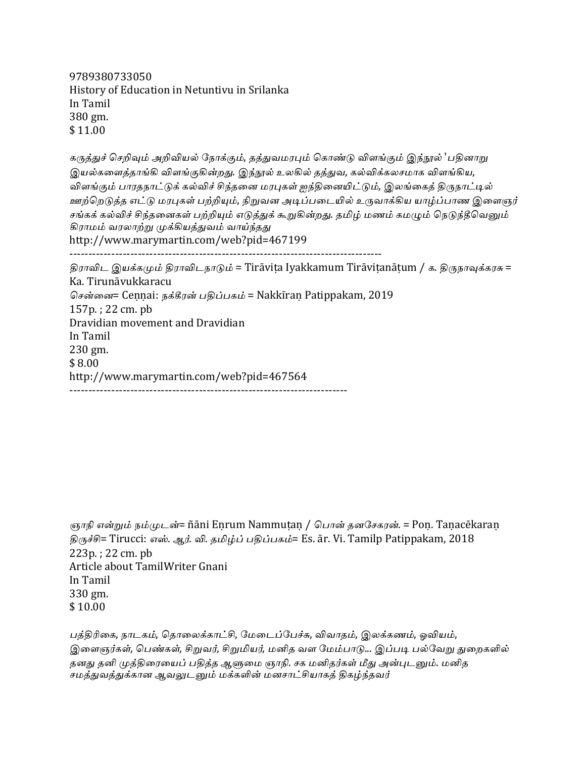9789380733050 History of Education in Netuntivu in Srilanka In Tamil 380 gm. \$ 11.00

கருத்துச் செறிவும் அறிவியல் நோக்கும், தத்துவமரபும் கொண்டு விளங்கும் இந்நூல் 'பதினாறு இயல்களைத்தாங்கி விளங்குகின்றது. இந்நூல் உலகில் தத்துவ, கல்விக்கலசமாக விளங்கிய, விளங்கும் பாரதநாட்டுக் கல்விச் சிந்தனை மரபுகள் ஐந்தினையிட்டும், இலங்கைத் திருநாட்டில் ஊற்றெடுத்த எட்டு மரபுகள் பற்றியும், நிறுவன அடிப்படையில் உருவாக்கிய யாழ்ப்பாண இளைஞர் சங்கக் கல்விச் சிந்தனைகள் பற்றியும் எடுத்துக் கூறுகின்றது. தமிழ் மணம் கமழும் நெடுந்தீவெனும் கிராமம் வரலாற்று முக்கியத்துவம் வாய்ந்தது http://www.marymartin.com/web?pid=467199 ---------------------------------------------------------------------------------- திராவிட இயக்கமும் திராவிடநாடும் = Tirāvita Iyakkamum Tirāvitanātum / க. திருநாவுக்கரசு =

Ka. Tirunāvukkaracu சென்னை= Cennai: நக்கீரன் பதிப்பகம் = Nakkiran Patippakam, 2019  $157p.$ ; 22 cm. pb Dravidian movement and Dravidian In Tamil 230 gm. \$ 8.00 http://www.marymartin.com/web?pid=467564 -------------------------------------------------------------------------

```
ஞாநி என்றும் நம்முடன்= ñāni Eṇrum Nammuṭaṇ / பொன் தனசேகரன். = Poṇ. Taṇacēkaraṇ
திருச்சி= Tirucci: எஸ். ஆர். வி. தமிழ்ப் பதிப்பகம்= Es. ār. Vi. Tamilp Patippakam, 2018
223p.; 22 \text{ cm. } pbArticle about TamilWriter Gnani
In	Tamil
330	gm.
$10.00
```
பத்திரிகை, நாடகம், தொலைக்காட்சி, மேடைப்பேச்சு, விவாதம், இலக்கணம், ஓவியம், இளைஞர்கள், பெண்கள், சிறுவர், சிறுமியர், மனிக வள மேம்பாடு... இப்படி பல்வேறு துறைகளில் தனது தனி முத்திரையைப் பதித்த ஆளுமை ஞாநி. சக மனிதர்கள் மீது அன்புடனும். மனித சமத்துவத்துக்கான ஆவலுடனும் மக்களின் மனசாட்சியாகத் திகழ்ந்தவர்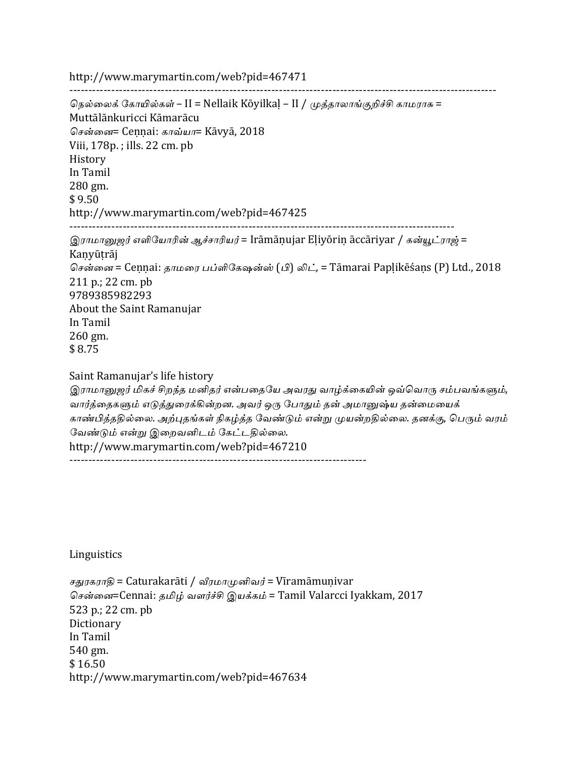http://www.marymartin.com/web?pid=467471 ---------------------------------------------------------------------------------------------------------------- நெல்லைக் கோயில்கள் – II = Nellaik Kōyilkal – II / முத்தாலாங்குறிச்சி காமராசு = Muttālānkuricci Kāmarācu சென்னை= Cennai: காவ்யா= Kāvyā, 2018 Viii, 178p.; ills. 22 cm. pb History In Tamil 280 gm.  $$9.50$ http://www.marymartin.com/web?pid=467425 ----------------------------------------------------------------------------------------------------- இராமானுஜர் எளியோரின் ஆச்சாரியர் = Irāmāṇujar Eliyōriṇ āccāriyar / கன்யூட்ராஜ் = Kanyūtrāj சென்னை = Ceṇṇai: தாமரை பப்ளிகேஷன்ஸ் (பி) லிட், = Tāmarai Papḷikēśaṇs (P) Ltd., 2018 211 p.; 22 cm. pb 9789385982293 About the Saint Ramanujar In Tamil  $260$  gm. \$ 8.75 Saint Ramanujar's life history இராமானுஜர் மிகச் சிறந்த மனிதர் என்பதையே அவரது வாழ்க்கையின் ஒவ்வொரு சம்பவங்களும், வார்த்தைகளும் எடுத்துரைக்கின்றன. அவர் ஒரு போதும் தன் அமானுஷ்ய தன்மையைக் காண்பித்ததில்லை. அற்புதங்கள் நிகழ்த்த வேண்டும் என்று முயன்றதில்லை. தனக்கு, பெரும் வரம் வேண்டும் என்று இறைவனிடம் கேட்டதில்லை. http://www.marymartin.com/web?pid=467210

------------------------------------------------------------------------------

Linguistics

சதுரகராதி = Caturakarāti / வீரமாமுனிவர் = Vīramāmuṇivar சென்னை=Cennai: தமிழ் வளர்ச்சி இயக்கம் = Tamil Valarcci Iyakkam, 2017 523 p.; 22 cm. pb **Dictionary** In Tamil 540 gm. \$ 16.50 http://www.marymartin.com/web?pid=467634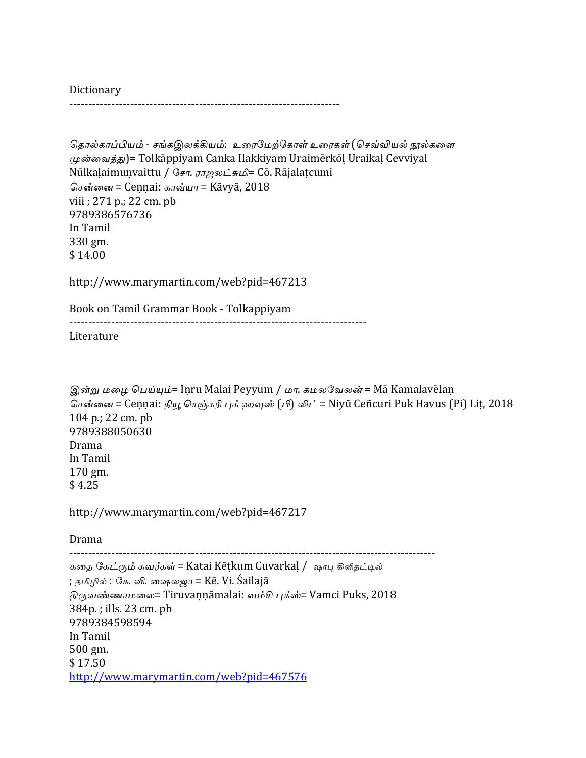**Dictionary** -----------------------------------------------------------------------

```
தொல்காப்பியம் - சங்கஇலக்கியம்:  உரைமேற்கோள் உரைகள் (செவ்வியல் நூல்களை
(\muன்வைத்து)= Tolkāppiyam Canka Ilakkiyam Uraimērkōl Uraikal Cevviyal
Nūlkalaimunvaittu / சோ. ராஜலட்சுமி= Cō. Rājalatcumi
சென்னை = Cennai: காவ்யா = Kāvyā, 2018
viii ; 271 p.; 22 cm. pb
9789386576736
In	Tamil
330	gm.
$	14.00
http://www.marymartin.com/web?pid=467213	
Book	on	Tamil	Grammar	Book	- Tolkappiyam
------------------------------------------------------------------------------
Literature
இன்று மழை பெய்யும்= Iṇru Malai Peyyum / மா. கமலவேலன் = Mā Kamalavēlaṇ
சென்னை = Ceṇṇai: நியூ செஞ்சுரி புக் ஹவுஸ் (பி) லிட் = Niyū Ceñcuri Puk Havus (Pi) Lit, 2018
104 p.; 22 cm. pb
9789388050630
Drama
In	Tamil
170	gm.
$4.25http://www.marymartin.com/web?pid=467217
Drama
------------------------------------------------------------------------------------------------
கதை கேட்கும் சுவர்கள் = Katai Kēṭkum Cuvarkaḷ / ஷாபு கிளிதட்டில்
; தமிழில் : கே. வி. ஷைலஜா = Kē. Vi. Śailajā
திருவண்ணாமலை= Tiruvaṇṇāmalai: வம்சி புக்ஸ்= Vamci Puks, 2018
384p.; ills. 23 cm. pb
9789384598594
In	Tamil
500	gm.
$	17.50
http://www.marymartin.com/web?pid=467576
```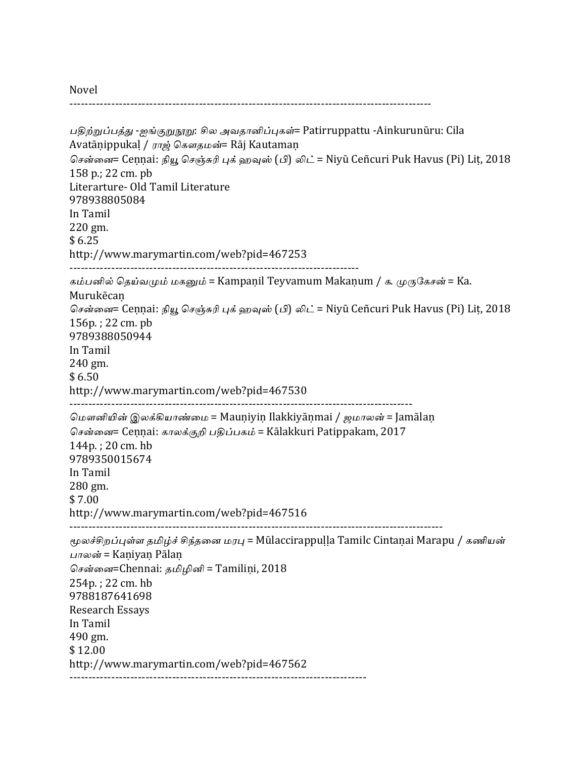Novel

----------------------------------------------------------------------------------------------- பதிற்றுப்பத்து -ஐங்குறுநூறு: சில அவதானிப்புகள்= Patirruppattu -Ainkurunūru: Cila Avatāṇippukaļ / ராஜ் கௌதமன்= Rāj Kautamaṇ சென்னை= Ceṇṇai: நியூ செஞ்சுரி புக் ஹவுஸ் (பி) லிட் = Niyū Ceñcuri Puk Havus (Pi) Lit, 2018 158 p.; 22 cm. pb Literarture- Old Tamil Literature 978938805084 In Tamil 220 gm.  $$6.25$ http://www.marymartin.com/web?pid=467253 ---------------------------------------------------------------------------- கம்பனில் தெய்வமும் மகனும் = Kampaṇil Teyvamum Makaṇum / க. முருகேசன் = Ka. Murukēcaṇ சென்னை= Cennai: நியூ செஞ்சுரி புக் ஹவுஸ் (பி) லிட் = Niyū Ceñcuri Puk Havus (Pi) Lit, 2018  $156p.$ ;  $22 \text{ cm. } pb$ 9789388050944 In Tamil 240 gm.  $$6.50$ http://www.marymartin.com/web?pid=467530 ------------------------------------------------------------------------------------------ மௌனியின் இலக்கியாண்மை = Mauniyin Ilakkiyānmai / *ஜமாலன்* = Jamālan சென்னை= Cennai: காலக்குறி பதிப்பகம் = Kālakkuri Patippakam, 2017 144p. : 20 cm. hb 9789350015674 In Tamil 280 gm. \$ 7.00 http://www.marymartin.com/web?pid=467516 -------------------------------------------------------------------------------------------------- மூலச்சிறப்புள்ள தமிழ்ச் சிந்தனை மரபு = Mūlaccirappuḷḷa Tamilc Cintaṇai Marapu / கணியன் பாலன் = Kaniyan Pālan சென்னை=Chennai: தமிழினி = Tamilini, 2018  $254p.$ ;  $22 \text{ cm.}$ hb 9788187641698 Research Essays In Tamil 490 gm. \$ 12.00 http://www.marymartin.com/web?pid=467562 ------------------------------------------------------------------------------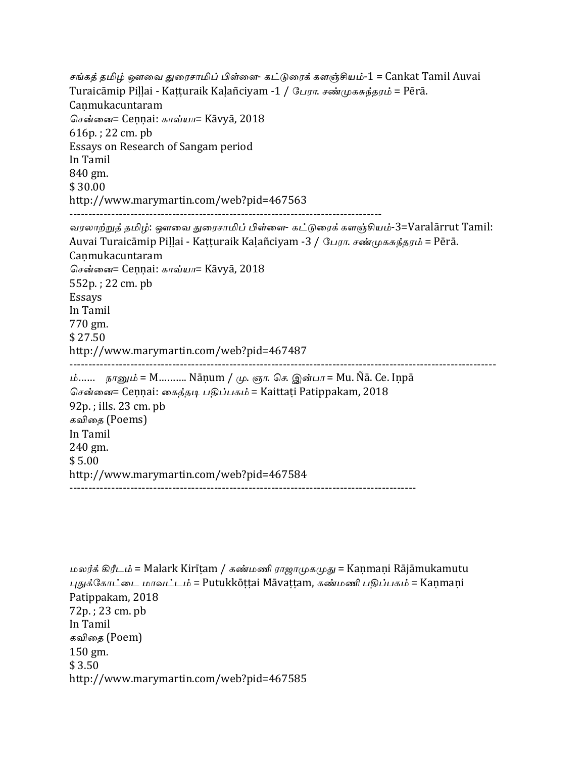சங்கத் தமிழ் ஔவை துரைசாமிப் பிள்ளை- கட்டுரைக் களஞ்சியம்-1 = Cankat Tamil Auvai Turaicāmip Pillai - Katturaik Kalañciyam -1 / பேரா. சண்முகசுந்தரம் = Pērā. Canmukacuntaram சென்னை= Cennai: காவ்யா= Kāvyā, 2018  $616p.$ ; 22 cm. pb Essays on Research of Sangam period In Tamil 840 gm. \$ 30.00 http://www.marymartin.com/web?pid=467563 ---------------------------------------------------------------------------------- வரலாற்றுத் தமிழ்: ஔவை துரைசாமிப் பிள்ளை- கட்டுரைக் களஞ்சியம்-3=Varalārrut Tamil: Auvai Turaicāmip Piḷḷai - Kaṭṭuraik Kaḷañciyam -3 / பேரா. சண்முகசுந்தரம் = Pērā. Canmukacuntaram சென்னை= Cennai: காவ்யா= Kāvyā, 2018 552p.; 22 cm. pb Essays In Tamil 770 gm. \$ 27.50 http://www.marymartin.com/web?pid=467487 ---------------------------------------------------------------------------------------------------------------- ம்…… நானும் = M………. Nānum / மு. ஞா. செ. இன்பா = Mu. Ñā. Ce. Inpā சென்னை= Cennai: கைத்தடி பதிப்பகம் = Kaittați Patippakam, 2018  $92p.$ ; ills.  $23$  cm.  $pb$ கவிதை (Poems) In Tamil 240 gm.  $$5.00$ http://www.marymartin.com/web?pid=467584 -------------------------------------------------------------------------------------------

```
மலர்க் கிரீடம் = Malark Kirītam / கண்மணி ராஜாமுகமுது = Kanmani Rājāmukamutu
புதுக்கோட்டை மாவட்டம் = Putukkōttai Māvattam, கண்மணி பதிப்பகம் = Kanmani
Patippakam, 2018
72p.; 23 cm. pb
In	Tamil
கவிதை (Poem)
150	gm.
$3.50http://www.marymartin.com/web?pid=467585
```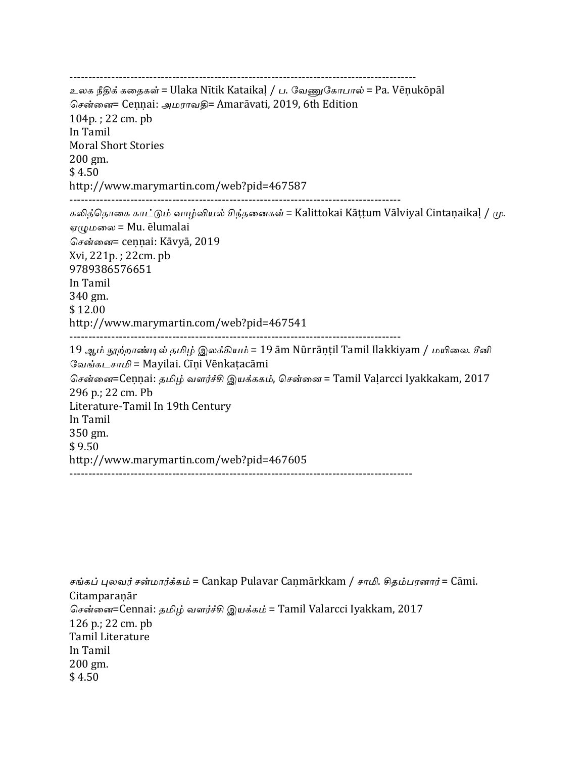------------------------------------------------------------------------------------------- உலக நீதிக் கதைகள் = Ulaka Nītik Kataikal / ப. வேணுகோபால் = Pa. Vēnukōpāl சென்னை= Cennai: அமராவதி= Amarāvati, 2019, 6th Edition  $104p.$ ; 22 cm. pb In Tamil Moral Short Stories 200 gm.  $$4.50$ http://www.marymartin.com/web?pid=467587 --------------------------------------------------------------------------------------- கலித்தொகை காட்டும் வாழ்வியல் சிந்தனைகள் = Kalittokai Kāṭṭum Vālviyal Cintaṇaikaḷ / மு.  $\sigma(\mu\omega \omega) = Mu$ . ēlumalai சென்னை= cennai: Kāvyā, 2019 Xvi, 221p.; 22cm. pb 9789386576651 In Tamil 340 gm. \$ 12.00 http://www.marymartin.com/web?pid=467541 --------------------------------------------------------------------------------------- 19 ஆம் நூற்றாண்டில் தமிழ் இலக்கியம் = 19 ām Nūrrāṇṭil Tamil Ilakkiyam / மயிலை. சீனி வேங்கடசாமி = Mayilai. Cīni Vēnkatacāmi சென்னை=Cennai: தமிழ் வளர்ச்சி இயக்ககம், சென்னை = Tamil Valarcci Iyakkakam, 2017 296 p.; 22 cm. Pb Literature-Tamil In 19th Century In Tamil 350 gm.  $$9.50$ http://www.marymartin.com/web?pid=467605 ------------------------------------------------------------------------------------------

சங்கப் புலவர் சன்மார்க்கம் = Cankap Pulavar Caṇmārkkam / சாமி. சிதம்பரனார் = Cāmi. **Citamparanār** சென்னை=Cennai: தமிழ் வளர்ச்சி இயக்கம் = Tamil Valarcci Iyakkam, 2017 126 p.; 22 cm. pb Tamil Literature In Tamil 200 gm.  $$4.50$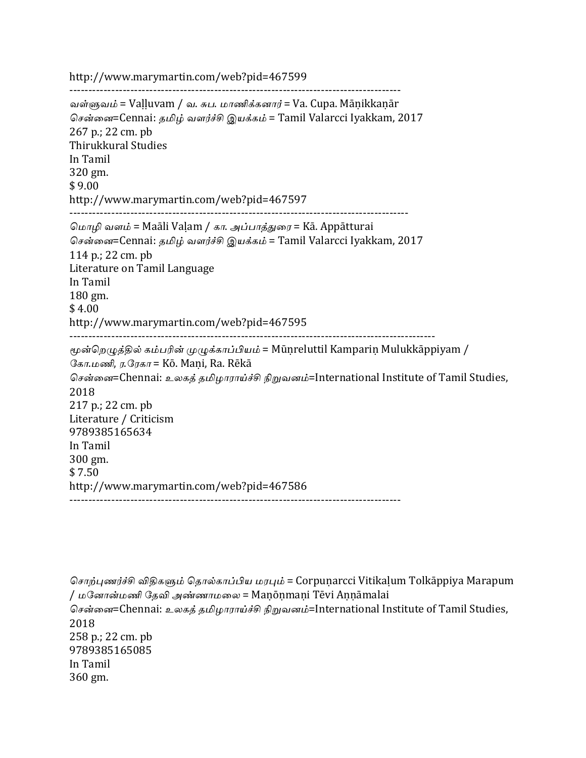http://www.marymartin.com/web?pid=467599

---------------------------------------------------------------------------------------

வள்ளுவம் = Vaḷḷuvam / வ. சுப. மாணிக்கனார் = Va. Cupa. Mānikkanār சென்னை=Cennai: தமிழ் வளர்ச்சி இயக்கம் = Tamil Valarcci Iyakkam, 2017 267 p.; 22 cm. pb Thirukkural Studies In Tamil 320 gm.  $$9.00$ http://www.marymartin.com/web?pid=467597 ----------------------------------------------------------------------------------------- மொழி வளம் = Maāli Valam / கா. அப்பாத்துரை = Kā. Appātturai சென்னை=Cennai: தமிழ் வளர்ச்சி இயக்கம் = Tamil Valarcci Iyakkam, 2017 114 p.; 22 cm. pb Literature on Tamil Language In Tamil 180 gm.  $$4.00$ http://www.marymartin.com/web?pid=467595 ------------------------------------------------------------------------------------------------ மூன்றெழுத்தில் கம்பரின் முழுக்காப்பியம் = Mūnreluttil Kampariṇ Mulukkāppiyam / கோ.மணி, ர.ரேகா = Kō. Mani, Ra. Rēkā சென்னை=Chennai: உலகத் தமிழாராய்ச்சி நிறுவனம்=International Institute of Tamil Studies, 2018 217 p.; 22 cm. pb Literature / Criticism 9789385165634 In Tamil 300 gm.  $$7.50$ http://www.marymartin.com/web?pid=467586 ---------------------------------------------------------------------------------------

சொற்புணர்ச்சி விதிகளும் தொல்காப்பிய மரபும் = Corpuṇarcci Vitikalum Tolkāppiya Marapum / மனோன்மணி தேவி அண்ணாமலை = Maṇōṇmaṇi Tēvi Aṇṇāmalai சென்னை=Chennai: உலகத் தமிழாராய்ச்சி நிறுவனம்=International Institute of Tamil Studies, 2018 258 p.; 22 cm. pb 9789385165085 In Tamil 360 gm.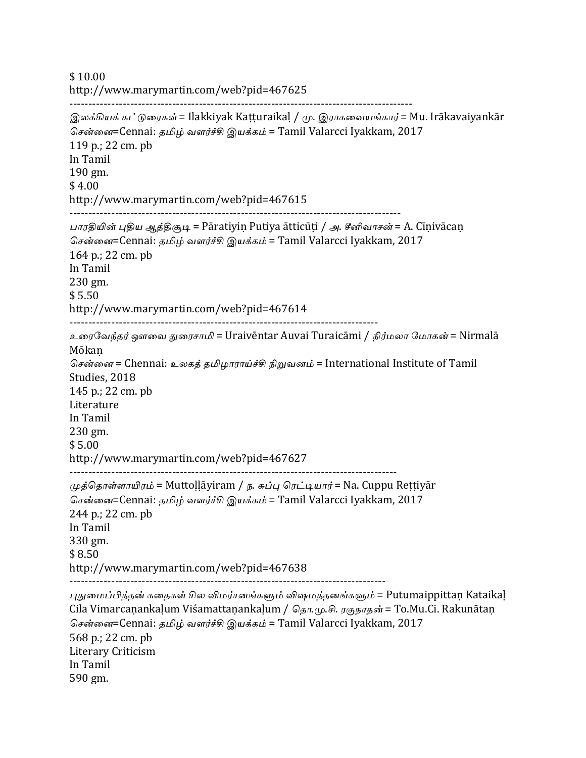\$ 10.00 http://www.marymartin.com/web?pid=467625 ------------------------------------------------------------------------------------------

இலக்கியக் கட்டுரைகள் = Ilakkiyak Kaṭṭuraikaḷ / மு. இராகவையங்கார் = Mu. Irākavaiyankār சென்னை=Cennai: தமிழ் வளர்ச்சி இயக்கம் = Tamil Valarcci Iyakkam, 2017 119 p.; 22 cm. pb In Tamil 190 gm.  $$4.00$ http://www.marymartin.com/web?pid=467615 --------------------------------------------------------------------------------------- பாரதியின் புதிய ஆத்திசூடி = Pāratiyin Putiya ātticūṭi / அ. சீனிவாசன் = A. Cīnivācan சென்னை=Cennai: தமிழ் வளர்ச்சி இயக்கம் = Tamil Valarcci Iyakkam, 2017  $164$  p.: 22 cm. pb In Tamil 230 gm.  $$5.50$ http://www.marymartin.com/web?pid=467614 --------------------------------------------------------------------------------- உரைவேந்தர் ஔவை துரைசாமி = Uraivēntar Auvai Turaicāmi / நிர்மலா மோகன் = Nirmalā Mōkaṇ சென்னை = Chennai: உலகத் தமிழாராய்ச்சி நிறுவனம் = International Institute of Tamil Studies, 2018 145 p.; 22 cm. pb **Literature** In Tamil 230 gm.  $$5.00$ http://www.marymartin.com/web?pid=467627 -------------------------------------------------------------------------------------- முத்தொள்ளாயிரம் = Muttollāyiram / ந. சுப்பு ரெட்டியார் = Na. Cuppu Rettiyār சென்னை=Cennai: தமிழ் வளர்ச்சி இயக்கம் = Tamil Valarcci Iyakkam, 2017 244 p.; 22 cm. pb In Tamil 330 gm. \$ 8.50 http://www.marymartin.com/web?pid=467638 ----------------------------------------------------------------------------------- புதுமைப்பித்தன் கதைகள் சில விமர்சனங்களும் விஷமத்தனங்களும் = Putumaippittaṇ Kataikaḷ Cila Vimarcaṇankaḷum Viśamattaṇankaḷum / தொ.மு.சி. ரகுநாதன் = To.Mu.Ci. Rakunātaṇ சென்னை=Cennai: தமிழ் வளர்ச்சி இயக்கம் = Tamil Valarcci Iyakkam, 2017 568 p.; 22 cm. pb Literary Criticism In Tamil

590 gm.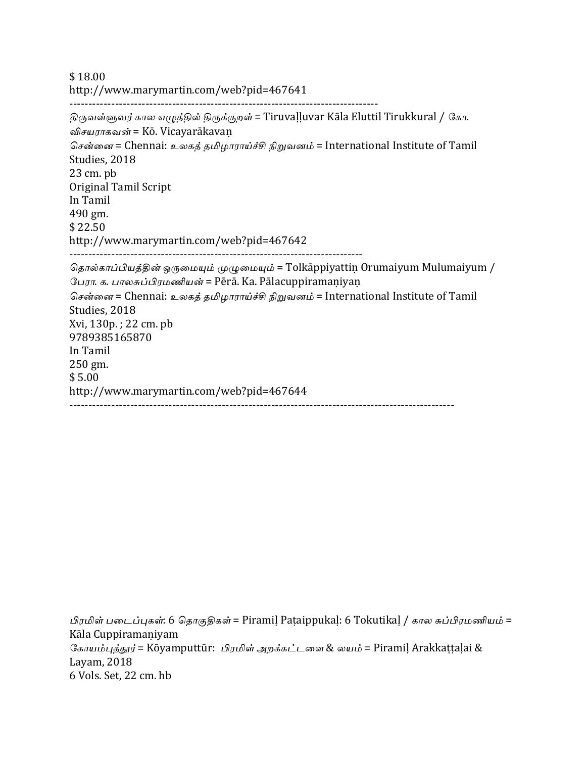\$ 18.00 http://www.marymartin.com/web?pid=467641 --------------------------------------------------------------------------------- திருவள்ளுவர் கால எழுத்தில் திருக்குறள் = Tiruvaḷḷuvar Kāla Eluttil Tirukkural / கோ. விசயராகவன் = Kō. Vicayarākavaṇ சென்னை = Chennai: உலகத் தமிழாராய்ச்சி நிறுவனம் = International Institute of Tamil Studies, 2018  $23 \text{ cm}$ . pb Original Tamil Script

In Tamil 490 gm. \$ 22.50

http://www.marymartin.com/web?pid=467642

-----------------------------------------------------------------------------

தொல்காப்பியத்தின் ஒருமையும் முழுமையும் = Tolkāppiyattiṇ Orumaiyum Mulumaiyum / பேரா. க. பாலசுப்பிரமணியன் = Pērā. Ka. Pālacuppiramaniyan சென்னை = Chennai: உலகத் தமிழாராய்ச்சி நிறுவனம் = International Institute of Tamil Studies, 2018 Xvi, 130p.; 22 cm. pb 9789385165870 In Tamil 250 gm. \$ 5.00 http://www.marymartin.com/web?pid=467644 -----------------------------------------------------------------------------------------------------

பிரமிள் படைப்புகள்: 6 தொகுதிகள் = Piramil Paṭaippukaḷ: 6 Tokutikaḷ / கால சுப்பிரமணியம் = Kāla Cuppiramaṇiyam கோயம்புத்தூர் = Kōyamputtūr: பிரமிள் அறக்கட்டளை & லயம் = Piramil Arakkattalai & Layam, 2018 6 Vols. Set, 22 cm. hb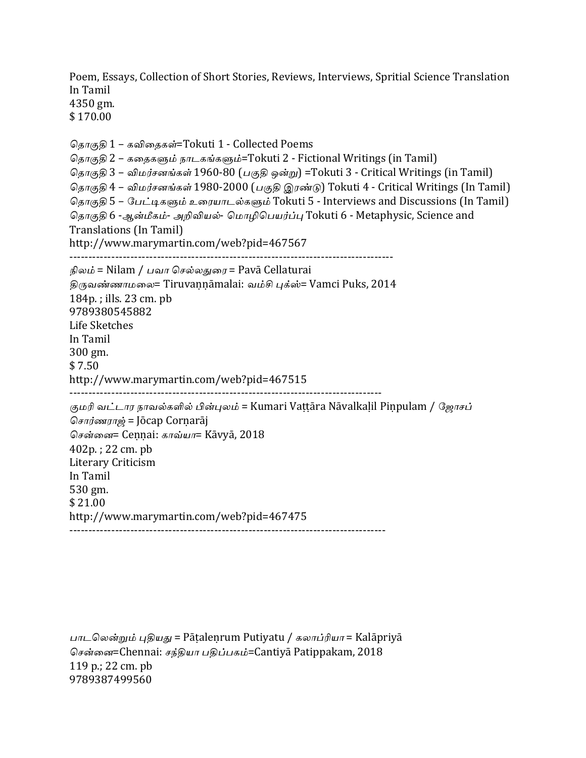Poem, Essays, Collection of Short Stories, Reviews, Interviews, Spritial Science Translation In Tamil 4350 gm.

\$ 170.00

தொகுதி 1 – கவிதைகள்=Tokuti 1 - Collected Poems தொகுதி 2 – கதைகளும் நாடகங்களும்=Tokuti 2 - Fictional Writings (in Tamil) தொகுதி 3 – விமர்சனங்கள் 1960-80 (பகுதி ஒன்று) =Tokuti 3 - Critical Writings (in Tamil) தொகுதி 4 – விமர்சனங்கள் 1980-2000 (பகுதி இரண்டு) Tokuti 4 - Critical Writings (In Tamil) தொகுதி 5 – பேட்டிகளும் உரையாடல்களும் Tokuti 5 - Interviews and Discussions (In Tamil) தொகுதி 6 -ஆன்மீகம்- அறிவியல்- மொழிபெயர்ப்பு Tokuti 6 - Metaphysic, Science and Translations (In Tamil) http://www.marymartin.com/web?pid=467567 ------------------------------------------------------------------------------------- நிலம் = Nilam / பவா செல்லதுரை = Pavā Cellaturai திருவண்ணாமலை= Tiruvaṇṇāmalai: வம்சி புக்ஸ்= Vamci Puks, 2014  $184p$ .; ills. 23 cm. pb 9789380545882 Life Sketches In Tamil 300 gm.  $$7.50$ http://www.marymartin.com/web?pid=467515 ---------------------------------------------------------------------------------- குமரி வட்டார நாவல்களில் பின்புலம் = Kumari Vattāra Nāvalkalil Pinpulam / ஜோசப் சொர்ணராஜ் = Jōcap Corṇarāj சென்னை= Cennai: காவ்யா= Kāvyā, 2018  $402p.$ ; 22 cm. pb Literary Criticism In Tamil 530 gm. \$ 21.00 http://www.marymartin.com/web?pid=467475 -----------------------------------------------------------------------------------

பாடலென்றும் புதியது = Pātalenrum Putiyatu / கலாப்ரியா = Kalāpriyā சென்னை=Chennai: சந்தியா பதிப்பகம்=Cantiyā Patippakam, 2018 119 p.; 22 cm. pb 9789387499560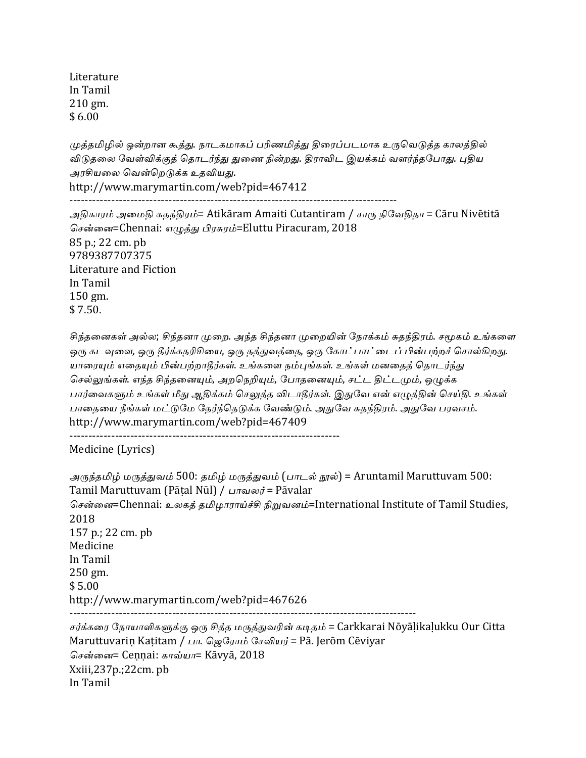**Literature** In Tamil  $210 \text{ gm}$ .  $$6.00$ 

முத்தமிழில் ஒன்றான கூத்து. நாடகமாகப் பரிணமித்து திரைப்படமாக உருவெடுத்த காலத்தில் விடுதலை வேள்விக்குத் தொடர்ந்து துணை நின்றது. திராவிட இயக்கம் வளர்ந்தபோது. புதிய அரசியலை வென்றெடுக்க உதவியது.

http://www.marymartin.com/web?pid=467412 --------------------------------------------------------------------------------------

அதிகாரம் அமைதி சுதந்திரம்= Atikāram Amaiti Cutantiram / சாரு நிவேதிதா = Cāru Nivētitā சென்னை=Chennai: எழுத்து பிரசுரம்=Eluttu Piracuram, 2018 85 p.; 22 cm. pb 9789387707375 Literature and Fiction In Tamil 150 gm. \$ 7.50.

சிந்தனைகள் அல்ல; சிந்தனா முறை. அந்த சிந்தனா முறையின் நோக்கம் சுதந்திரம். சமூகம் உங்களை ஒரு கடவுளை, ஒரு தீர்க்கதரிசியை, ஒரு தத்துவத்தை, ஒரு கோட்பாட்டைப் பின்பற்றச் சொல்கிறது. யாரையும் எதையும் பின்பற்றாதீர்கள். உங்களை நம்புங்கள். உங்கள் மனதைத் தொடர்ந்து செல்லுங்கள். எந்த சிந்தனையும், அறநெறியும், போதனையும், சட்ட திட்டமும், ஒழுக்க பார்வைகளும் உங்கள் மீது ஆதிக்கம் செலுத்த விடாதீர்கள். இதுவே என் எழுத்தின் செய்தி. உங்கள் பாதையை நீங்கள் மட்டுமே தேர்ந்தெடுக்க வேண்டும். அதுவே சுதந்திரம். அதுவே பரவசம். http://www.marymartin.com/web?pid=467409 -----------------------------------------------------------------------

Medicine (Lyrics)

```
அருந்தமிழ் மருத்துவம் 500: தமிழ் மருத்துவம் (பாடல் நூல்) = Aruntamil Maruttuvam 500:
Tamil Maruttuvam (Pātal Nūl) / பாவலர் = Pāvalar
சென்னை=Chennai: உலகத் தமிழாராய்ச்சி நிறுவனம்=International Institute of Tamil Studies,
2018
157 p.; 22 cm. pb
Medicine
In	Tamil
250 \text{ gm}.
$5.00http://www.marymartin.com/web?pid=467626
-------------------------------------------------------------------------------------------
```
சர்க்கரை நோயாளிகளுக்கு ஒரு சித்த மருத்துவரின் கடிதம் = Carkkarai Nōyāḷikaḷukku Our Citta Maruttuvariṇ Kaṭitam / பா. ஜெரோம் சேவியர் = Pā. Jerōm Cēviyar சென்னை= Cennai: காவ்யா= Kāvyā, 2018 Xxiii,237p.;22cm. pb In Tamil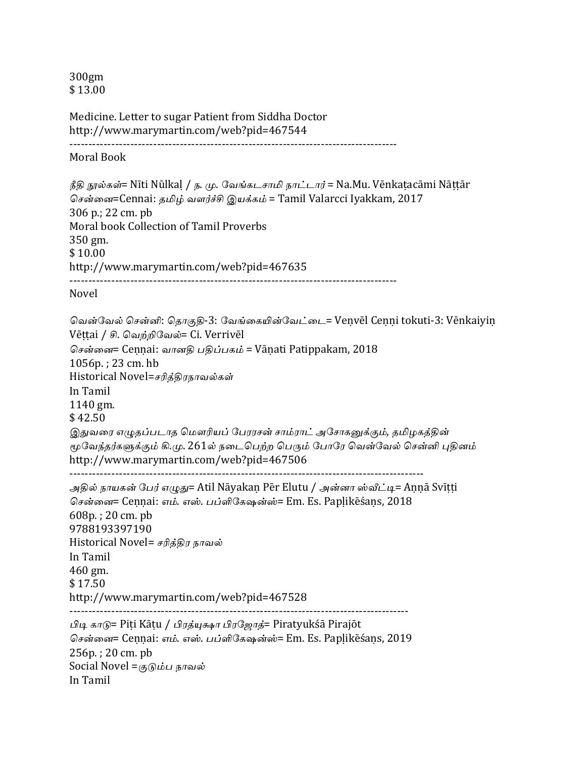300gm \$ 13.00

Medicine. Letter to sugar Patient from Siddha Doctor http://www.marymartin.com/web?pid=467544 --------------------------------------------------------------------------------------

Moral Book

நீதி நூல்கள்= Nīti Nūlkaḷ / ந. மு. வேங்கடசாமி நாட்டார் = Na.Mu. Vēnkaṭacāmi Nāṭṭār சென்னை=Cennai: தமிழ் வளர்ச்சி இயக்கம் = Tamil Valarcci Iyakkam, 2017 306 p.; 22 cm. pb Moral book Collection of Tamil Proverbs 350 gm. \$ 10.00 http://www.marymartin.com/web?pid=467635 --------------------------------------------------------------------------------------

Novel

வென்வேல் சென்னி: தொகுதி-3: வேங்கையின்வேட்டை= Veṇvēl Ceṇṇi tokuti-3: Vēnkaiyiṇ Vēṭṭai / சி. வெற்றிவேல்= Ci. Verrivēl சென்னை= Cennai: வானதி பதிப்பகம் = Vānati Patippakam, 2018  $1056p.$ : 23 cm. hb Historical Novel=சரித்திரநாவல்கள் In Tamil 1140 gm. \$ 42.50 இதுவரை எழுதப்படாத மௌரியப் பேரரசன் சாம்ராட் அசோகனுக்கும், தமிழகத்தின் மூவேந்தர்களுக்கும் கி.மு. 261ல் நடைபெற்ற பெரும் போரே வென்வேல் சென்னி புதினம் http://www.marymartin.com/web?pid=467506 ---------------------------------------------------------------------------------------------

அதில் நாயகன் பேர் எழுது= Atil Nāyakan Pēr Elutu / அன்னா ஸ்வீட்டி= Annā Svītti சென்னை= Cennai: எம். எஸ். பப்ளிகேஷன்ஸ்= Em. Es. Paplikēśans, 2018 608p. ; 20 cm. pb 9788193397190 Historical Novel= சரித்திர நாவல் In Tamil 460 gm. \$ 17.50 http://www.marymartin.com/web?pid=467528 -----------------------------------------------------------------------------------------

பிடி காடு= Piṭi Kāṭu / பிரத்யுக்ஷா பிரஜோத்= Piratyukśā Pirajōt சென்னை= Cennai: எம். எஸ். பப்ளிகேஷன்ஸ்= Em. Es. Paplikēśans, 2019 256p.; 20 cm. pb Social Novel  $=\sigma_0$ ப்ப நாவல் In Tamil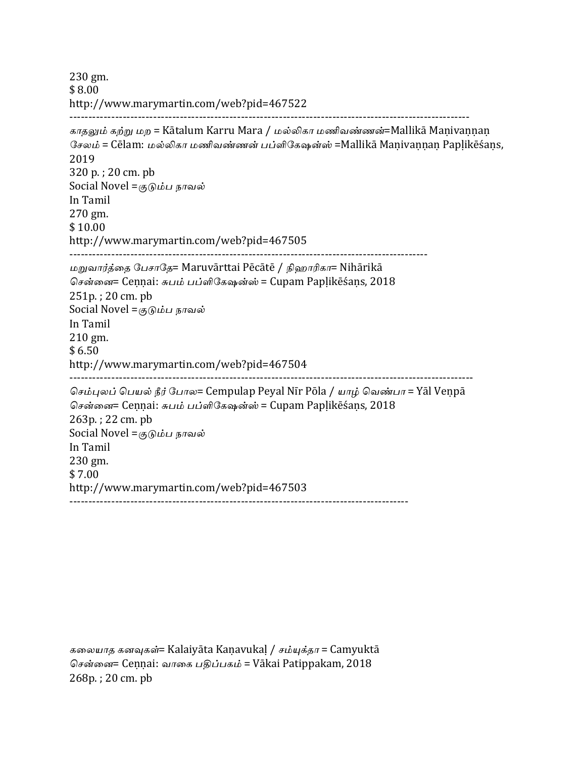230 gm. \$ 8.00 http://www.marymartin.com/web?pid=467522 --------------------------------------------------------------------------------------------------------- காதலும் கற்று மற = Kātalum Karru Mara / மல்லிகா மணிவண்ணன்=Mallikā Maṇivaṇṇaṇ சேலம் = Cēlam: மல்லிகா மணிவண்ணன் பப்ளிகேஷன்ஸ் =Mallikā Maṇivaṇṇaṇ Papḷikēśaṇs, 2019 320 p.; 20 cm. pb Social Novel =குடும்ப நாவல் In Tamil 270 gm. \$ 10.00 http://www.marymartin.com/web?pid=467505 ---------------------------------------------------------------------------------------------- மறுவார்த்தை பேசாதே= Maruvārttai Pēcātē / நிஹாரிகா= Nihārikā சென்னை= Cennai: சுபம் பப்ளிகேஷன்ஸ் = Cupam Paplikēśans, 2018  $251p.$ ;  $20 \text{ cm. } pb$ Social Novel  $=\sigma_0$ ப்ப நாவல் In Tamil 210 gm.  $$6.50$ http://www.marymartin.com/web?pid=467504 ---------------------------------------------------------------------------------------------------------- செம்புலப் பெயல் நீர் போல= Cempulap Peyal Nīr Pōla / யாழ் வெண்பா = Yāl Venpā சென்னை= Cennai: சுபம் பப்ளிகேஷன்ஸ் = Cupam Paplikēśans, 2018  $263p.$ ;  $22 \text{ cm. } pb$ Social Novel  $=\sigma_0$ ப்ப நாவல் In Tamil 230 gm. \$ 7.00 http://www.marymartin.com/web?pid=467503 -----------------------------------------------------------------------------------------

கலையாத கனவுகள்= Kalaiyāta Kaṇavukaḷ / சம்யுக்தா = Camyuktā சென்னை= Cennai: வாகை பதிப்பகம் = Vākai Patippakam, 2018 268p.; 20 cm. pb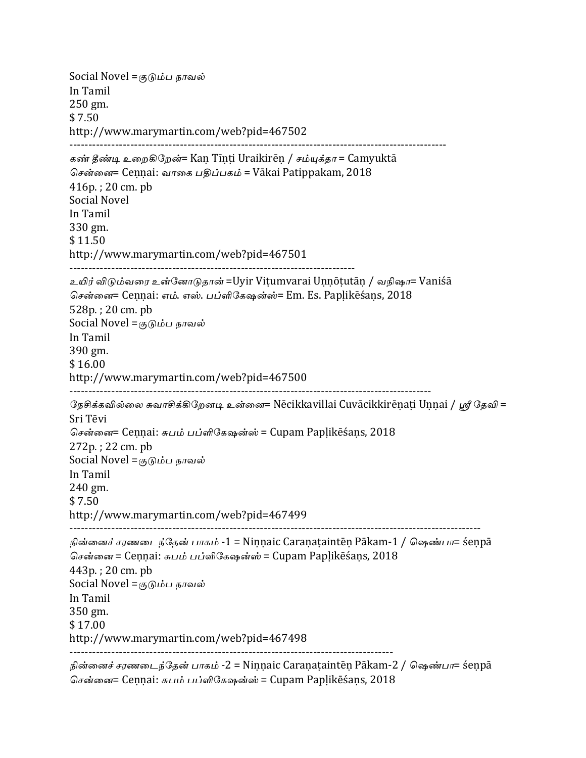Social Novel =குடும்ப நாவல் In Tamil 250 gm.  $$7.50$ http://www.marymartin.com/web?pid=467502 --------------------------------------------------------------------------------------------------- கண் தீண்டி உறைகிறேன்= Kan Tinti Uraikirēn / சம்யுக்தா = Camyuktā சென்னை= Cennai: வாகை பதிப்பகம் = Vākai Patippakam, 2018  $416p.$ : 20 cm. pb Social Novel In Tamil 330 gm. \$11.50 http://www.marymartin.com/web?pid=467501 --------------------------------------------------------------------------- உயிர் விடும்வரை உன்னோடுதான் =Uyir Vitumvarai Unnōtutān / வநிஷா= Vaniśā சென்னை= Cennai: எம். எஸ். பப்ளிகேஷன்ஸ்= Em. Es. Paplikēśans, 2018 528p.; 20 cm. pb Social Novel  $=\sigma_0$ ம்ப நாவல் In Tamil 390 gm. \$ 16.00 http://www.marymartin.com/web?pid=467500 ----------------------------------------------------------------------------------------------- நேசிக்கவில்லை சுவாசிக்கிறேனடி உன்னை= Nēcikkavillai Cuvācikkirēṇaṭi Uṇṇai / ஸ்ரீ தேவி = Sri Tēvi சென்னை= Cennai: சுபம் பப்ளிகேஷன்ஸ் = Cupam Paplikēśans, 2018  $272p.$ ;  $22 \text{ cm. } pb$ Social Novel = $(50)$ ம்ப நாவல் In Tamil 240 gm.  $$7.50$ http://www.marymartin.com/web?pid=467499 ------------------------------------------------------------------------------------------------------------ நின்னைச் சரணடைந்தேன் பாகம் -1 = Ninnaic Caraṇaṭaintēṇ Pākam-1 / ஷெண்பா= śeṇpā சென்னை = Ceṇṇai: சுபம் பப்ளிகேஷன்ஸ் = Cupam Papḷikēśaṇs, 2018  $443p. : 20 \text{ cm. } pb$ Social Novel  $=\sigma_0$ ப்ப நாவல் In Tamil 350 gm. \$ 17.00 http://www.marymartin.com/web?pid=467498 ------------------------------------------------------------------------------------- நின்னைச் சரணடைந்தேன் பாகம் -2 = Ninnaic Caraṇaṭaintēṇ Pākam-2 / ஷெண்பா= śeṇpā

சென்னை= Cennai: சுபம் பப்ளிகேஷன்ஸ் = Cupam Paplikēśans, 2018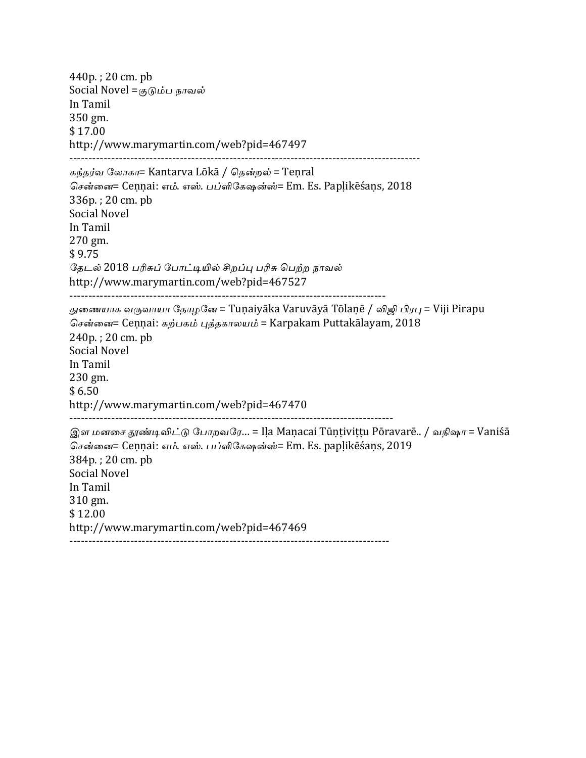$440p.$ ; 20 cm. pb Social Novel = $\sigma_0$ ம்ப நாவல் In Tamil 350 gm. \$ 17.00 http://www.marymartin.com/web?pid=467497 -------------------------------------------------------------------------------------------- கந்தர்வ லோகா= Kantarva Lōkā / கென்றல் = Tenral சென்னை= Cennai: எம். எஸ். பப்ளிகேஷன்ஸ்= Em. Es. Paplikēśans, 2018 336p.; 20 cm. pb Social Novel In Tamil 270 gm. \$ 9.75 தேடல் 2018 பரிசுப் போட்டியில் சிறப்பு பரிசு பெற்ற நாவல் http://www.marymartin.com/web?pid=467527 ----------------------------------------------------------------------------------- துணையாக வருவாயா தோழனே = Tunaiyāka Varuvāyā Tōlanē / விஜி பிரபு = Viji Pirapu சென்னை= Cennai: கற்பகம் புத்தகாலயம் = Karpakam Puttakālayam, 2018  $240p.$ ;  $20 \text{ cm. } pb$ Social Novel In Tamil 230 gm.  $$6.50$ http://www.marymartin.com/web?pid=467470 ------------------------------------------------------------------------------------- இள மனசை தூண்டிவிட்டு போறவரே... = Ila Maṇacai Tūṇṭiviṭṭu Pōravarē.. / வநிஷா = Vaniśā சென்னை= Cennai: எம். எஸ். பப்ளிகேஷன்ஸ்= Em. Es. paplikēśans, 2019 384p.; 20 cm. pb Social Novel In Tamil 310 gm. \$ 12.00 http://www.marymartin.com/web?pid=467469 ------------------------------------------------------------------------------------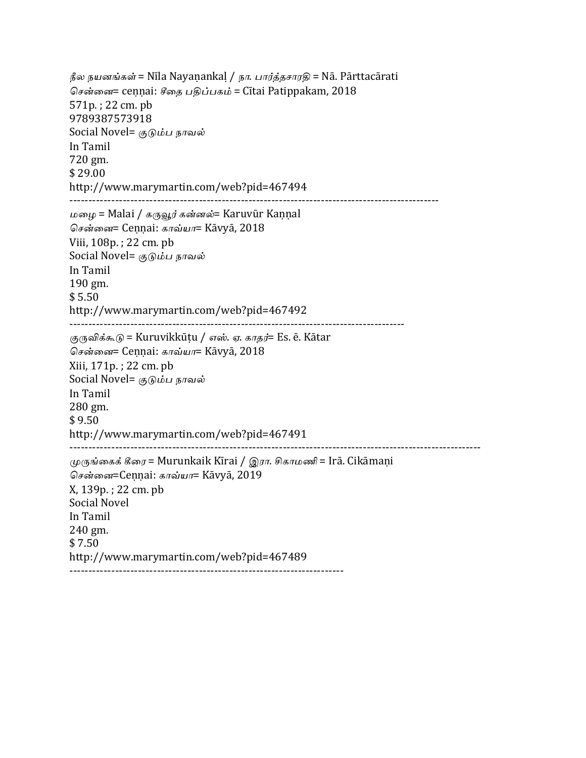நீல நயனங்கள் = Nīla Nayaṇankaḷ / நா. பார்த்தசாரதி = Nā. Pārttacārati சென்னை= ceṇṇai: சீதை பதிப்பகம் = Cītai Patippakam, 2018 571p.; 22 cm. pb 9789387573918 Social Novel= குடும்ப நாவல் In Tamil 720 gm. \$ 29.00 http://www.marymartin.com/web?pid=467494 ------------------------------------------------------------------------------------------------- மழை = Malai / கருவூர் கன்னல்= Karuvūr Kaṇṇal சென்னை= Cennai: காவ்யா= Kāvyā, 2018 Viii, 108p.; 22 cm. pb Social Novel= குடும்ப நாவல் In Tamil 190 gm. \$ 5.50 http://www.marymartin.com/web?pid=467492 ---------------------------------------------------------------------------------------- குருவிக்கூடு = Kuruvikkūṭu / எஸ். ஏ. காதர்= Es. ē. Kātar சென்னை= Cennai: காவ்யா= Kāvyā, 2018 Xiii, 171p.; 22 cm. pb Social Novel= குடும்ப நாவல் In Tamil 280 gm.  $$9.50$ http://www.marymartin.com/web?pid=467491 ------------------------------------------------------------------------------------------------------------ முருங்கைக் கீரை = Murunkaik Kīrai / இரா. சிகாமணி = Irā. Cikāmaṇi சென்னை=Cennai: காவ்யா= Kāvyā, 2019 X, 139p.; 22 cm. pb Social Novel In Tamil 240 gm. \$ 7.50 http://www.marymartin.com/web?pid=467489 ------------------------------------------------------------------------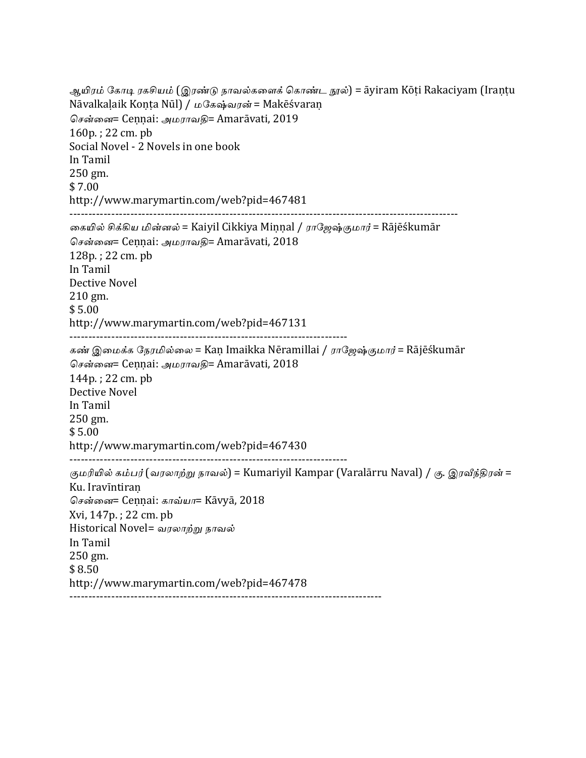ஆயிரம் கோடி ரகசியம் (இரண்டு நாவல்களைக் கொண்ட நூல்) = āyiram Kōṭi Rakaciyam (Iraṇṭu Nāvalkaḷaik Koṇṭa Nūl) / மகேஷ்வரன் = Makēśvaraṇ சென்னை= Cennai: அமராவதி= Amarāvati, 2019  $160p.$ : 22 cm. pb Social Novel - 2 Novels in one book In Tamil 250 gm. \$ 7.00 http://www.marymartin.com/web?pid=467481 ------------------------------------------------------------------------------------------------------ கையில் சிக்கிய மின்னல் = Kaiyil Cikkiya Minnal / ராஜேஷ்குமார் = Rājēśkumār சென்னை= Cennai: அமராவதி= Amarāvati, 2018  $128p.$ ;  $22 \text{ cm. } pb$ In Tamil Dective Novel 210 gm. \$ 5.00 http://www.marymartin.com/web?pid=467131 ------------------------------------------------------------------------- கண் இமைக்க நேரமில்லை = Kaṇ Imaikka Nēramillai / ராஜேஷ்குமார் = Rājēśkumār சென்னை= Cennai: அமராவகி= Amarāvati, 2018 144p.; 22 cm. pb Dective Novel In Tamil 250 gm. \$ 5.00 http://www.marymartin.com/web?pid=467430 ------------------------------------------------------------------------- குமரியில் கம்பர் (வரலாற்று நாவல்) = Kumariyil Kampar (Varalārru Naval) / கு. இரவீந்திரன் = Ku. Iravīntiran சென்னை= Cennai: காவ்யா= Kāvyā, 2018 Xvi, 147p. ; 22 cm. pb Historical Novel= வரலாற்று நாவல் In Tamil 250 gm. \$ 8.50 http://www.marymartin.com/web?pid=467478 ----------------------------------------------------------------------------------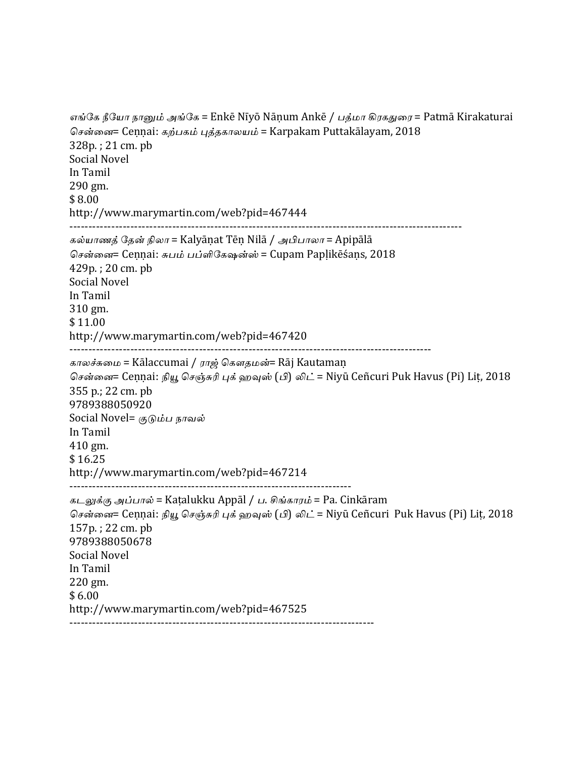```
எங்கே நீயோ நானும் அங்கே = Enkē Nīyō Nāṇum Ankē / பத்மா கிரகதுரை = Patmā Kirakaturai
சென்னை= Ceṇṇai: கற்பகம் புத்தகாலயம் = Karpakam Puttakālayam, 2018
328p.; 21 cm. pb
Social Novel
In	Tamil
290	gm.
$	8.00
http://www.marymartin.com/web?pid=467444
-------------------------------------------------------------------------------------------------------
கல்யாணத் தேன் நிலா = Kalyāṇat Tēṇ Nilā / அபிபாலா = Apipālā
சென்னை= Cennai: சுபம் பப்ளிகேஷன்ஸ் = Cupam Paplikēśans, 2018
429p.; 20 cm. pb
Social Novel
In	Tamil
310	gm.
$	11.00
http://www.marymartin.com/web?pid=467420
-----------------------------------------------------------------------------------------------
காலச்சுமை = Kālaccumai / ராஜ் கௌதமன்= Rāj Kautamaṇ
சென்னை= Ceṇṇai: நியூ செஞ்சுரி புக் ஹவுஸ் (பி) லிட் = Niyū Ceñcuri Puk Havus (Pi) Lit, 2018
355	p.;	22	cm.	pb
9789388050920
Social Novel= குடும்ப நாவல்
In	Tamil
410	gm.
$	16.25
http://www.marymartin.com/web?pid=467214
--------------------------------------------------------------------------
கடலுக்கு அப்பால் = Katalukku Appāl / ப. சிங்காரம் = Pa. Cinkāram
சென்னை= Ceṇṇai: நியூ செஞ்சுரி புக் ஹவுஸ் (பி) லிட் = Niyū Ceñcuri Puk Havus (Pi) Lit, 2018
157p.; 22 cm. pb
9789388050678
Social Novel
In	Tamil
220	gm.
$6.00http://www.marymartin.com/web?pid=467525
--------------------------------------------------------------------------------
```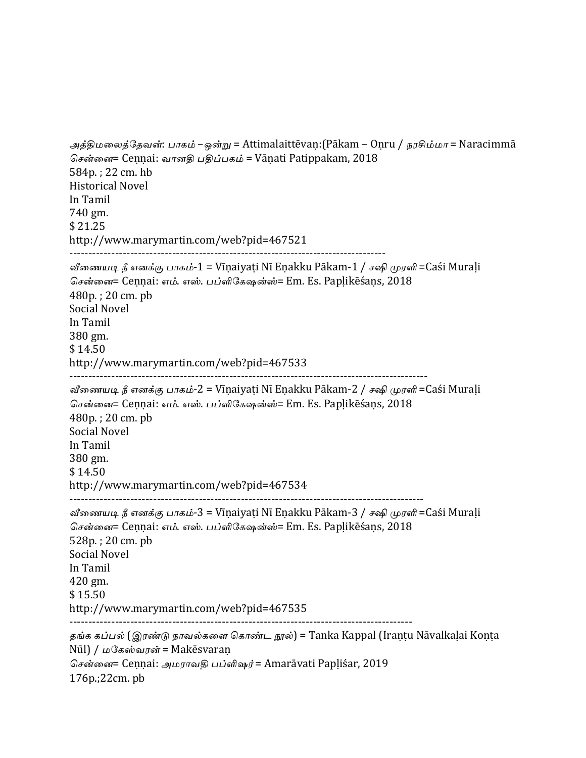```
அத்திமலைத்தேவன்: பாகம் –ஒன்று = Attimalaittēvaṇ:(Pākam – Oṇru / நரசிம்மா = Naracimmā
சென்னை= Cennai: வானதி பதிப்பகம் = Vānati Patippakam, 2018
584p.; 22 cm. hb
Historical	Novel
In	Tamil
740	gm.
$	21.25
http://www.marymartin.com/web?pid=467521
-----------------------------------------------------------------------------------
வீணையடி நீ எனக்கு பாகம்-1 = Vīṇaiyaṭi Nī Eṇakku Pākam-1 / சஷி முரளி =Caśi Muraḷi
சென்னை= Cennai: எம். எஸ். பப்ளிகேஷன்ஸ்= Em. Es. Paplikēśans, 2018
480p.; 20 cm. pb
Social Novel
In	Tamil
380	gm.
$	14.50
http://www.marymartin.com/web?pid=467533
----------------------------------------------------------------------------------------------
வீணையடி நீ எனக்கு பாகம்-2 = Vīṇaiyaṭi Nī Eṇakku Pākam-2 / சஷி முரளி =Caśi Muraḷi
சென்னை= Cennai: எம். எஸ். பப்ளிகேஷன்ஸ்= Em. Es. Paplikēśans, 2018
480p.; 20 cm. pb
Social Novel
In	Tamil
380	gm.
$14.50http://www.marymartin.com/web?pid=467534
---------------------------------------------------------------------------------------------
வீணையடி நீ எனக்கு பாகம்-3 = Vīṇaiyaṭi Nī Eṇakku Pākam-3 / சஷி முரளி =Caśi Murali
சென்னை= Cennai: எம். எஸ். பப்ளிகேஷன்ஸ்= Em. Es. Paplikēśans, 2018
528p.; 20 cm. pb
Social Novel
In	Tamil
420	gm.
$	15.50
http://www.marymartin.com/web?pid=467535
------------------------------------------------------------------------------------------
தங்க கப்பல் (இரண்டு நாவல்களை கொண்ட நூல்) = Tanka Kappal (Irantu Nāvalkalai Konta
N\bar{u}] / மகேஸ்வரன் = Makēsvaran
சென்னை= Cennai: அமராவதி பப்ளிஷர் = Amarāvati Papliśar, 2019
176p.;22cm.	pb
```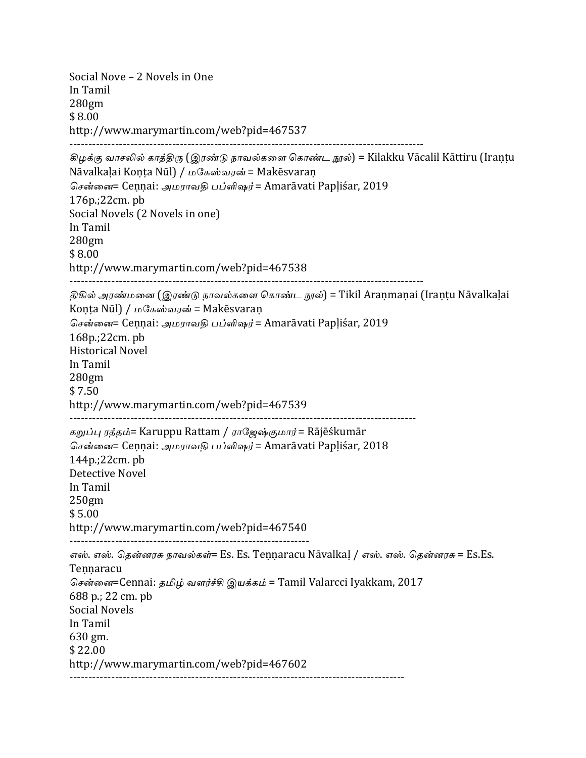```
Social Nove - 2 Novels in One
In	Tamil
280gm
$	8.00
http://www.marymartin.com/web?pid=467537
---------------------------------------------------------------------------------------------
கிழக்கு வாசலில் காத்திரு (இரண்டு நாவல்களை கொண்ட நூல்) = Kilakku Vācalil Kāttiru (Irantu
Nāvalkalai Konta Nūl) / மகேஸ்வரன் = Makēsvaran
சென்னை= Cennai: அமராவதி பப்ளிஷர் = Amarāvati Papliśar, 2019
176p.;22cm.	pb
Social Novels (2 Novels in one)
In	Tamil
280gm
$	8.00
http://www.marymartin.com/web?pid=467538
---------------------------------------------------------------------------------------------
திகில் அரண்மனை (இரண்டு நாவல்களை கொண்ட நூல்) = Tikil Aranmanai (Irantu Nāvalkalai
Koṇṭa Nūl) / மகேஸ்வரன் = Makēsvaran
சென்னை= Cennai: அமராவகி பப்ளிஷர் = Amarāvati Papliśar, 2019
168p.;22cm.	pb
Historical	Novel
In	Tamil
280gm
$	7.50
http://www.marymartin.com/web?pid=467539
-------------------------------------------------------------------------------------------
கறுப்பு ரத்தம்= Karuppu Rattam / ராஜேஷ்குமார் = Rājēśkumār
சென்னை= Cennai: அமராவதி பப்ளிஷர் = Amarāvati Papliśar, 2018
144p.;22cm.	pb
Detective Novel
In	Tamil
250gm
$5.00http://www.marymartin.com/web?pid=467540
---------------------------------------------------------------
எஸ். எஸ். கென்னரசு நாவல்கள்= Es. Es. Tennaracu Nāvalkal / எஸ். எஸ். கென்னரசு = Es.Es.
Tennaracu
சென்னை=Cennai: தமிழ் வளர்ச்சி இயக்கம் = Tamil Valarcci Iyakkam, 2017
688	p.;	22	cm.	pb
Social Novels
In	Tamil
630	gm.
$	22.00
http://www.marymartin.com/web?pid=467602
----------------------------------------------------------------------------------------
```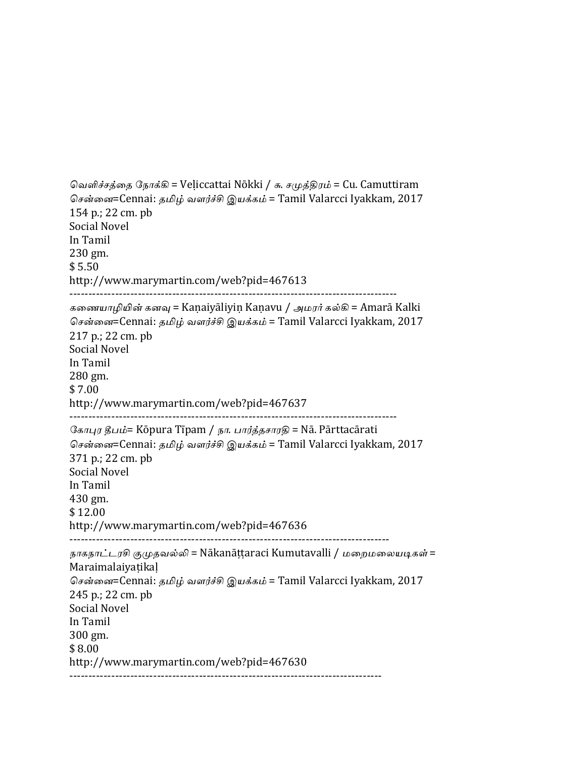```
வெளிச்சத்தை நோக்கி = Veḷiccattai Nōkki / சு. சமுத்திரம் = Cu. Camuttiram
சென்னை=Cennai: தமிழ் வளர்ச்சி இயக்கம் = Tamil Valarcci Iyakkam, 2017
154 p.; 22 cm. pb
Social Novel
In	Tamil
230	gm.
$	5.50
http://www.marymartin.com/web?pid=467613
--------------------------------------------------------------------------------------
கணையாழியின் கனவு = Kaṇaiyāliyiṇ Kaṇavu / அமரர் கல்கி = Amarā Kalki
சென்னை=Cennai: தமிழ் வளர்ச்சி இயக்கம் = Tamil Valarcci Iyakkam, 2017
217 p.; 22 cm. pb
Social Novel
In	Tamil
280	gm.
$	7.00
http://www.marymartin.com/web?pid=467637
--------------------------------------------------------------------------------------
கோபுர தீபம்= Kōpura Tīpam / நா. பார்த்தசாரதி = Nā. Pārttacārati
சென்னை=Cennai: தமிழ் வளர்ச்சி இயக்கம் = Tamil Valarcci Iyakkam, 2017
371 p.; 22 cm. pb
Social Novel
In	Tamil
430	gm.
$	12.00
http://www.marymartin.com/web?pid=467636
------------------------------------------------------------------------------------
நாகநாட்டரசி குமுதவல்லி = Nākanāṭṭaraci Kumutavalli / மறைமலையடிகள் =
Maraimalaiyaṭikaḷ
சென்னை=Cennai: தமிழ் வளர்ச்சி இயக்கம் = Tamil Valarcci Iyakkam, 2017
245 p.; 22 cm. pb
Social Novel
In	Tamil
300	gm.
$	8.00
http://www.marymartin.com/web?pid=467630
          ----------------------------------------------------------------------------------
```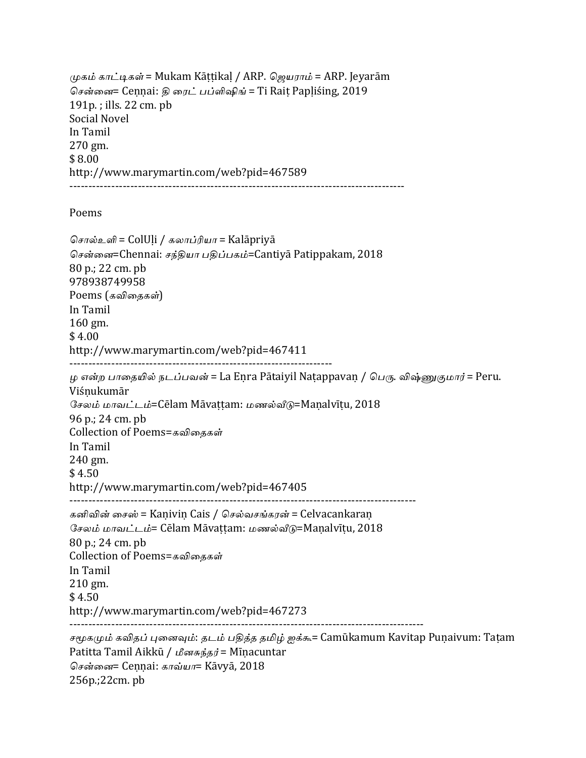முகம் காட்டிகள் = Mukam Kāṭṭikaḷ / ARP. ஜெயராம் = ARP. Jeyarām சென்னை= Cennai: தி ரைட் பப்ளிஷிங் = Ti Rait Papliśing, 2019  $191p.$ ; ills.  $22 \text{ cm.}$  pb Social Novel In Tamil 270 gm. \$ 8.00 http://www.marymartin.com/web?pid=467589 ----------------------------------------------------------------------------------------

Poems

256p.;22cm. pb

சொல்உளி = ColUḷi / கலாப்ரியா = Kalāpriyā சென்னை=Chennai: சந்தியா பதிப்பகம்=Cantiya Patippakam, 2018 80 p.; 22 cm. pb 978938749958 Poems (கவிதைகள்) In Tamil 160 gm.  $$4.00$ http://www.marymartin.com/web?pid=467411 --------------------------------------------------------------------- ழ என்ற பாதையில் நடப்பவன் = La Eṇra Pātaiyil Naṭappavaṇ / பெரு. விஷ்ணுகுமார் = Peru. Viśṇukumār சேலம் மாவட்டம்=Cēlam Māvaṭṭam: மணல்வீடு=Maṇalvīṭu, 2018 96 p.; 24 cm. pb Collection of Poems=கவிகைகள் In Tamil 240 gm. \$ 4.50 http://www.marymartin.com/web?pid=467405 ------------------------------------------------------------------------------------------- கனிவின் சைஸ் = Kanivin Cais / செல்வசங்கரன் = Celvacankaran சேலம் மாவட்டம்= Cēlam Māvattam: மணல்வீடு=Manalvītu, 2018 80 p.; 24 cm. pb Collection of Poems=கவிதைகள் In Tamil 210 gm.  $$4.50$ http://www.marymartin.com/web?pid=467273 --------------------------------------------------------------------------------------------- சமூகமும் கவிதப் புனைவும்: தடம் பதித்த தமிழ் ஐக்கூ= Camūkamum Kavitap Punaivum: Tatam Patitta Tamil Aikkū / பீனசுந்தர் = Mīnacuntar சென்னை= Cennai: காவ்யா= Kāvyā, 2018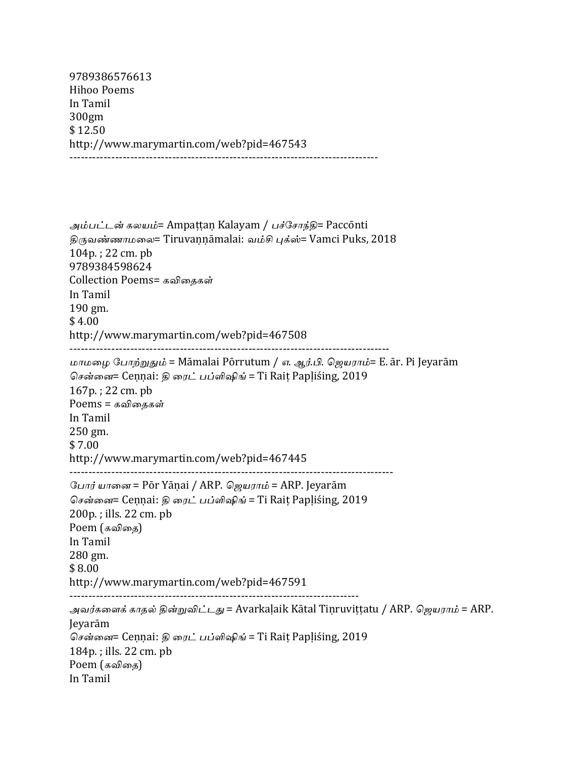9789386576613 Hihoo Poems In Tamil 300gm \$ 12.50 http://www.marymartin.com/web?pid=467543 ---------------------------------------------------------------------------------

அம்பட்டன் கலயம்= Ampaṭṭaṇ Kalayam / பச்சோந்தி= Paccōnti திருவண்ணாமலை= Tiruvannāmalai: வம்சி புக்ஸ்= Vamci Puks, 2018  $104p.$ ; 22 cm. pb 9789384598624 Collection Poems= கவிகைகள் In Tamil 190 gm.  $$4.00$ http://www.marymartin.com/web?pid=467508 ------------------------------------------------------------------------------------ மாமழை போற்றுதும் = Māmalai Pōrrutum / எ. ஆர்.பி. ஜெயராம்= E. ār. Pi Jeyarām சென்னை= Cennai: திரைட் பப்ளிஷிங் = Ti Rait Papliśing, 2019  $167p.$ ; 22 cm. pb  $Poems = \mathbf{s}$ விதைகள் In Tamil 250 gm. \$ 7.00 http://www.marymartin.com/web?pid=467445 ------------------------------------------------------------------------------------- போர் யானை = Pōr Yānai / ARP. ஜெயராம் = ARP. Jeyarām சென்னை= Cennai: திரைட் பப்ளிஷிங் = Ti Rait Papliśing, 2019  $200p.$ ; ills.  $22 \text{ cm. pb}$  $P$ oem  $(s$ விதை) In Tamil 280 gm. \$ 8.00 http://www.marymartin.com/web?pid=467591 ---------------------------------------------------------------------------- அவர்களைக் காதல் தின்றுவிட்டது = Avarkaḷaik Kātal Tiṇruviṭṭatu / ARP. ஜெயராம் = ARP. Jeyarām சென்னை= Cennai: திரைட் பப்ளிஷிங் = Ti Rait Papliśing, 2019  $184p$ .; ills. 22 cm. pb Poem (கவிதை) In Tamil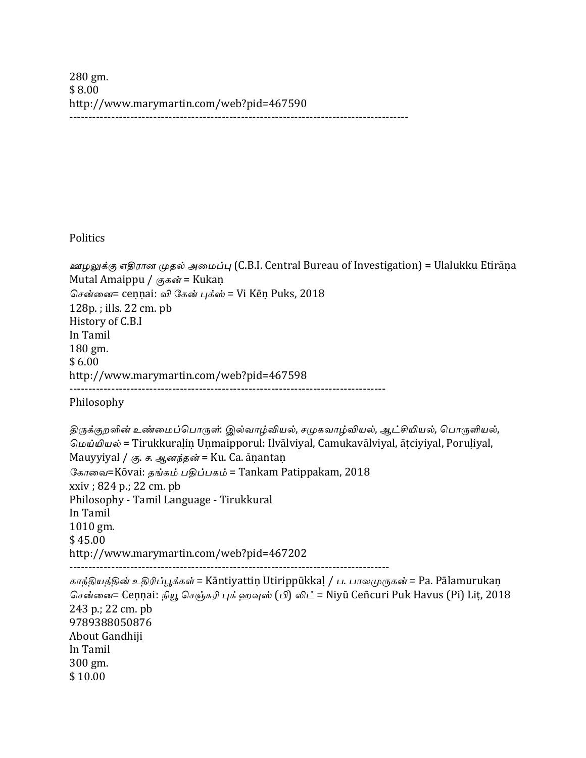280 gm. \$ 8.00 http://www.marymartin.com/web?pid=467590 -----------------------------------------------------------------------------------------

Politics

300 gm. \$ 10.00

```
ஊழலுக்கு எதிரான முதல் அமைப்பு (C.B.I. Central Bureau of Investigation) = Ulalukku Etirāṇa
Mutal Amaippu / \epsilon_0கன் = Kukan
சென்னை= cennai: வி கேன் புக்ஸ் = Vi Kēn Puks, 2018
128p.; ills. 22 \text{ cm. pb}History of C.B.I
In	Tamil
180	gm.
$6.00http://www.marymartin.com/web?pid=467598
-----------------------------------------------------------------------------------
Philosophy
திருக்குறளின் உண்மைப்பொருள்: இல்வாழ்வியல், சமுகவாழ்வியல், ஆட்சியியல், பொருளியல்,
மெய்யியல் = Tirukkuralin Unmaipporul: Ilvālviyal, Camukavālviyal, ātciyiyal, Poruliyal,
Mauyyiyal / கு. ச. ஆனந்தன் = Ku. Ca. āṇantaṇ
கோவை=Kōvai: தங்கம் பதிப்பகம் = Tankam Patippakam, 2018
xxiv; 824 p.; 22 cm. pb
Philosophy - Tamil Language - Tirukkural
In	Tamil
1010	gm.
$	45.00
http://www.marymartin.com/web?pid=467202
------------------------------------------------------------------------------------
காந்தியத்தின் உதிரிப்பூக்கள் = Kāntiyattiṇ Utirippūkkal / ப. பாலமுருகன் = Pa. Pālamurukan
சென்னை= Ceṇṇai: நியூ செஞ்சுரி புக் ஹவுஸ் (பி) லிட் = Niyū Ceñcuri Puk Havus (Pi) Lit, 2018
243 p.; 22 cm. pb
9789388050876
About Gandhiji
In	Tamil
```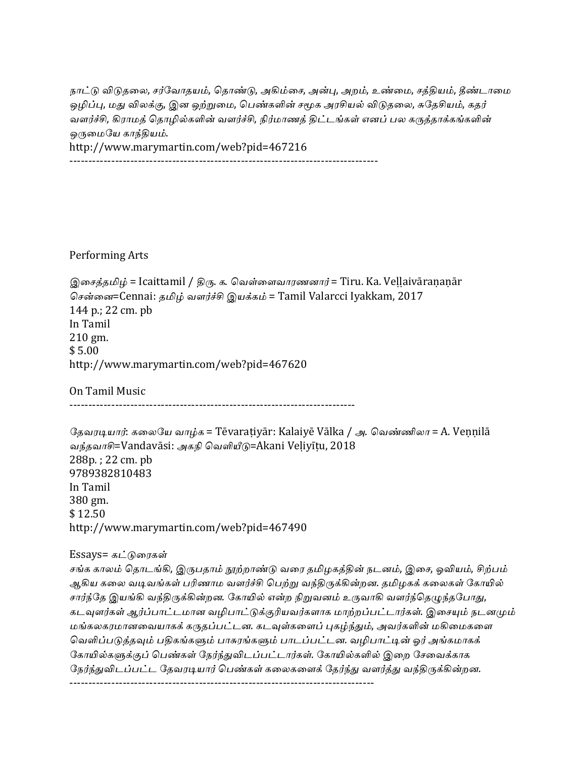நாட்டு விடுதலை, சர்வோதயம், தொண்டு, அகிம்சை, அன்பு, அறம், உண்மை, சத்தியம், தீண்டாமை ஒழிப்பு, மது விலக்கு, இன ஒற்றுமை, பெண்களின் சமூக அரசியல் விடுதலை, சுதேசியம், கதர் வளர்ச்சி, கிராமத் தொழில்களின் வளர்ச்சி, நிர்மாணத் திட்டங்கள் எனப் பல கருத்தாக்கங்களின் ஒருமையே காந்தியம். http://www.marymartin.com/web?pid=467216

---------------------------------------------------------------------------------

Performing Arts

இசைத்தமிழ் = Icaittamil / திரு. க. வெள்ளைவாரணனார் = Tiru. Ka. Veḷḷaivāraṇaṇār சென்னை=Cennai: தமிழ் வளர்ச்சி இயக்கம் = Tamil Valarcci Iyakkam, 2017 144 p.; 22 cm. pb In Tamil 210 gm.  $$5.00$ http://www.marymartin.com/web?pid=467620

On Tamil Music

---------------------------------------------------------------------------

தேவரடியார்: கலையே வாழ்க = Tēvaraṭiyār: Kalaiyē Vālka / அ. வெண்ணிலா = A. Veṇṇilā வந்தவாசி=Vandavāsi: அகநி வெளியீடு=Akani Veḷiyīṭu, 2018 288p.; 22 cm. pb 9789382810483 In Tamil 380 gm. \$ 12.50 http://www.marymartin.com/web?pid=467490 

Essays= கட்டுரைகள்

சங்க காலம் தொடங்கி, இருபதாம் <u>நூற்</u>றாண்டு வரை தமிழகத்தின் நடனம், இசை, ஓவியம், சிற்பம் ஆகிய கலை வடிவங்கள் பரிணாம வளர்ச்சி பெற்று வந்திருக்கின்றன. தமிழகக் கலைகள் கோயில் சார்ந்தே இயங்கி வந்திருக்கின்றன. கோயில் என்ற நிறுவனம் உருவாகி வளர்ந்தெழுந்தபோது, கடவுளர்கள் ஆர்ப்பாட்டமான வழிபாட்டுக்குரியவர்களாக மாற்றப்பட்டார்கள். இசையும் நடனமும் மங்கலகரமானவையாகக் கருதப்பட்டன. கடவுள்களைப் புகழ்ந்தும், அவர்களின் மகிமைகளை வெளிப்படுத்தவும் பதிகங்களும் பாசுரங்களும் பாடப்பட்டன. வழிபாட்டின் ஓர் அங்கமாகக் கோயில்களுக்குப் பெண்கள் நேர்ந்துவிடப்பட்டார்கள். கோயில்களில் இறை சேவைக்காக நேர்ந்துவிடப்பட்ட தேவரடியார் பெண்கள் கலைகளைக் தேர்ந்து வளர்த்து வந்திருக்கின்றன. --------------------------------------------------------------------------------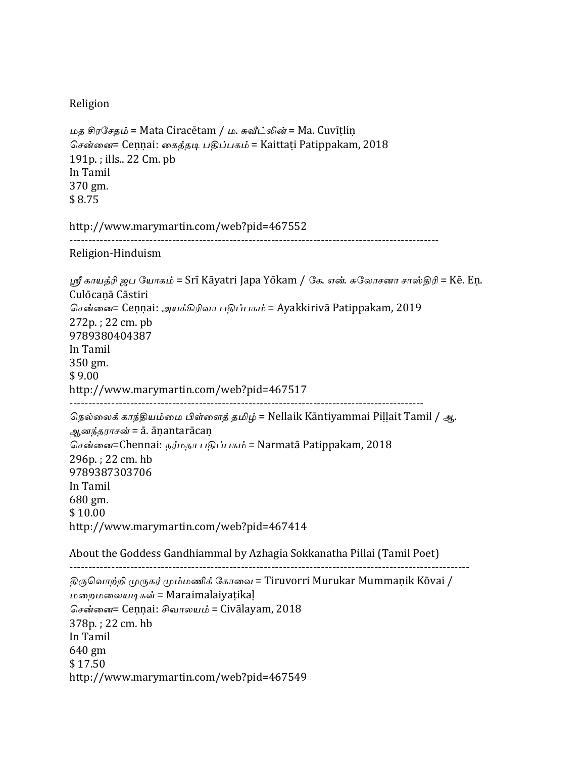#### Religion

```
மத சிரசேதம் = Mata Ciracētam / ம. சுவீட்லின் = Ma. Cuvīṭliṇ
சென்னை= Ceṇṇai: கைத்தடி பதிப்பகம் = Kaittaṭi Patippakam, 2018
191p.; ills.. 22 \text{ Cm. pb}In	Tamil
370	gm.
$	8.75
http://www.marymartin.com/web?pid=467552
-------------------------------------------------------------------------------------------------
Religion-Hinduism
ஸ்ரீ காயத்ரி ஜப யோகம் = Srī Kāyatri Japa Yōkam / கே. என். சுலோசனா சாஸ்கிரி = Kē. En.
Culōcaṇā	Cāstiri
சென்னை= Cennai: அயக்கிரிவா பதிப்பகம் = Ayakkirivā Patippakam, 2019
272p.; 22 \text{ cm. } pb9789380404387
In	Tamil
350	gm.
$9.00http://www.marymartin.com/web?pid=467517
---------------------------------------------------------------------------------------------
நெல்லைக் காந்தியம்மை பிள்ளைத் தமிழ் = Nellaik Kāntiyammai Pillait Tamil / ஆ.
ஆனந்தராசன் = ā. āṇantarācaṇ
சென்னை=Chennai: நர்மதா பதிப்பகம் = Narmatā Patippakam, 2018
296p.: 22 cm. hh9789387303706
In	Tamil
680	gm.
$10.00http://www.marymartin.com/web?pid=467414
About the Goddess Gandhiammal by Azhagia Sokkanatha Pillai (Tamil Poet)
---------------------------------------------------------------------------------------------------------
திருவொற்றி முருகர் மும்மணிக் கோவை = Tiruvorri Murukar Mummaṇik Kōvai /
மறைமலையடிகள் = Maraimalaiyaṭikaḷ
சென்னை= Cennai: சிவாலயம் = Civālayam, 2018
378p. : 22 cm. hb
In	Tamil
640	gm
$	17.50
http://www.marymartin.com/web?pid=467549
```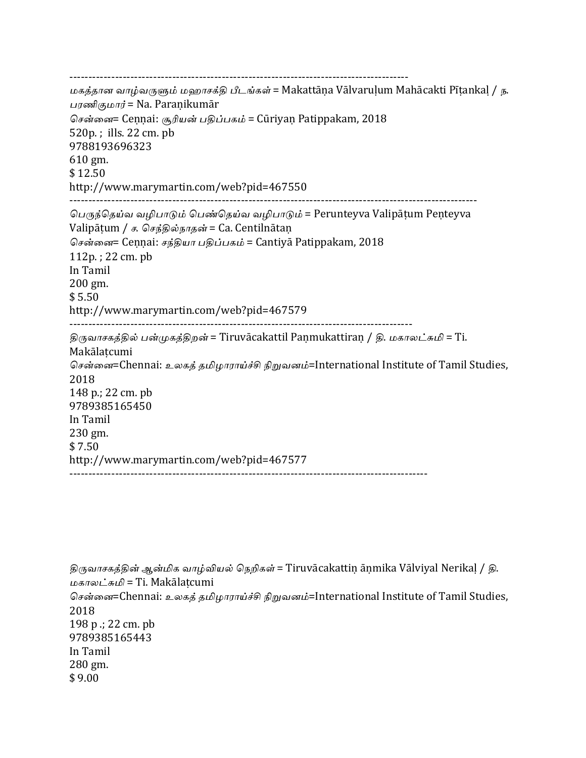----------------------------------------------------------------------------------------- மகத்தான வாழ்வருளும் மஹாசக்தி பீடங்கள் = Makattāna Vālvaruḷum Mahācakti Pīṭankaḷ / ந. பரணிகுமார் = Na. Paraṇikumār சென்னை= Cennai: சூரியன் பதிப்பகம் = Cūriyan Patippakam, 2018  $520p$ .: ills. 22 cm. pb 9788193696323  $610 \text{ gm.}$ \$ 12.50 http://www.marymartin.com/web?pid=467550 ----------------------------------------------------------------------------------------------------------- பெருந்தெய்வ வழிபாடும் பெண்தெய்வ வழிபாடும் = Perunteyva Valipāṭum Peṇteyva Valipāṭum / ச. செந்தில்நாதன் = Ca. Centilnātaṇ சென்னை= Cennai: சந்தியா பதிப்பகம் = Cantiya Patippakam, 2018  $112p.$ ; 22 cm.  $pb$ In Tamil 200 gm.  $$5.50$ http://www.marymartin.com/web?pid=467579 ------------------------------------------------------------------------------------------ திருவாசகத்தில் பன்முகத்திறன் = Tiruvācakattil Panmukattiran / தி. மகாலட்சுமி = Ti. Makālatcumi சென்னை=Chennai: உலகத் தமிழாராய்ச்சி நிறுவனம்=International Institute of Tamil Studies, 2018 148 p.; 22 cm. pb 9789385165450 In Tamil 230 gm.  $$7.50$ http://www.marymartin.com/web?pid=467577 ----------------------------------------------------------------------------------------------

திருவாசகத்தின் ஆன்மிக வாழ்வியல் நெறிகள் = Tiruvācakattin ānmika Vālviyal Nerikal / தி. மகாலட்சுமி = Ti. Makālatcumi சென்னை=Chennai: உலகத் தமிழாராய்ச்சி நிறுவனம்=International Institute of Tamil Studies, 2018 198 p .; 22 cm. pb 9789385165443 In Tamil 280 gm.  $$9.00$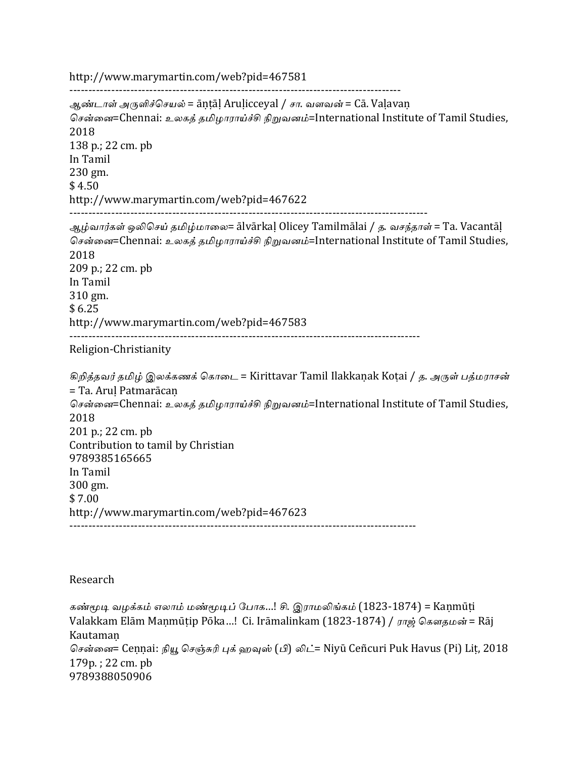http://www.marymartin.com/web?pid=467581

--------------------------------------------------------------------------------------- ஆண்டாள் அருளிச்செயல் = āntāl Arulicceyal / சா. வளவன் = Cā. Valavan சென்னை=Chennai: உலகக் தமிழாராய்ச்சி நிறுவனம்=International Institute of Tamil Studies, 2018 138 p.; 22 cm. pb In Tamil 230 gm.  $$4.50$ http://www.marymartin.com/web?pid=467622 ---------------------------------------------------------------------------------------------- ஆழ்வார்கள் ஒலிசெய் தமிழ்மாலை= ālvārkal Olicey Tamilmālai / த. வசந்தாள் = Ta. Vacantāl சென்னை=Chennai: உலகத் தமிழாராய்ச்சி நிறுவனம்=International Institute of Tamil Studies, 2018 209 p.; 22 cm. pb In Tamil 310 gm. \$ 6.25 http://www.marymartin.com/web?pid=467583 -------------------------------------------------------------------------------------------- Religion-Christianity கிறித்தவர் தமிழ் இலக்கணக் கொடை = Kirittavar Tamil Ilakkaṇak Koṭai / த. அருள் பத்மராசன் = Ta. AruḷPatmarācaṇ சென்னை=Chennai: உலகத் தமிழாராய்ச்சி நிறுவனம்=International Institute of Tamil Studies, 2018 201 p.; 22 cm. pb Contribution to tamil by Christian

9789385165665 In Tamil 300 gm. \$ 7.00 http://www.marymartin.com/web?pid=467623

-------------------------------------------------------------------------------------------

#### Research

கண்மூடி வழக்கம் எலாம் மண்மூடிப் போக...! சி. இராமலிங்கம் (1823-1874) = Kaṇmūṭi Valakkam Elām Maṇmūṭip Pōka...! Ci. Irāmalinkam (1823-1874) / ராஜ் கௌதமன் = Rāj Kautamaṇ சென்னை= Ceṇṇai: நியூ செஞ்சுரி புக் ஹவுஸ் (பி) லிட்= Niyū Ceñcuri Puk Havus (Pi) Lit, 2018 179p.; 22 cm. pb 9789388050906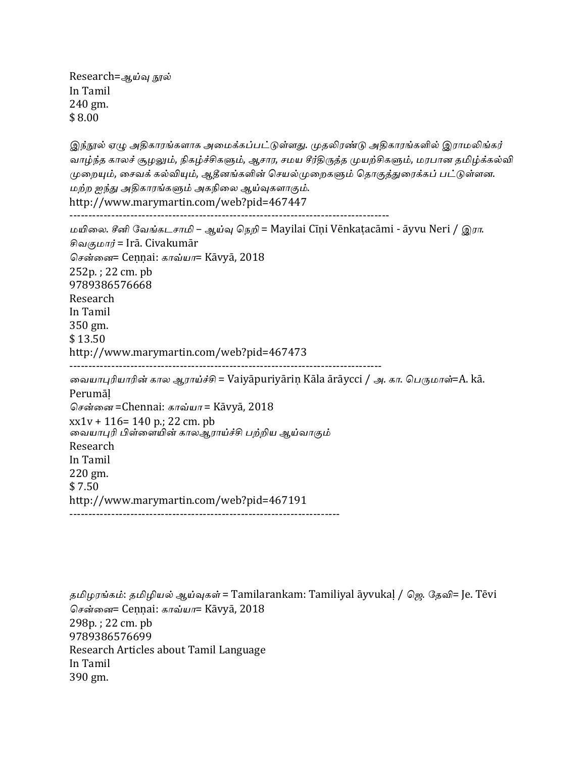Research=ஆய்வு நூல் In Tamil 240 gm. \$ 8.00

இந்நூல் ஏழு அதிகாரங்களாக அமைக்கப்பட்டுள்ளது. முதலிரண்டு அதிகாரங்களில் இராமலிங்கர் வாழ்ந்த காலச் சூழலும், நிகழ்ச்சிகளும், ஆசார, சமய சீர்திருத்த முயற்சிகளும், மரபான தமிழ்க்கல்வி முறையும், சைவக் கல்வியும், ஆதீனங்களின் செயல்முறைகளும் தொகுத்துரைக்கப் பட்டுள்ளன. மற்ற <u>ஜந்து</u> அதிகாரங்களும் அகநிலை ஆய்வுகளாகும். http://www.marymartin.com/web?pid=467447 ------------------------------------------------------------------------------------ மயிலை. சீனி வேங்கடசாமி – ஆய்வு நெறி = Mayilai Cīṇi Vēnkaṭacāmi - āyvu Neri / இரா. சிவகுமார் = Irā. Civakumār சென்னை= Cennai: காவ்யா= Kāvyā, 2018  $252p.$ ;  $22 \text{ cm. } pb$ 9789386576668 Research In Tamil 350 gm. \$ 13.50 http://www.marymartin.com/web?pid=467473 ---------------------------------------------------------------------------------- வையாபுரியாரின் கால ஆராய்ச்சி = Vaiyāpuriyāriṇ Kāla ārāycci / அ. கா. பெருமாள்=A. kā. Perumāḷ சென்னை =Chennai: காவ்யா = Kāvyā, 2018  $xx1v + 116 = 140$  p.; 22 cm. pb வையாபுரி பிள்ளையின் காலஆராய்ச்சி பற்றிய ஆய்வாகும் Research In Tamil 220 gm.  $$7.50$ http://www.marymartin.com/web?pid=467191 -----------------------------------------------------------------------

தமிழரங்கம்: தமிழியல் ஆய்வுகள் = Tamilarankam: Tamiliyal āyvukal / ஜெ. தேவி= Je. Tēvi சென்னை= Cennai: காவ்யா= Kāvyā, 2018 298p.; 22 cm. pb 9789386576699 Research Articles about Tamil Language In Tamil 390 gm.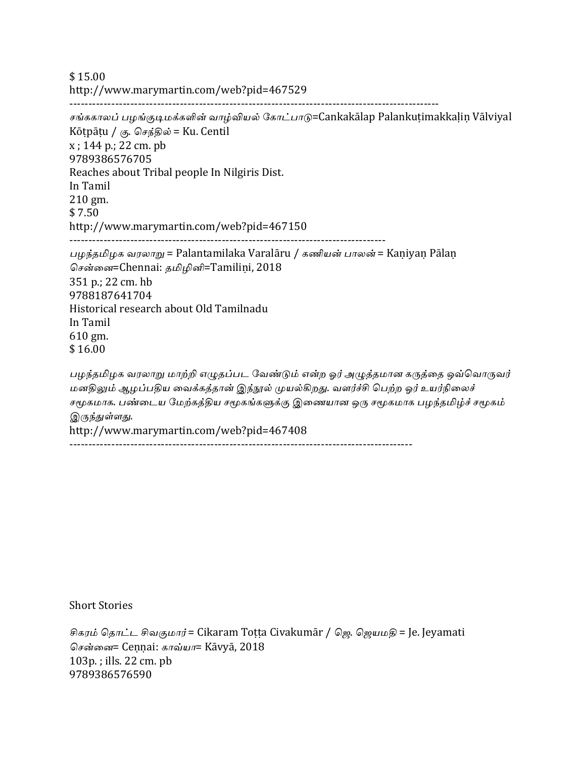$$15.00$ http://www.marymartin.com/web?pid=467529 -------------------------------------------------------------------------------------------------

சங்ககாலப் பழங்குடிமக்களின் வாழ்வியல் கோட்பாடு=Cankakālap Palankuṭimakkalin Vālviyal Kōṭpāṭu / கு. செந்தில் = Ku. Centil  $x$ ; 144 p.; 22 cm. pb 9789386576705 Reaches about Tribal people In Nilgiris Dist. In Tamil 210 gm.  $$7.50$ http://www.marymartin.com/web?pid=467150 ----------------------------------------------------------------------------------- பழந்தமிழக வரலாறு = Palantamilaka Varalāru / கணியன் பாலன் = Kaniyan Pālan சென்னை=Chennai: தமிழினி=Tamiliṇi, 2018 351 p.; 22 cm. hb 9788187641704 Historical research about Old Tamilnadu In Tamil 610 gm. \$ 16.00 பழந்தமிழக வரலாறு மாற்றி எழுதப்பட வேண்டும் என்ற ஓர் அழுத்தமான கருத்தை ஒவ்வொருவர் மனதிலும் ஆழப்பதிய வைக்கத்தான் இந்நூல் முயல்கிறது. வளர்ச்சி பெற்ற ஓர் உயர்நிலைச் சமூகமாக. பண்டைய மேற்கத்திய சமூகங்களுக்கு இணையான ஒரு சமூகமாக பழந்தமிழ்ச் சமூகம் இருந்துள்ளது. http://www.marymartin.com/web?pid=467408

------------------------------------------------------------------------------------------

**Short Stories** 

சிகரம் தொட்ட சிவகுமார் = Cikaram Toṭṭa Civakumār / ஜெ. ஜெயமதி = Je. Jeyamati சென்னை= Ceṇṇai: காவ்யா= Kāvyā, 2018  $103p.$ ; ills.  $22 \text{ cm.}$  pb 9789386576590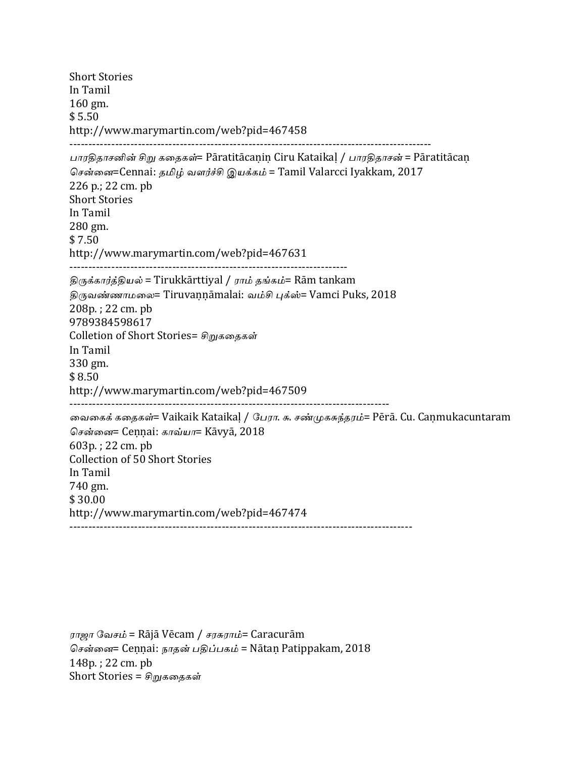**Short Stories** In Tamil 160 gm.  $$5.50$ http://www.marymartin.com/web?pid=467458 ----------------------------------------------------------------------------------------------- பாரதிதாசனின் சிறு கதைகள்= Pāratitācanin Ciru Kataikal / பாரதிதாசன் = Pāratitācan சென்னை=Cennai: தமிழ் வளர்ச்சி இயக்கம் = Tamil Valarcci Iyakkam, 2017 226 p.; 22 cm. pb **Short Stories** In Tamil 280 gm.  $$7.50$ http://www.marymartin.com/web?pid=467631 ------------------------------------------------------------------------- திருக்கார்த்தியல் = Tirukkārttiyal / ராம் தங்கம்= Rām tankam திருவண்ணாமலை= Tiruvannāmalai: வம்சி புக்ஸ்= Vamci Puks, 2018 208p.; 22 cm. pb 9789384598617 Colletion of Short Stories= சிறுகதைகள் In Tamil 330 gm.  $$8.50$ http://www.marymartin.com/web?pid=467509 ------------------------------------------------------------------------------------ வைகைக் கதைகள்= Vaikaik Kataikal / பேரா. சு. சண்முகசுந்தரம்= Pērā. Cu. Canmukacuntaram சென்னை= Cennai: காவ்யா= Kāvyā, 2018  $603p.$ ; 22 cm. pb Collection of 50 Short Stories In Tamil 740 gm. \$ 30.00 http://www.marymartin.com/web?pid=467474 ------------------------------------------------------------------------------------------

ராஜா வேசம் = Rājā Vēcam / சரசுராம்= Caracurām சென்னை= Cennai: நாதன் பதிப்பகம் = Nātan Patippakam, 2018 148p.; 22 cm. pb Short Stories = சிறுகதைகள்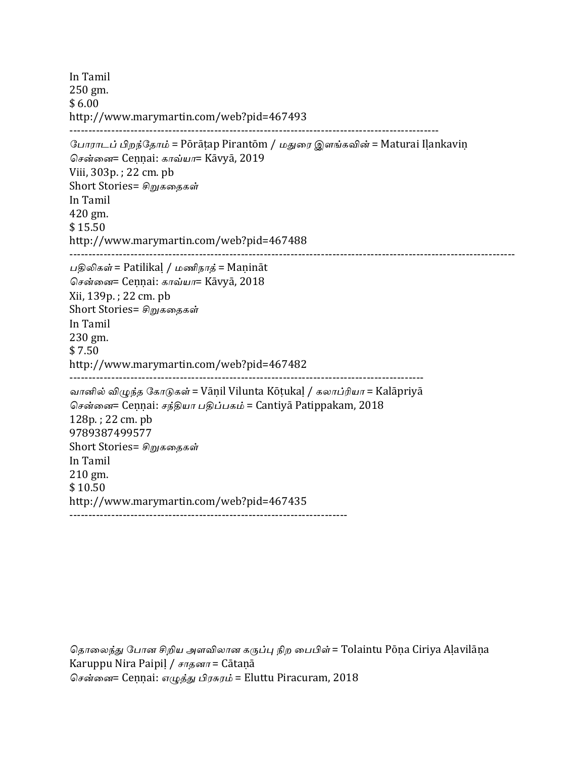In Tamil 250 gm.  $$6.00$ http://www.marymartin.com/web?pid=467493 ------------------------------------------------------------------------------------------------- போராடப் பிறந்தோம் = Pōrāṭap Pirantōm / மதுரை இளங்கவின் = Maturai Iḷankaviṇ சென்னை= Cennai: காவ்யா= Kāvyā, 2019 Viii, 303p.; 22 cm. pb Short Stories= சிறுகதைகள் In Tamil 420 gm. \$ 15.50 http://www.marymartin.com/web?pid=467488 --------------------------------------------------------------------------------------------------------------------- பதிலிகள் = Patilikal / மணிநாத் = Maṇināt சென்னை= Cennai: காவ்யா= Kāvyā, 2018 Xii, 139p. ; 22 cm. pb Short Stories= சிறுகதைகள் In Tamil 230 gm. \$ 7.50 http://www.marymartin.com/web?pid=467482 --------------------------------------------------------------------------------------------- வானில் விழுந்த கோடுகள் = Vāṇil Vilunta Kōṭukaḷ / கலாப்ரியா = Kalāpriyā சென்னை= Cennai: சந்தியா பதிப்பகம் = Cantiya Patippakam, 2018 128p.; 22 cm. pb 9789387499577 Short Stories= சிறுகதைகள் In Tamil 210 gm.  $$10.50$ http://www.marymartin.com/web?pid=467435 -------------------------------------------------------------------------

தொலைந்து போன சிறிய அளவிலான கருப்பு நிற பைபிள் = Tolaintu Pōṇa Ciriya Aḷavilāṇa Karuppu Nira Paipil /  $\epsilon \pi \sigma \sigma \eta$  = Cātaṇā சென்னை= Ceṇṇai: எழுத்து பிரசுரம் = Eluttu Piracuram, 2018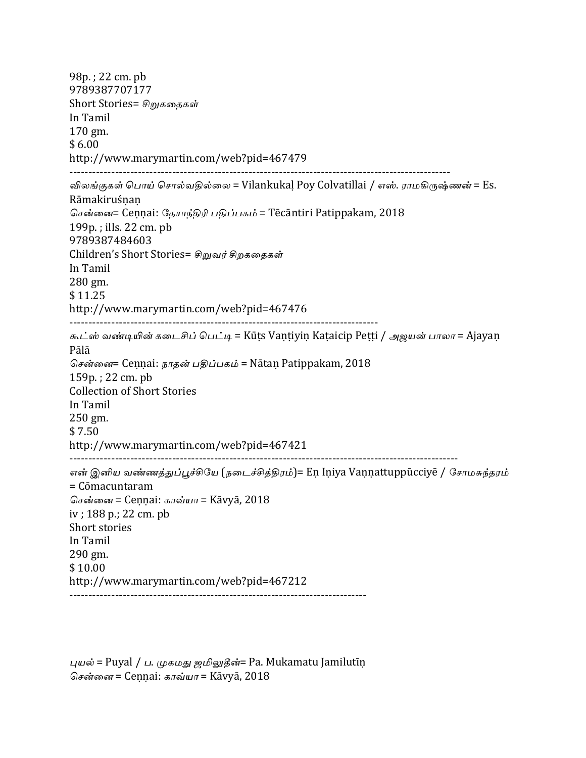98p.; 22 cm. pb 9789387707177 Short Stories= சிறுகதைகள் In Tamil 170 gm.  $$6.00$ http://www.marymartin.com/web?pid=467479 ---------------------------------------------------------------------------------------------------- விலங்குகள் பொய் சொல்வதில்லை = Vilankukal Poy Colvatillai / எஸ். ராமகிருஷ்ணன் = Es. **Rāmakiruśnan** சென்னை= Cennai: தேசாந்திரி பதிப்பகம் = Tēcāntiri Patippakam, 2018  $199p.$ ; ills.  $22 \text{ cm. pb}$ 9789387484603 Children's Short Stories= சிறுவர் சிறகதைகள் In Tamil 280 gm. \$ 11.25 http://www.marymartin.com/web?pid=467476 --------------------------------------------------------------------------------- கூட்ஸ் வண்டியின் கடைசிப் பெட்டி = Kūṭs Vaṇṭiyiṇ Kaṭaicip Peṭṭi / அஜயன் பாலா = Ajayaṇ Pālā சென்னை= Cennai: நாதன் பதிப்பகம் = Nātan Patippakam, 2018  $159p.$ ; 22 cm. pb Collection of Short Stories In Tamil 250 gm. \$ 7.50 http://www.marymartin.com/web?pid=467421 ------------------------------------------------------------------------------------------------------ என் இனிய வண்ணத்துப்பூச்சியே (நடைச்சித்திரம்)= En Iniya Vannattuppūcciyē / சோமசுந்தரம் = Cōmacuntaram சென்னை = Cennai: காவ்யா = Kāvyā, 2018  $iv$ ; 188 p.; 22 cm. pb Short stories In Tamil 290 gm. \$ 10.00 http://www.marymartin.com/web?pid=467212 ------------------------------------------------------------------------------

புயல் = Puyal / ப. முகமது ஜமிலுதீன்= Pa. Mukamatu Jamilutīṇ சென்னை = Cennai: காவ்யா = Kāvyā, 2018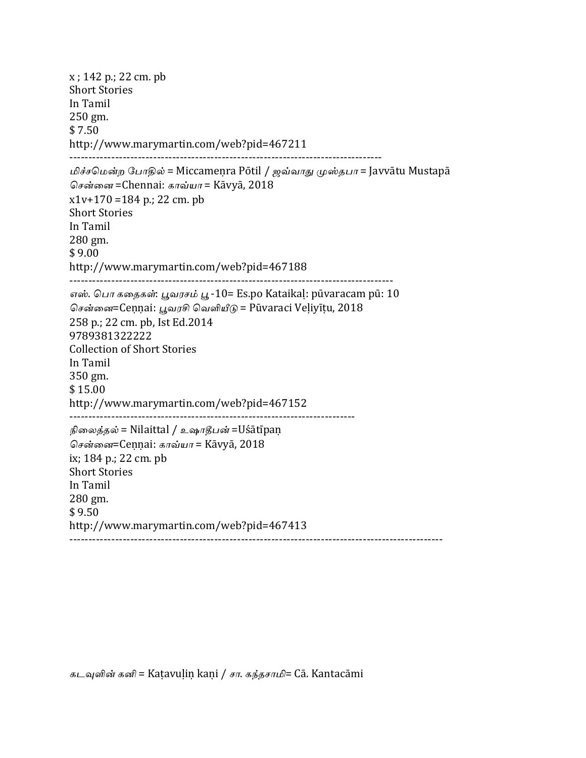$x$ ; 142 p.; 22 cm. pb **Short Stories** In Tamil 250 gm. \$ 7.50 http://www.marymartin.com/web?pid=467211 ---------------------------------------------------------------------------------- மிச்சமென்ற போதில் = Miccameṇra Pōtil / ஜவ்வாது முஸ்தபா = Javvātu Mustapā சென்னை =Chennai: காவ்யா = Kāvyā, 2018  $x1v+170 = 184$  p.; 22 cm. pb **Short Stories** In Tamil 280 gm. \$ 9.00 http://www.marymartin.com/web?pid=467188 ------------------------------------------------------------------------------------- எஸ். பொ கதைகள்: பூவரசம் பூ -10= Es.po Kataikal: pūvaracam pū: 10 சென்னை=Cennai: பூவரசி வெளியீடு = Pūvaraci Veḷiyīṭu, 2018 258 p.; 22 cm. pb, Ist Ed.2014 9789381322222 Collection of Short Stories In Tamil 350 gm. \$ 15.00 http://www.marymartin.com/web?pid=467152 --------------------------------------------------------------------------- நிலைத்தல் = Nilaittal / உஷாதீபன் =Uśātīpaṇ சென்னை=Cennai: காவ்யா = Kāvyā, 2018 ix;  $184 p$ .;  $22 cm$ . pb **Short Stories** In Tamil 280 gm. \$ 9.50 http://www.marymartin.com/web?pid=467413 --------------------------------------------------------------------------------------------------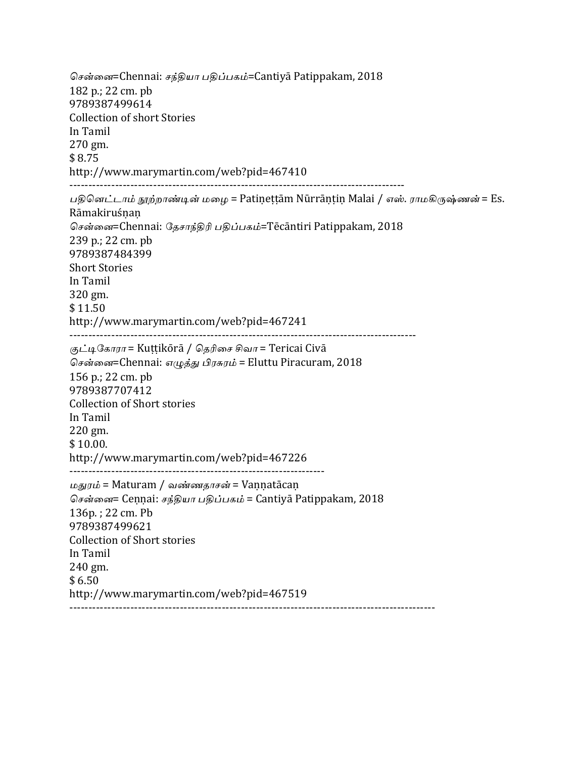சென்னை=Chennai: சந்தியா பதிப்பகம்=Cantiyā Patippakam, 2018 182 p.: 22 cm. pb 9789387499614 Collection of short Stories In Tamil 270 gm. \$ 8.75 http://www.marymartin.com/web?pid=467410 ---------------------------------------------------------------------------------------- பதினெட்டாம் நூற்றாண்டின் மழை = Patineṭṭām Nūrrāṇṭiṇ Malai / எஸ். ராமகிருஷ்ணன் = Es. Rāmakiruśṇaṇ சென்னை=Chennai: தேசாந்திரி பதிப்பகம்=Tēcāntiri Patippakam, 2018 239 p.; 22 cm. pb 9789387484399 **Short Stories** In Tamil 320 gm. \$11.50 http://www.marymartin.com/web?pid=467241 ------------------------------------------------------------------------------------------- குட்டிகோரா = Kuṭṭikōrā / தெரிசை சிவா = Tericai Civā சென்னை=Chennai: எழுத்து பிரசுரம் = Eluttu Piracuram, 2018 156 p.; 22 cm. pb 9789387707412 Collection of Short stories In Tamil 220 gm.  $$10.00.$ http://www.marymartin.com/web?pid=467226 ------------------------------------------------------------------- மதுரம் = Maturam / வண்ணதாசன் = Vannatācaṇ சென்னை= Cennai: சந்தியா பதிப்பகம் = Cantiya Patippakam, 2018 136p.; 22 cm. Pb 9789387499621 Collection of Short stories In Tamil 240 gm.  $$6.50$ http://www.marymartin.com/web?pid=467519 ------------------------------------------------------------------------------------------------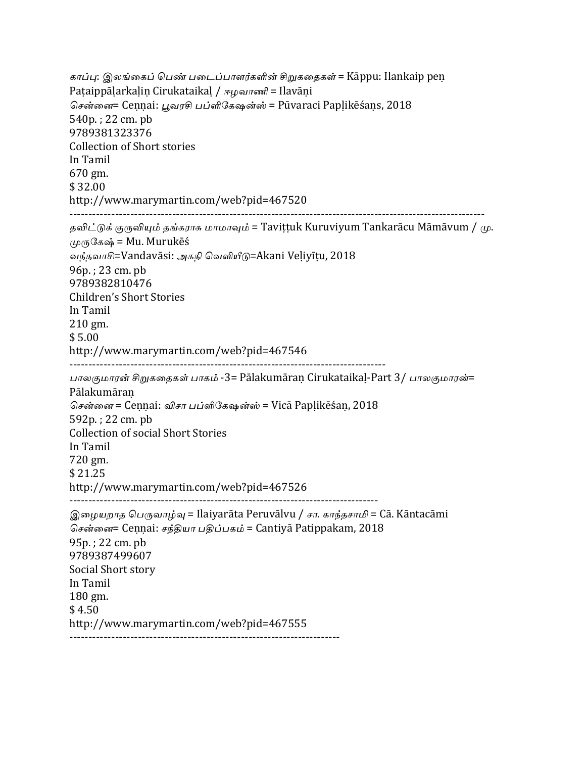காப்பு: இலங்கைப் பெண் படைப்பாளர்களின் சிறுகதைகள் = Kāppu: Ilankaip peṇ Paṭaippāḷarkaḷin Cirukataikaḷ / ஈழவாணி = Ilavāni சென்னை= Cennai: பூவரசி பப்ளிகேஷன்ஸ் = Pūvaraci Paplikēśans, 2018 540p.; 22 cm. pb 9789381323376 Collection of Short stories In Tamil 670 gm. \$ 32.00 http://www.marymartin.com/web?pid=467520 ------------------------------------------------------------------------------------------------------------- தவிட்டுக் குருவியும் தங்கராசு மாமாவும் = Taviṭṭuk Kuruviyum Tankarācu Māmāvum / மு.  $\mu$ ருகேஷ் = Mu. Murukēś வந்தவாசி=Vandavāsi: அகநி வெளியீடு=Akani Veliyītu, 2018  $96p.$ ; 23 cm. pb 9789382810476 Children's Short Stories In Tamil 210 gm. \$ 5.00 http://www.marymartin.com/web?pid=467546 ----------------------------------------------------------------------------------- பாலகுமாரன் சிறுகதைகள் பாகம் -3= Pālakumāran Cirukataikal-Part 3/ பாலகுமாரன்= Pālakumāraṇ சென்னை = Cennai: விசா பப்ளிகேஷன்ஸ் = Vicā Paplikēśan, 2018 592p.; 22 cm. pb Collection of social Short Stories In Tamil 720 gm. \$ 21.25 http://www.marymartin.com/web?pid=467526 --------------------------------------------------------------------------------- இழையறாத பெருவாழ்வு = Ilaiyarāta Peruvālvu / சா. காந்தசாமி = Cā. Kāntacāmi சென்னை= Cennai: சந்தியா பதிப்பகம் = Cantiya Patippakam, 2018 95p.; 22 cm. pb 9789387499607 Social Short story In Tamil 180 gm. \$4.50 http://www.marymartin.com/web?pid=467555 -----------------------------------------------------------------------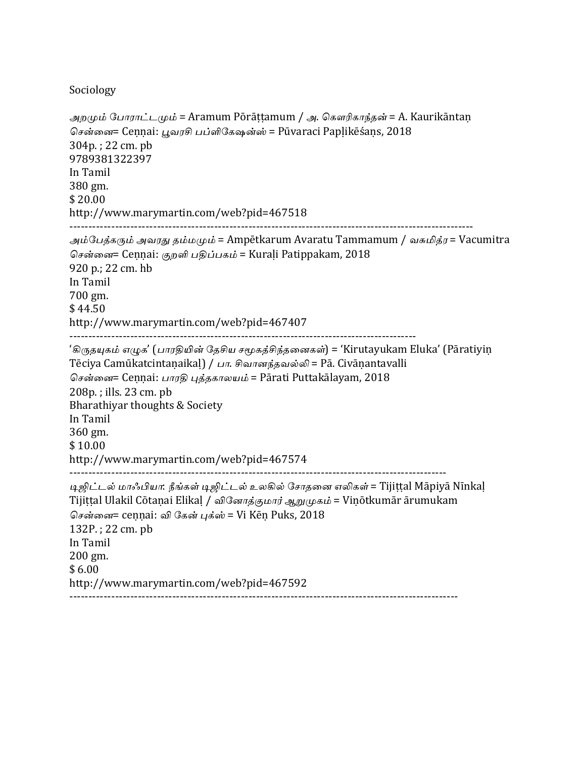#### Sociology

```
அறமும் போராட்டமும் = Aramum Pōrāttamum / அ. கௌரிகாந்தன் = A. Kaurikāntan
சென்னை= Cennai: பூவரசி பப்ளிகேஷன்ஸ் = Pūvaraci Paplikēśans, 2018
304p.; 22 cm. pb
9789381322397
In	Tamil
380	gm.
$	20.00
http://www.marymartin.com/web?pid=467518
----------------------------------------------------------------------------------------------------------
அம்பேத்கரும் அவரது தம்மமும் = Ampētkarum Avaratu Tammamum / வசுமித்ர = Vacumitra
சென்னை= Cennai: குறளி பதிப்பகம் = Kurali Patippakam, 2018
920 p.; 22 cm. hb
In	Tamil
700	gm.
$44.50http://www.marymartin.com/web?pid=467407
-------------------------------------------------------------------------------------------
'கிருதயுகம் எழுக' (பாரதியின் தேசிய சமூகத்சிந்தனைகள்) = 'Kirutayukam Eluka' (Pāratiyin
Tēciya Camūkatcintanaikal) / பா. சிவானந்தவல்லி = Pā. Civānantavalli
சென்னை= Cennai: பாரதி புத்தகாலயம் = Pārati Puttakālayam, 2018
208p.; ills. 23 cm. pb
Bharathiyar thoughts & Society
In	Tamil
360	gm.
$	10.00
http://www.marymartin.com/web?pid=467574
---------------------------------------------------------------------------------------------------
டிஜிட்டல் மாஃபியா: நீங்கள் டிஜிட்டல் உலகில் சோதனை எலிகள் = Tijittal Māpiyā Nīnkal
Tijiṭṭal Ulakil Cōtaṇai Elikaḷ / வினோத்குமார் ஆறுமுகம் = Viṇōtkumār ārumukam
சென்னை= cennai: வி கேன் பக்ஸ் = Vi Kēn Puks, 2018
132P.; 22 cm. pb
In	Tamil
200 gm.
$6.00http://www.marymartin.com/web?pid=467592
------------------------------------------------------------------------------------------------------
```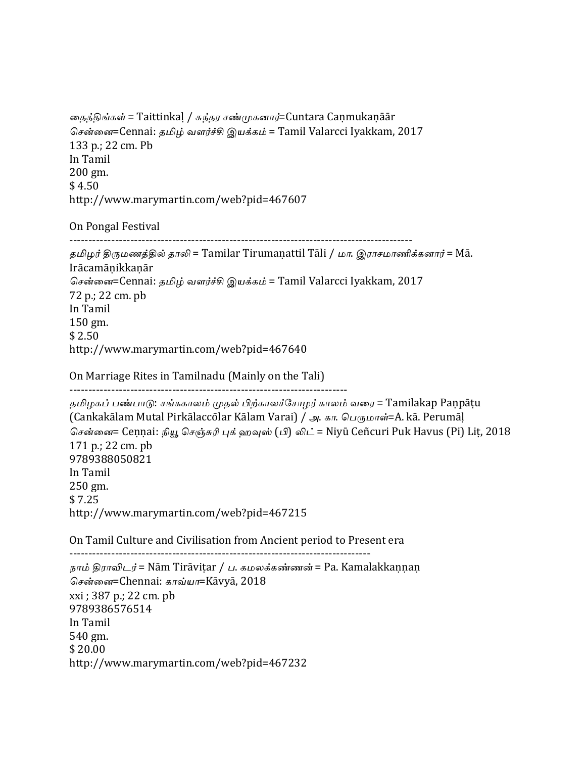தைத்திங்கள் = Taittinkal / சுந்தர சண்முகனார்=Cuntara Caṇmukaṇāār சென்னை=Cennai: தமிழ் வளர்ச்சி இயக்கம் = Tamil Valarcci Iyakkam, 2017 133 p.; 22 cm. Pb In Tamil 200 gm.  $$4.50$ http://www.marymartin.com/web?pid=467607

------------------------------------------------------------------------------------------

On Pongal Festival

தமிழர் திருமணத்தில் தாலி = Tamilar Tirumanattil Tāli / மா. இராசமாணிக்கனார் = Mā. Irācamāṇikkaṇār சென்னை=Cennai: தமிழ் வளர்ச்சி இயக்கம் = Tamil Valarcci Iyakkam, 2017 72 p.; 22 cm. pb In Tamil 150 gm.  $$2.50$ http://www.marymartin.com/web?pid=467640

On Marriage Rites in Tamilnadu (Mainly on the Tali) -------------------------------------------------------------------------

தமிழகப் பண்பாடு: சங்ககாலம் முதல் பிற்காலச்சோழர் காலம் வரை = Tamilakap Paṇpāṭu (Cankakālam Mutal Pirkālaccōlar Kālam Varai) / அ. கா. பெருமாள்=A. kā. Perumāļ சென்னை= Ceṇṇai: நியூ செஞ்சுரி புக் ஹவுஸ் (பி) லிட் = Niyū Ceñcuri Puk Havus (Pi) Lit, 2018  $171 p$ .;  $22 cm$ . pb 9789388050821 In Tamil 250 gm. \$ 7.25 http://www.marymartin.com/web?pid=467215

On Tamil Culture and Civilisation from Ancient period to Present era

------------------------------------------------------------------------------- நாம் திராவிடர் = Nām Tirāviṭar / ப. கமலக்கண்ணன் = Pa. Kamalakkaṇṇaṇ சென்னை=Chennai: காவ்யா=Kāvyā, 2018 xxi; 387 p.; 22 cm. pb 9789386576514 In Tamil 540 gm.  $$20.00$ http://www.marymartin.com/web?pid=467232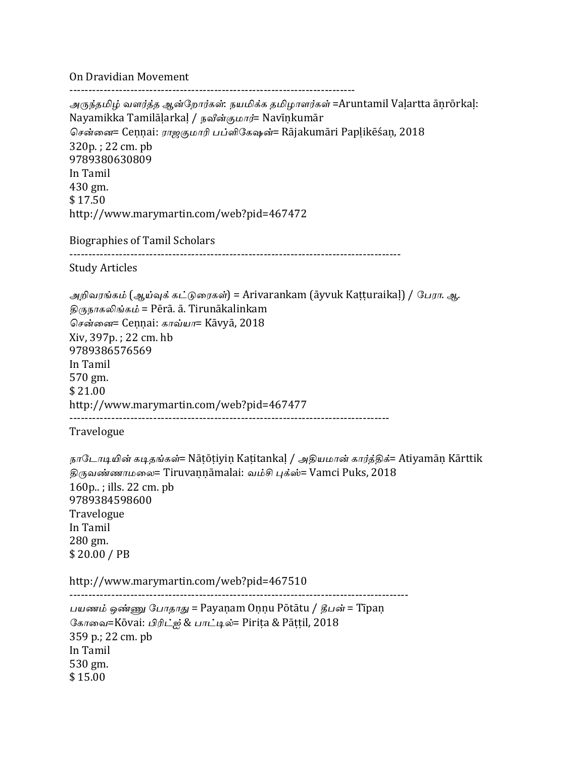On Dravidian Movement

--------------------------------------------------------------------------- அருந்தமிழ் வளர்த்த ஆன்றோர்கள்: நயமிக்க தமிழாளர்கள் =Aruntamil Vaḷartta āṇrōrkaḷ: Nayamikka Tamilāḷarkaḷ / நவீன்குமார்= Navīṇkumār சென்னை= Cennai: ராஜகுமாரி பப்ளிகேஷன்= Rājakumāri Paplikēśan, 2018 320p.; 22 cm. pb 9789380630809 In Tamil 430 gm. \$ 17.50 http://www.marymartin.com/web?pid=467472 Biographies of Tamil Scholars --------------------------------------------------------------------------------------- Study Articles அறிவரங்கம் (ஆய்வுக் கட்டுரைகள்) = Arivarankam (āyvuk Kaṭṭuraikaḷ) / பேரா. ஆ. திருநாகலிங்கம் = Pērā. ā. Tirunākalinkam சென்னை= Cennai: காவ்யா= Kāvyā, 2018 Xiv, 397p. ; 22 cm. hb 9789386576569 In Tamil 570 gm. \$ 21.00 http://www.marymartin.com/web?pid=467477 ------------------------------------------------------------------------------------ Travelogue நாடோடியின் கடிதங்கள்= Nātōtiyin Katitankal / அதியமான் கார்த்திக்= Atiyamān Kārttik திருவண்ணாமலை= Tiruvaṇṇāmalai: வம்சி புக்ஸ்= Vamci Puks, 2018 160p..; ills. 22 cm. pb 9789384598600 Travelogue In Tamil 280 gm.  $$20.00 / PB$ http://www.marymartin.com/web?pid=467510 ----------------------------------------------------------------------------------------- பயணம் ஒண்ணு போதாது = Payanam Onnu Pōtātu / தீபன் = Tīpan கோவை=Kōvai: பிரிட்ஜ் & பாட்டில்= Pirita & Pāttil, 2018 359 p.; 22 cm. pb In Tamil 530 gm. \$ 15.00